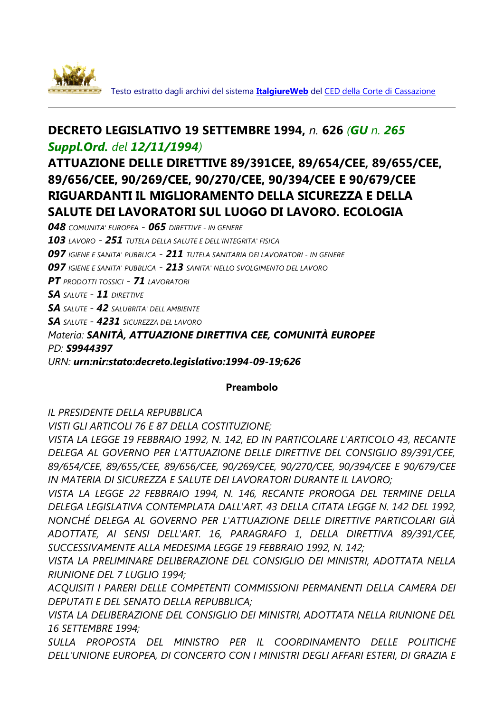

Testo estratto dagli archivi del sistema **[ItalgiureWeb](http://www.italgiure.giustizia.it/)** del [CED della Corte di Cassazione](http://www.giustizia.it/cassazione/ced_cass_index.htm)

# **DECRETO LEGISLATIVO 19 SETTEMBRE 1994,** *n.* **626** *(GU n. 265 Suppl.Ord. del 12/11/1994)*

# **ATTUAZIONE DELLE DIRETTIVE 89/391CEE, 89/654/CEE, 89/655/CEE, 89/656/CEE, 90/269/CEE, 90/270/CEE, 90/394/CEE E 90/679/CEE RIGUARDANTI IL MIGLIORAMENTO DELLA SICUREZZA E DELLA SALUTE DEI LAVORATORI SUL LUOGO DI LAVORO. ECOLOGIA**

*048 COMUNITA' EUROPEA - 065 DIRETTIVE - IN GENERE 103 LAVORO - 251 TUTELA DELLA SALUTE E DELL'INTEGRITA' FISICA 097 IGIENE E SANITA' PUBBLICA - 211 TUTELA SANITARIA DEI LAVORATORI - IN GENERE 097 IGIENE E SANITA' PUBBLICA - 213 SANITA' NELLO SVOLGIMENTO DEL LAVORO PT PRODOTTI TOSSICI - 71 LAVORATORI SA SALUTE - 11 DIRETTIVE SA SALUTE - 42 SALUBRITA' DELL'AMBIENTE SA SALUTE - 4231 SICUREZZA DEL LAVORO Materia: SANITÀ, ATTUAZIONE DIRETTIVA CEE, COMUNITÀ EUROPEE PD: S9944397 URN: urn:nir:stato:decreto.legislativo:1994-09-19;626*

#### **Preambolo**

*IL PRESIDENTE DELLA REPUBBLICA*

*VISTI GLI ARTICOLI 76 E 87 DELLA COSTITUZIONE;*

*VISTA LA LEGGE 19 FEBBRAIO 1992, N. 142, ED IN PARTICOLARE L'ARTICOLO 43, RECANTE DELEGA AL GOVERNO PER L'ATTUAZIONE DELLE DIRETTIVE DEL CONSIGLIO 89/391/CEE, 89/654/CEE, 89/655/CEE, 89/656/CEE, 90/269/CEE, 90/270/CEE, 90/394/CEE E 90/679/CEE IN MATERIA DI SICUREZZA E SALUTE DEI LAVORATORI DURANTE IL LAVORO;* 

*VISTA LA LEGGE 22 FEBBRAIO 1994, N. 146, RECANTE PROROGA DEL TERMINE DELLA DELEGA LEGISLATIVA CONTEMPLATA DALL'ART. 43 DELLA CITATA LEGGE N. 142 DEL 1992, NONCHÉ DELEGA AL GOVERNO PER L'ATTUAZIONE DELLE DIRETTIVE PARTICOLARI GIÀ ADOTTATE, AI SENSI DELL'ART. 16, PARAGRAFO 1, DELLA DIRETTIVA 89/391/CEE, SUCCESSIVAMENTE ALLA MEDESIMA LEGGE 19 FEBBRAIO 1992, N. 142;* 

*VISTA LA PRELIMINARE DELIBERAZIONE DEL CONSIGLIO DEI MINISTRI, ADOTTATA NELLA RIUNIONE DEL 7 LUGLIO 1994;*

*ACQUISITI I PARERI DELLE COMPETENTI COMMISSIONI PERMANENTI DELLA CAMERA DEI DEPUTATI E DEL SENATO DELLA REPUBBLICA;*

*VISTA LA DELIBERAZIONE DEL CONSIGLIO DEI MINISTRI, ADOTTATA NELLA RIUNIONE DEL 16 SETTEMBRE 1994;*

*SULLA PROPOSTA DEL MINISTRO PER IL COORDINAMENTO DELLE POLITICHE DELL'UNIONE EUROPEA, DI CONCERTO CON I MINISTRI DEGLI AFFARI ESTERI, DI GRAZIA E*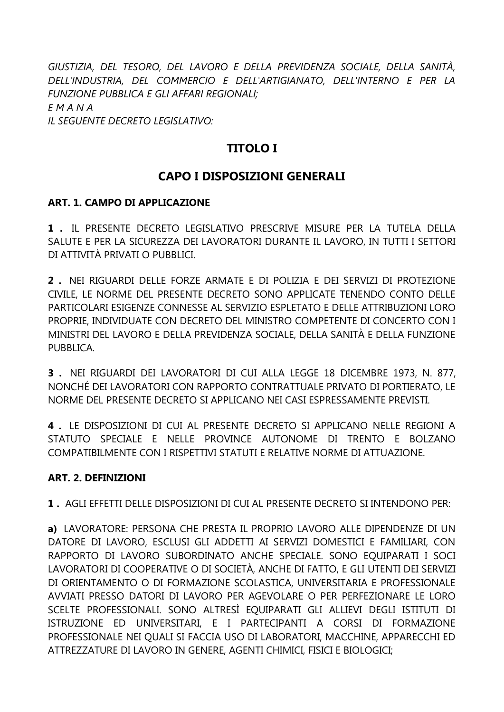*GIUSTIZIA, DEL TESORO, DEL LAVORO E DELLA PREVIDENZA SOCIALE, DELLA SANITÀ, DELL'INDUSTRIA, DEL COMMERCIO E DELL'ARTIGIANATO, DELL'INTERNO E PER LA FUNZIONE PUBBLICA E GLI AFFARI REGIONALI; E M A N A IL SEGUENTE DECRETO LEGISLATIVO:*

## **TITOLO I**

## **CAPO I DISPOSIZIONI GENERALI**

#### **ART. 1. CAMPO DI APPLICAZIONE**

**1 .** IL PRESENTE DECRETO LEGISLATIVO PRESCRIVE MISURE PER LA TUTELA DELLA SALUTE E PER LA SICUREZZA DEI LAVORATORI DURANTE IL LAVORO, IN TUTTI I SETTORI DI ATTIVITÀ PRIVATI O PUBBLICI.

**2 .** NEI RIGUARDI DELLE FORZE ARMATE E DI POLIZIA E DEI SERVIZI DI PROTEZIONE CIVILE, LE NORME DEL PRESENTE DECRETO SONO APPLICATE TENENDO CONTO DELLE PARTICOLARI ESIGENZE CONNESSE AL SERVIZIO ESPLETATO E DELLE ATTRIBUZIONI LORO PROPRIE, INDIVIDUATE CON DECRETO DEL MINISTRO COMPETENTE DI CONCERTO CON I MINISTRI DEL LAVORO E DELLA PREVIDENZA SOCIALE, DELLA SANITÀ E DELLA FUNZIONE PUBBLICA.

**3 .** NEI RIGUARDI DEI LAVORATORI DI CUI ALLA LEGGE 18 DICEMBRE 1973, N. 877, NONCHÉ DEI LAVORATORI CON RAPPORTO CONTRATTUALE PRIVATO DI PORTIERATO, LE NORME DEL PRESENTE DECRETO SI APPLICANO NEI CASI ESPRESSAMENTE PREVISTI.

**4 .** LE DISPOSIZIONI DI CUI AL PRESENTE DECRETO SI APPLICANO NELLE REGIONI A STATUTO SPECIALE E NELLE PROVINCE AUTONOME DI TRENTO E BOLZANO COMPATIBILMENTE CON I RISPETTIVI STATUTI E RELATIVE NORME DI ATTUAZIONE.

#### **ART. 2. DEFINIZIONI**

**1 .** AGLI EFFETTI DELLE DISPOSIZIONI DI CUI AL PRESENTE DECRETO SI INTENDONO PER:

**a)** LAVORATORE: PERSONA CHE PRESTA IL PROPRIO LAVORO ALLE DIPENDENZE DI UN DATORE DI LAVORO, ESCLUSI GLI ADDETTI AI SERVIZI DOMESTICI E FAMILIARI, CON RAPPORTO DI LAVORO SUBORDINATO ANCHE SPECIALE. SONO EQUIPARATI I SOCI LAVORATORI DI COOPERATIVE O DI SOCIETÀ, ANCHE DI FATTO, E GLI UTENTI DEI SERVIZI DI ORIENTAMENTO O DI FORMAZIONE SCOLASTICA, UNIVERSITARIA E PROFESSIONALE AVVIATI PRESSO DATORI DI LAVORO PER AGEVOLARE O PER PERFEZIONARE LE LORO SCELTE PROFESSIONALI. SONO ALTRESÌ EQUIPARATI GLI ALLIEVI DEGLI ISTITUTI DI ISTRUZIONE ED UNIVERSITARI, E I PARTECIPANTI A CORSI DI FORMAZIONE PROFESSIONALE NEI QUALI SI FACCIA USO DI LABORATORI, MACCHINE, APPARECCHI ED ATTREZZATURE DI LAVORO IN GENERE, AGENTI CHIMICI, FISICI E BIOLOGICI;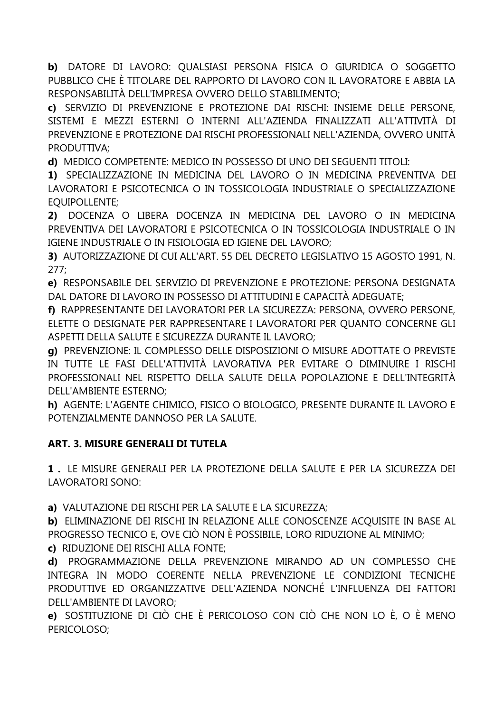b) DATORE DI LAVORO: QUALSIASI PERSONA FISICA O GIURIDICA O SOGGETTO PUBBLICO CHE È TITOLARE DEL RAPPORTO DI LAVORO CON IL LAVORATORE E ABBIA LA RESPONSABILITÀ DELL'IMPRESA OVVERO DELLO STABILIMENTO;

c) SERVIZIO DI PREVENZIONE E PROTEZIONE DAI RISCHI: INSIEME DELLE PERSONE, SISTEMI E MEZZI ESTERNI O INTERNI ALL'AZIENDA FINALIZZATI ALL'ATTIVITÀ DI PREVENZIONE E PROTEZIONE DAI RISCHI PROFESSIONALI NELL'AZIENDA, OVVERO UNITÀ PRODUTTIVA:

d) MEDICO COMPETENTE: MEDICO IN POSSESSO DI UNO DEI SEGUENTI TITOLI:

1) SPECIALIZZAZIONE IN MEDICINA DEL LAVORO O IN MEDICINA PREVENTIVA DEI LAVORATORI E PSICOTECNICA O IN TOSSICOLOGIA INDUSTRIALE O SPECIALIZZAZIONE **EOUIPOLLENTE:** 

2) DOCENZA O LIBERA DOCENZA IN MEDICINA DEL LAVORO O IN MEDICINA PREVENTIVA DEI LAVORATORI E PSICOTECNICA O IN TOSSICOLOGIA INDUSTRIALE O IN IGIENE INDUSTRIALE O IN FISIOLOGIA ED IGIENE DEL LAVORO:

3) AUTORIZZAZIONE DI CUI ALL'ART. 55 DEL DECRETO LEGISLATIVO 15 AGOSTO 1991, N.  $277:$ 

e) RESPONSABILE DEL SERVIZIO DI PREVENZIONE E PROTEZIONE: PERSONA DESIGNATA DAL DATORE DI LAVORO IN POSSESSO DI ATTITUDINI E CAPACITÀ ADEGUATE;

f) RAPPRESENTANTE DEI LAVORATORI PER LA SICUREZZA: PERSONA, OVVERO PERSONE, ELETTE O DESIGNATE PER RAPPRESENTARE I LAVORATORI PER OUANTO CONCERNE GLI ASPETTI DELLA SALUTE E SICUREZZA DURANTE IL LAVORO:

g) PREVENZIONE: IL COMPLESSO DELLE DISPOSIZIONI O MISURE ADOTTATE O PREVISTE IN TUTTE LE FASI DELL'ATTIVITÀ LAVORATIVA PER EVITARE O DIMINUIRE I RISCHI PROFESSIONALI NEL RISPETTO DELLA SALUTE DELLA POPOLAZIONE E DELL'INTEGRITÀ DELL'AMBIENTE ESTERNO;

h) AGENTE: L'AGENTE CHIMICO, FISICO O BIOLOGICO, PRESENTE DURANTE IL LAVORO E POTENZIALMENTE DANNOSO PER LA SALUTE.

## ART. 3. MISURE GENERALI DI TUTELA

1. LE MISURE GENERALI PER LA PROTEZIONE DELLA SALUTE E PER LA SICUREZZA DEI LAVORATORI SONO:

a) VALUTAZIONE DEI RISCHI PER LA SALUTE E LA SICUREZZA:

b) ELIMINAZIONE DEI RISCHI IN RELAZIONE ALLE CONOSCENZE ACOUISITE IN BASE AL PROGRESSO TECNICO E, OVE CIÒ NON È POSSIBILE, LORO RIDUZIONE AL MINIMO;

c) RIDUZIONE DEI RISCHI ALLA FONTE:

d) PROGRAMMAZIONE DELLA PREVENZIONE MIRANDO AD UN COMPLESSO CHE INTEGRA IN MODO COERENTE NELLA PREVENZIONE LE CONDIZIONI TECNICHE PRODUTTIVE ED ORGANIZZATIVE DELL'AZIENDA NONCHÉ L'INFLUENZA DEI FATTORI DELL'AMBIENTE DI LAVORO:

e) SOSTITUZIONE DI CIÒ CHE È PERICOLOSO CON CIÒ CHE NON LO È, O È MENO PERICOLOSO;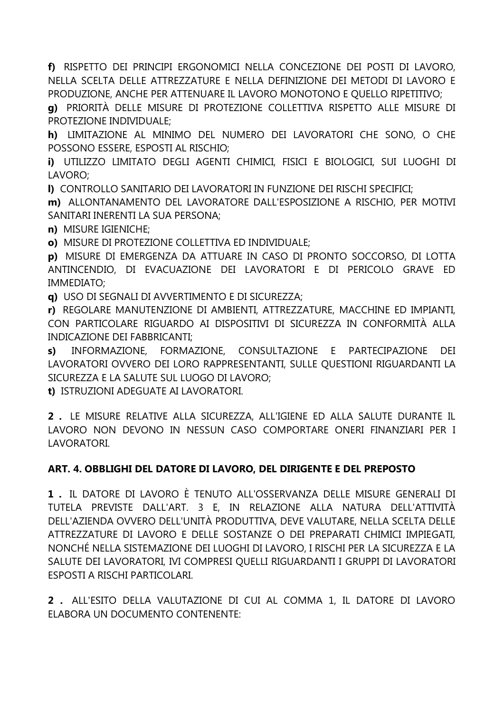**f)** RISPETTO DEI PRINCIPI ERGONOMICI NELLA CONCEZIONE DEI POSTI DI LAVORO, NELLA SCELTA DELLE ATTREZZATURE E NELLA DEFINIZIONE DEI METODI DI LAVORO E PRODUZIONE, ANCHE PER ATTENUARE IL LAVORO MONOTONO E QUELLO RIPETITIVO;

**g)** PRIORITÀ DELLE MISURE DI PROTEZIONE COLLETTIVA RISPETTO ALLE MISURE DI PROTEZIONE INDIVIDUALE;

**h)** LIMITAZIONE AL MINIMO DEL NUMERO DEI LAVORATORI CHE SONO, O CHE POSSONO ESSERE, ESPOSTI AL RISCHIO;

**i)** UTILIZZO LIMITATO DEGLI AGENTI CHIMICI, FISICI E BIOLOGICI, SUI LUOGHI DI LAVORO;

**l)** CONTROLLO SANITARIO DEI LAVORATORI IN FUNZIONE DEI RISCHI SPECIFICI;

**m)** ALLONTANAMENTO DEL LAVORATORE DALL'ESPOSIZIONE A RISCHIO, PER MOTIVI SANITARI INERENTI LA SUA PERSONA;

**n)** MISURE IGIENICHE;

**o)** MISURE DI PROTEZIONE COLLETTIVA ED INDIVIDUALE;

**p)** MISURE DI EMERGENZA DA ATTUARE IN CASO DI PRONTO SOCCORSO, DI LOTTA ANTINCENDIO, DI EVACUAZIONE DEI LAVORATORI E DI PERICOLO GRAVE ED IMMEDIATO;

**q)** USO DI SEGNALI DI AVVERTIMENTO E DI SICUREZZA;

**r)** REGOLARE MANUTENZIONE DI AMBIENTI, ATTREZZATURE, MACCHINE ED IMPIANTI, CON PARTICOLARE RIGUARDO AI DISPOSITIVI DI SICUREZZA IN CONFORMITÀ ALLA INDICAZIONE DEI FABBRICANTI;

**s)** INFORMAZIONE, FORMAZIONE, CONSULTAZIONE E PARTECIPAZIONE DEI LAVORATORI OVVERO DEI LORO RAPPRESENTANTI, SULLE QUESTIONI RIGUARDANTI LA SICUREZZA E LA SALUTE SUL LUOGO DI LAVORO;

**t)** ISTRUZIONI ADEGUATE AI LAVORATORI.

**2 .** LE MISURE RELATIVE ALLA SICUREZZA, ALL'IGIENE ED ALLA SALUTE DURANTE IL LAVORO NON DEVONO IN NESSUN CASO COMPORTARE ONERI FINANZIARI PER I LAVORATORI.

## **ART. 4. OBBLIGHI DEL DATORE DI LAVORO, DEL DIRIGENTE E DEL PREPOSTO**

**1 .** IL DATORE DI LAVORO È TENUTO ALL'OSSERVANZA DELLE MISURE GENERALI DI TUTELA PREVISTE DALL'ART. 3 E, IN RELAZIONE ALLA NATURA DELL'ATTIVITÀ DELL'AZIENDA OVVERO DELL'UNITÀ PRODUTTIVA, DEVE VALUTARE, NELLA SCELTA DELLE ATTREZZATURE DI LAVORO E DELLE SOSTANZE O DEI PREPARATI CHIMICI IMPIEGATI, NONCHÉ NELLA SISTEMAZIONE DEI LUOGHI DI LAVORO, I RISCHI PER LA SICUREZZA E LA SALUTE DEI LAVORATORI, IVI COMPRESI QUELLI RIGUARDANTI I GRUPPI DI LAVORATORI ESPOSTI A RISCHI PARTICOLARI.

**2 .** ALL'ESITO DELLA VALUTAZIONE DI CUI AL COMMA 1, IL DATORE DI LAVORO ELABORA UN DOCUMENTO CONTENENTE: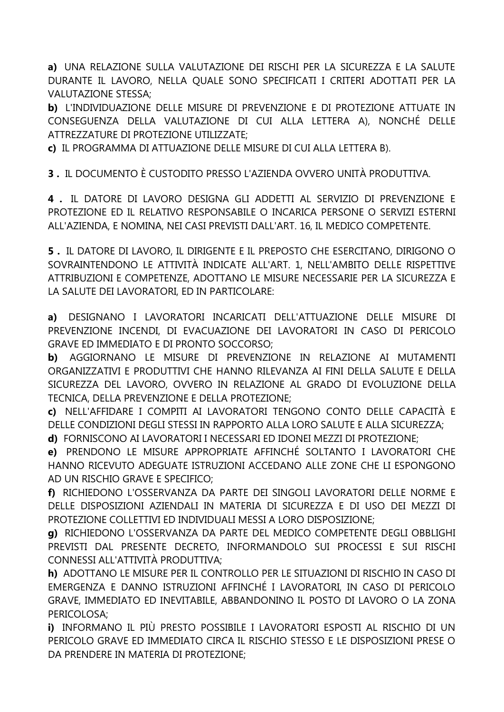**a)** UNA RELAZIONE SULLA VALUTAZIONE DEI RISCHI PER LA SICUREZZA E LA SALUTE DURANTE IL LAVORO, NELLA QUALE SONO SPECIFICATI I CRITERI ADOTTATI PER LA VALUTAZIONE STESSA;

**b)** L'INDIVIDUAZIONE DELLE MISURE DI PREVENZIONE E DI PROTEZIONE ATTUATE IN CONSEGUENZA DELLA VALUTAZIONE DI CUI ALLA LETTERA A), NONCHÉ DELLE ATTREZZATURE DI PROTEZIONE UTILIZZATE;

**c)** IL PROGRAMMA DI ATTUAZIONE DELLE MISURE DI CUI ALLA LETTERA B).

**3 .** IL DOCUMENTO È CUSTODITO PRESSO L'AZIENDA OVVERO UNITÀ PRODUTTIVA.

**4 .** IL DATORE DI LAVORO DESIGNA GLI ADDETTI AL SERVIZIO DI PREVENZIONE E PROTEZIONE ED IL RELATIVO RESPONSABILE O INCARICA PERSONE O SERVIZI ESTERNI ALL'AZIENDA, E NOMINA, NEI CASI PREVISTI DALL'ART. 16, IL MEDICO COMPETENTE.

**5 .** IL DATORE DI LAVORO, IL DIRIGENTE E IL PREPOSTO CHE ESERCITANO, DIRIGONO O SOVRAINTENDONO LE ATTIVITÀ INDICATE ALL'ART. 1, NELL'AMBITO DELLE RISPETTIVE ATTRIBUZIONI E COMPETENZE, ADOTTANO LE MISURE NECESSARIE PER LA SICUREZZA E LA SALUTE DEI LAVORATORI, ED IN PARTICOLARE:

**a)** DESIGNANO I LAVORATORI INCARICATI DELL'ATTUAZIONE DELLE MISURE DI PREVENZIONE INCENDI, DI EVACUAZIONE DEI LAVORATORI IN CASO DI PERICOLO GRAVE ED IMMEDIATO E DI PRONTO SOCCORSO;

**b)** AGGIORNANO LE MISURE DI PREVENZIONE IN RELAZIONE AI MUTAMENTI ORGANIZZATIVI E PRODUTTIVI CHE HANNO RILEVANZA AI FINI DELLA SALUTE E DELLA SICUREZZA DEL LAVORO, OVVERO IN RELAZIONE AL GRADO DI EVOLUZIONE DELLA TECNICA, DELLA PREVENZIONE E DELLA PROTEZIONE;

**c)** NELL'AFFIDARE I COMPITI AI LAVORATORI TENGONO CONTO DELLE CAPACITÀ E DELLE CONDIZIONI DEGLI STESSI IN RAPPORTO ALLA LORO SALUTE E ALLA SICUREZZA;

**d)** FORNISCONO AI LAVORATORI I NECESSARI ED IDONEI MEZZI DI PROTEZIONE;

**e)** PRENDONO LE MISURE APPROPRIATE AFFINCHÉ SOLTANTO I LAVORATORI CHE HANNO RICEVUTO ADEGUATE ISTRUZIONI ACCEDANO ALLE ZONE CHE LI ESPONGONO AD UN RISCHIO GRAVE E SPECIFICO;

**f)** RICHIEDONO L'OSSERVANZA DA PARTE DEI SINGOLI LAVORATORI DELLE NORME E DELLE DISPOSIZIONI AZIENDALI IN MATERIA DI SICUREZZA E DI USO DEI MEZZI DI PROTEZIONE COLLETTIVI ED INDIVIDUALI MESSI A LORO DISPOSIZIONE;

**g)** RICHIEDONO L'OSSERVANZA DA PARTE DEL MEDICO COMPETENTE DEGLI OBBLIGHI PREVISTI DAL PRESENTE DECRETO, INFORMANDOLO SUI PROCESSI E SUI RISCHI CONNESSI ALL'ATTIVITÀ PRODUTTIVA;

**h)** ADOTTANO LE MISURE PER IL CONTROLLO PER LE SITUAZIONI DI RISCHIO IN CASO DI EMERGENZA E DANNO ISTRUZIONI AFFINCHÉ I LAVORATORI, IN CASO DI PERICOLO GRAVE, IMMEDIATO ED INEVITABILE, ABBANDONINO IL POSTO DI LAVORO O LA ZONA PERICOLOSA;

**i)** INFORMANO IL PIÙ PRESTO POSSIBILE I LAVORATORI ESPOSTI AL RISCHIO DI UN PERICOLO GRAVE ED IMMEDIATO CIRCA IL RISCHIO STESSO E LE DISPOSIZIONI PRESE O DA PRENDERE IN MATERIA DI PROTEZIONE;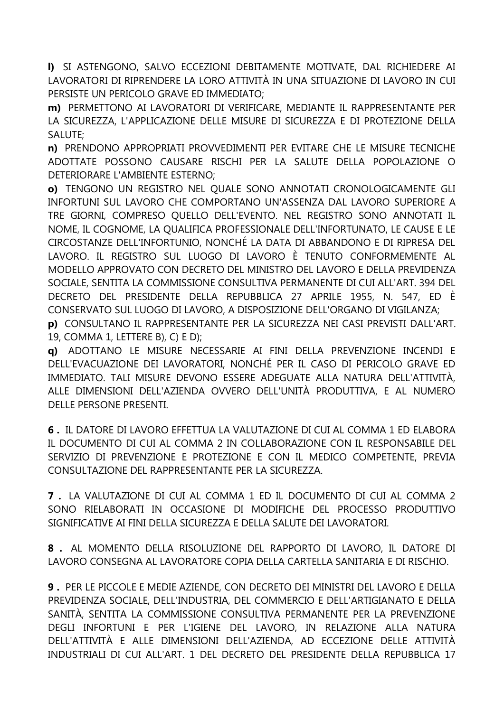I) SI ASTENGONO, SALVO ECCEZIONI DEBITAMENTE MOTIVATE, DAL RICHIEDERE AI LAVORATORI DI RIPRENDERE LA LORO ATTIVITÀ IN UNA SITUAZIONE DI LAVORO IN CUI PERSISTE UN PERICOLO GRAVE ED IMMEDIATO;

m) PERMETTONO AI LAVORATORI DI VERIFICARE, MEDIANTE IL RAPPRESENTANTE PER LA SICUREZZA, L'APPLICAZIONE DELLE MISURE DI SICUREZZA E DI PROTEZIONE DELLA SALUTE:

n) PRENDONO APPROPRIATI PROVVEDIMENTI PER EVITARE CHE LE MISURE TECNICHE ADOTTATE POSSONO CAUSARE RISCHI PER LA SALUTE DELLA POPOLAZIONE O DETERIORARE L'AMBIENTE ESTERNO:

o) TENGONO UN REGISTRO NEL QUALE SONO ANNOTATI CRONOLOGICAMENTE GLI INFORTUNI SUL LAVORO CHE COMPORTANO UN'ASSENZA DAL LAVORO SUPERIORE A TRE GIORNI, COMPRESO QUELLO DELL'EVENTO. NEL REGISTRO SONO ANNOTATI IL NOME, IL COGNOME, LA QUALIFICA PROFESSIONALE DELL'INFORTUNATO, LE CAUSE E LE CIRCOSTANZE DELL'INFORTUNIO, NONCHÉ LA DATA DI ABBANDONO E DI RIPRESA DEL LAVORO. IL REGISTRO SUL LUOGO DI LAVORO È TENUTO CONFORMEMENTE AL MODELLO APPROVATO CON DECRETO DEL MINISTRO DEL LAVORO E DELLA PREVIDENZA SOCIALE, SENTITA LA COMMISSIONE CONSULTIVA PERMANENTE DI CUI ALL'ART. 394 DEL DECRETO DEL PRESIDENTE DELLA REPUBBLICA 27 APRILE 1955, N. 547, ED È CONSERVATO SUL LUOGO DI LAVORO, A DISPOSIZIONE DELL'ORGANO DI VIGILANZA: p) CONSULTANO IL RAPPRESENTANTE PER LA SICUREZZA NEI CASI PREVISTI DALL'ART. 19, COMMA 1, LETTERE B), C) E D);

g) ADOTTANO LE MISURE NECESSARIE AI FINI DELLA PREVENZIONE INCENDI E DELL'EVACUAZIONE DEI LAVORATORI, NONCHÉ PER IL CASO DI PERICOLO GRAVE ED IMMEDIATO. TALI MISURE DEVONO ESSERE ADEGUATE ALLA NATURA DELL'ATTIVITÀ, ALLE DIMENSIONI DELL'AZIENDA OVVERO DELL'UNITÀ PRODUTTIVA, E AL NUMERO DELLE PERSONE PRESENTI.

6. IL DATORE DI LAVORO EFFETTUA LA VALUTAZIONE DI CUI AL COMMA 1 ED ELABORA IL DOCUMENTO DI CUI AL COMMA 2 IN COLLABORAZIONE CON IL RESPONSABILE DEL SERVIZIO DI PREVENZIONE E PROTEZIONE E CON IL MEDICO COMPETENTE, PREVIA CONSULTAZIONE DEL RAPPRESENTANTE PER LA SICUREZZA.

7. LA VALUTAZIONE DI CUI AL COMMA 1 ED IL DOCUMENTO DI CUI AL COMMA 2 SONO RIELABORATI IN OCCASIONE DI MODIFICHE DEL PROCESSO PRODUTTIVO SIGNIFICATIVE AI FINI DELLA SICUREZZA E DELLA SALUTE DEI LAVORATORI.

8. AL MOMENTO DELLA RISOLUZIONE DEL RAPPORTO DI LAVORO, IL DATORE DI LAVORO CONSEGNA AL LAVORATORE COPIA DELLA CARTELLA SANITARIA E DI RISCHIO.

9. PER LE PICCOLE E MEDIE AZIENDE, CON DECRETO DEI MINISTRI DEL LAVORO E DELLA PREVIDENZA SOCIALE, DELL'INDUSTRIA, DEL COMMERCIO E DELL'ARTIGIANATO E DELLA SANITÀ, SENTITA LA COMMISSIONE CONSULTIVA PERMANENTE PER LA PREVENZIONE DEGLI INFORTUNI E PER L'IGIENE DEL LAVORO, IN RELAZIONE ALLA NATURA DELL'ATTIVITÀ E ALLE DIMENSIONI DELL'AZIENDA, AD ECCEZIONE DELLE ATTIVITÀ INDUSTRIALI DI CUI ALL'ART. 1 DEL DECRETO DEL PRESIDENTE DELLA REPUBBLICA 17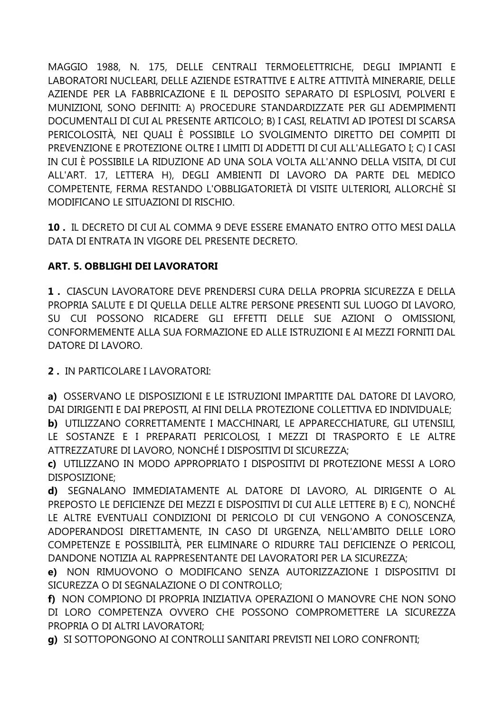MAGGIO 1988, N. 175, DELLE CENTRALI TERMOELETTRICHE, DEGLI IMPIANTI E LABORATORI NUCLEARI, DELLE AZIENDE ESTRATTIVE E ALTRE ATTIVITÀ MINERARIE, DELLE AZIENDE PER LA FABBRICAZIONE E IL DEPOSITO SEPARATO DI ESPLOSIVI, POLVERI E MUNIZIONI, SONO DEFINITI: A) PROCEDURE STANDARDIZZATE PER GLI ADEMPIMENTI DOCUMENTALI DI CUI AL PRESENTE ARTICOLO; B) I CASI, RELATIVI AD IPOTESI DI SCARSA PERICOLOSITÀ, NEI QUALI È POSSIBILE LO SVOLGIMENTO DIRETTO DEI COMPITI DI PREVENZIONE E PROTEZIONE OLTRE I LIMITI DI ADDETTI DI CUI ALL'ALLEGATO I; C) I CASI IN CUI È POSSIBILE LA RIDUZIONE AD UNA SOLA VOLTA ALL'ANNO DELLA VISITA, DI CUI ALL'ART. 17, LETTERA H), DEGLI AMBIENTI DI LAVORO DA PARTE DEL MEDICO COMPETENTE, FERMA RESTANDO L'OBBLIGATORIETÀ DI VISITE ULTERIORI, ALLORCHÈ SI MODIFICANO LE SITUAZIONI DI RISCHIO.

10. IL DECRETO DI CUI AL COMMA 9 DEVE ESSERE EMANATO ENTRO OTTO MESI DALLA DATA DI ENTRATA IN VIGORE DEL PRESENTE DECRETO.

## **ART. 5. OBBLIGHI DEI LAVORATORI**

1. CIASCUN LAVORATORE DEVE PRENDERSI CURA DELLA PROPRIA SICUREZZA E DELLA PROPRIA SALUTE E DI QUELLA DELLE ALTRE PERSONE PRESENTI SUL LUOGO DI LAVORO, SU CUI POSSONO RICADERE GLI EFFETTI DELLE SUE AZIONI O OMISSIONI, CONFORMEMENTE ALLA SUA FORMAZIONE ED ALLE ISTRUZIONI E AI MEZZI FORNITI DAL DATORE DI LAVORO.

2. IN PARTICOLARE I LAVORATORI:

a) OSSERVANO LE DISPOSIZIONI E LE ISTRUZIONI IMPARTITE DAL DATORE DI LAVORO, DAI DIRIGENTI E DAI PREPOSTI, AI FINI DELLA PROTEZIONE COLLETTIVA ED INDIVIDUALE;

b) UTILIZZANO CORRETTAMENTE I MACCHINARI, LE APPARECCHIATURE, GLI UTENSILI, LE SOSTANZE E I PREPARATI PERICOLOSI, I MEZZI DI TRASPORTO E LE ALTRE ATTREZZATURE DI LAVORO, NONCHÉ I DISPOSITIVI DI SICUREZZA:

c) UTILIZZANO IN MODO APPROPRIATO I DISPOSITIVI DI PROTEZIONE MESSI A LORO DISPOSIZIONE;

d) SEGNALANO IMMEDIATAMENTE AL DATORE DI LAVORO, AL DIRIGENTE O AL PREPOSTO LE DEFICIENZE DEI MEZZI E DISPOSITIVI DI CUI ALLE LETTERE B) E C), NONCHÉ LE ALTRE EVENTUALI CONDIZIONI DI PERICOLO DI CUI VENGONO A CONOSCENZA. ADOPERANDOSI DIRETTAMENTE, IN CASO DI URGENZA, NELL'AMBITO DELLE LORO COMPETENZE E POSSIBILITÀ, PER ELIMINARE O RIDURRE TALI DEFICIENZE O PERICOLI, DANDONE NOTIZIA AL RAPPRESENTANTE DEI LAVORATORI PER LA SICUREZZA:

e) NON RIMUOVONO O MODIFICANO SENZA AUTORIZZAZIONE I DISPOSITIVI DI SICUREZZA O DI SEGNALAZIONE O DI CONTROLLO;

f) NON COMPIONO DI PROPRIA INIZIATIVA OPERAZIONI O MANOVRE CHE NON SONO DI LORO COMPETENZA OVVERO CHE POSSONO COMPROMETTERE LA SICUREZZA PROPRIA O DI ALTRI LAVORATORI:

g) SI SOTTOPONGONO AI CONTROLLI SANITARI PREVISTI NEI LORO CONFRONTI;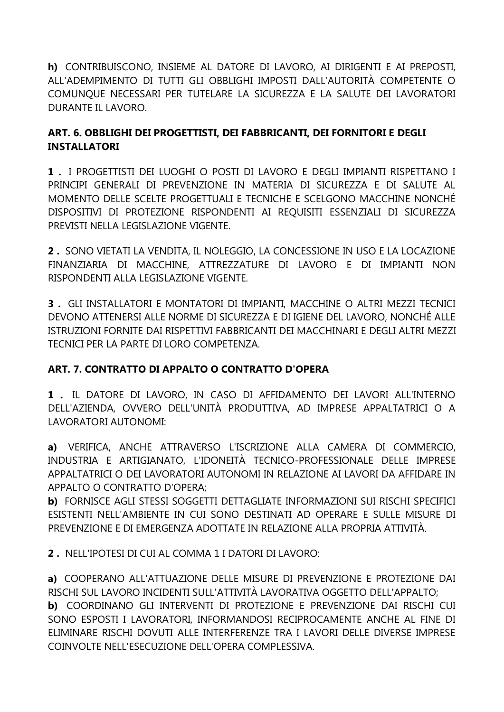**h)** CONTRIBUISCONO, INSIEME AL DATORE DI LAVORO, AI DIRIGENTI E AI PREPOSTI, ALL'ADEMPIMENTO DI TUTTI GLI OBBLIGHI IMPOSTI DALL'AUTORITÀ COMPETENTE O COMUNQUE NECESSARI PER TUTELARE LA SICUREZZA E LA SALUTE DEI LAVORATORI DURANTE IL LAVORO.

## **ART. 6. OBBLIGHI DEI PROGETTISTI, DEI FABBRICANTI, DEI FORNITORI E DEGLI INSTALLATORI**

**1 .** I PROGETTISTI DEI LUOGHI O POSTI DI LAVORO E DEGLI IMPIANTI RISPETTANO I PRINCIPI GENERALI DI PREVENZIONE IN MATERIA DI SICUREZZA E DI SALUTE AL MOMENTO DELLE SCELTE PROGETTUALI E TECNICHE E SCELGONO MACCHINE NONCHÉ DISPOSITIVI DI PROTEZIONE RISPONDENTI AI REQUISITI ESSENZIALI DI SICUREZZA PREVISTI NELLA LEGISLAZIONE VIGENTE.

**2 .** SONO VIETATI LA VENDITA, IL NOLEGGIO, LA CONCESSIONE IN USO E LA LOCAZIONE FINANZIARIA DI MACCHINE, ATTREZZATURE DI LAVORO E DI IMPIANTI NON RISPONDENTI ALLA LEGISLAZIONE VIGENTE.

**3 .** GLI INSTALLATORI E MONTATORI DI IMPIANTI, MACCHINE O ALTRI MEZZI TECNICI DEVONO ATTENERSI ALLE NORME DI SICUREZZA E DI IGIENE DEL LAVORO, NONCHÉ ALLE ISTRUZIONI FORNITE DAI RISPETTIVI FABBRICANTI DEI MACCHINARI E DEGLI ALTRI MEZZI TECNICI PER LA PARTE DI LORO COMPETENZA.

## **ART. 7. CONTRATTO DI APPALTO O CONTRATTO D'OPERA**

**1 .** IL DATORE DI LAVORO, IN CASO DI AFFIDAMENTO DEI LAVORI ALL'INTERNO DELL'AZIENDA, OVVERO DELL'UNITÀ PRODUTTIVA, AD IMPRESE APPALTATRICI O A LAVORATORI AUTONOMI:

**a)** VERIFICA, ANCHE ATTRAVERSO L'ISCRIZIONE ALLA CAMERA DI COMMERCIO, INDUSTRIA E ARTIGIANATO, L'IDONEITÀ TECNICO-PROFESSIONALE DELLE IMPRESE APPALTATRICI O DEI LAVORATORI AUTONOMI IN RELAZIONE AI LAVORI DA AFFIDARE IN APPALTO O CONTRATTO D'OPERA;

**b)** FORNISCE AGLI STESSI SOGGETTI DETTAGLIATE INFORMAZIONI SUI RISCHI SPECIFICI ESISTENTI NELL'AMBIENTE IN CUI SONO DESTINATI AD OPERARE E SULLE MISURE DI PREVENZIONE E DI EMERGENZA ADOTTATE IN RELAZIONE ALLA PROPRIA ATTIVITÀ.

**2 .** NELL'IPOTESI DI CUI AL COMMA 1 I DATORI DI LAVORO:

**a)** COOPERANO ALL'ATTUAZIONE DELLE MISURE DI PREVENZIONE E PROTEZIONE DAI RISCHI SUL LAVORO INCIDENTI SULL'ATTIVITÀ LAVORATIVA OGGETTO DELL'APPALTO; **b)** COORDINANO GLI INTERVENTI DI PROTEZIONE E PREVENZIONE DAI RISCHI CUI SONO ESPOSTI I LAVORATORI, INFORMANDOSI RECIPROCAMENTE ANCHE AL FINE DI ELIMINARE RISCHI DOVUTI ALLE INTERFERENZE TRA I LAVORI DELLE DIVERSE IMPRESE COINVOLTE NELL'ESECUZIONE DELL'OPERA COMPLESSIVA.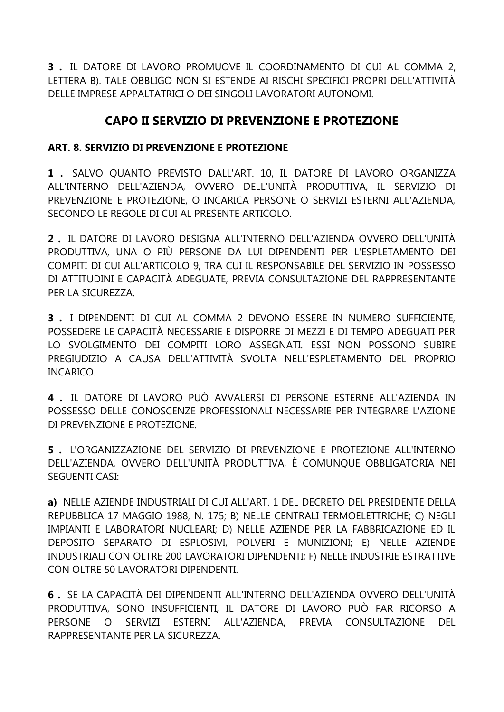**3 .** IL DATORE DI LAVORO PROMUOVE IL COORDINAMENTO DI CUI AL COMMA 2, LETTERA B). TALE OBBLIGO NON SI ESTENDE AI RISCHI SPECIFICI PROPRI DELL'ATTIVITÀ DELLE IMPRESE APPALTATRICI O DEI SINGOLI LAVORATORI AUTONOMI.

## **CAPO II SERVIZIO DI PREVENZIONE E PROTEZIONE**

## **ART. 8. SERVIZIO DI PREVENZIONE E PROTEZIONE**

**1 .** SALVO QUANTO PREVISTO DALL'ART. 10, IL DATORE DI LAVORO ORGANIZZA ALL'INTERNO DELL'AZIENDA, OVVERO DELL'UNITÀ PRODUTTIVA, IL SERVIZIO DI PREVENZIONE E PROTEZIONE, O INCARICA PERSONE O SERVIZI ESTERNI ALL'AZIENDA, SECONDO LE REGOLE DI CUI AL PRESENTE ARTICOLO.

**2 .** IL DATORE DI LAVORO DESIGNA ALL'INTERNO DELL'AZIENDA OVVERO DELL'UNITÀ PRODUTTIVA, UNA O PIÙ PERSONE DA LUI DIPENDENTI PER L'ESPLETAMENTO DEI COMPITI DI CUI ALL'ARTICOLO 9, TRA CUI IL RESPONSABILE DEL SERVIZIO IN POSSESSO DI ATTITUDINI E CAPACITÀ ADEGUATE, PREVIA CONSULTAZIONE DEL RAPPRESENTANTE PER LA SICUREZZA.

**3 .** I DIPENDENTI DI CUI AL COMMA 2 DEVONO ESSERE IN NUMERO SUFFICIENTE, POSSEDERE LE CAPACITÀ NECESSARIE E DISPORRE DI MEZZI E DI TEMPO ADEGUATI PER LO SVOLGIMENTO DEI COMPITI LORO ASSEGNATI. ESSI NON POSSONO SUBIRE PREGIUDIZIO A CAUSA DELL'ATTIVITÀ SVOLTA NELL'ESPLETAMENTO DEL PROPRIO INCARICO.

**4 .** IL DATORE DI LAVORO PUÒ AVVALERSI DI PERSONE ESTERNE ALL'AZIENDA IN POSSESSO DELLE CONOSCENZE PROFESSIONALI NECESSARIE PER INTEGRARE L'AZIONE DI PREVENZIONE E PROTEZIONE.

**5 .** L'ORGANIZZAZIONE DEL SERVIZIO DI PREVENZIONE E PROTEZIONE ALL'INTERNO DELL'AZIENDA, OVVERO DELL'UNITÀ PRODUTTIVA, È COMUNQUE OBBLIGATORIA NEI SEGUENTI CASI:

**a)** NELLE AZIENDE INDUSTRIALI DI CUI ALL'ART. 1 DEL DECRETO DEL PRESIDENTE DELLA REPUBBLICA 17 MAGGIO 1988, N. 175; B) NELLE CENTRALI TERMOELETTRICHE; C) NEGLI IMPIANTI E LABORATORI NUCLEARI; D) NELLE AZIENDE PER LA FABBRICAZIONE ED IL DEPOSITO SEPARATO DI ESPLOSIVI, POLVERI E MUNIZIONI; E) NELLE AZIENDE INDUSTRIALI CON OLTRE 200 LAVORATORI DIPENDENTI; F) NELLE INDUSTRIE ESTRATTIVE CON OLTRE 50 LAVORATORI DIPENDENTI.

**6 .** SE LA CAPACITÀ DEI DIPENDENTI ALL'INTERNO DELL'AZIENDA OVVERO DELL'UNITÀ PRODUTTIVA, SONO INSUFFICIENTI, IL DATORE DI LAVORO PUÒ FAR RICORSO A PERSONE O SERVIZI ESTERNI ALL'AZIENDA, PREVIA CONSULTAZIONE DEL RAPPRESENTANTE PER LA SICUREZZA.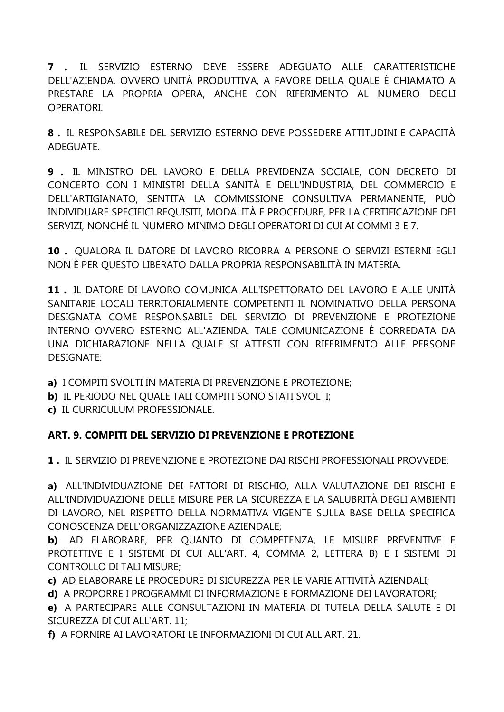**7 .** IL SERVIZIO ESTERNO DEVE ESSERE ADEGUATO ALLE CARATTERISTICHE DELL'AZIENDA, OVVERO UNITÀ PRODUTTIVA, A FAVORE DELLA QUALE È CHIAMATO A PRESTARE LA PROPRIA OPERA, ANCHE CON RIFERIMENTO AL NUMERO DEGLI OPERATORI.

**8 .** IL RESPONSABILE DEL SERVIZIO ESTERNO DEVE POSSEDERE ATTITUDINI E CAPACITÀ ADEGUATE.

**9 .** IL MINISTRO DEL LAVORO E DELLA PREVIDENZA SOCIALE, CON DECRETO DI CONCERTO CON I MINISTRI DELLA SANITÀ E DELL'INDUSTRIA, DEL COMMERCIO E DELL'ARTIGIANATO, SENTITA LA COMMISSIONE CONSULTIVA PERMANENTE, PUÒ INDIVIDUARE SPECIFICI REQUISITI, MODALITÀ E PROCEDURE, PER LA CERTIFICAZIONE DEI SERVIZI, NONCHÉ IL NUMERO MINIMO DEGLI OPERATORI DI CUI AI COMMI 3 E 7.

**10 .** QUALORA IL DATORE DI LAVORO RICORRA A PERSONE O SERVIZI ESTERNI EGLI NON È PER QUESTO LIBERATO DALLA PROPRIA RESPONSABILITÀ IN MATERIA.

**11 .** IL DATORE DI LAVORO COMUNICA ALL'ISPETTORATO DEL LAVORO E ALLE UNITÀ SANITARIE LOCALI TERRITORIALMENTE COMPETENTI IL NOMINATIVO DELLA PERSONA DESIGNATA COME RESPONSABILE DEL SERVIZIO DI PREVENZIONE E PROTEZIONE INTERNO OVVERO ESTERNO ALL'AZIENDA. TALE COMUNICAZIONE È CORREDATA DA UNA DICHIARAZIONE NELLA QUALE SI ATTESTI CON RIFERIMENTO ALLE PERSONE DESIGNATE:

- **a)** I COMPITI SVOLTI IN MATERIA DI PREVENZIONE E PROTEZIONE;
- **b)** IL PERIODO NEL QUALE TALI COMPITI SONO STATI SVOLTI;
- **c)** IL CURRICULUM PROFESSIONALE.

## **ART. 9. COMPITI DEL SERVIZIO DI PREVENZIONE E PROTEZIONE**

**1 .** IL SERVIZIO DI PREVENZIONE E PROTEZIONE DAI RISCHI PROFESSIONALI PROVVEDE:

**a)** ALL'INDIVIDUAZIONE DEI FATTORI DI RISCHIO, ALLA VALUTAZIONE DEI RISCHI E ALL'INDIVIDUAZIONE DELLE MISURE PER LA SICUREZZA E LA SALUBRITÀ DEGLI AMBIENTI DI LAVORO, NEL RISPETTO DELLA NORMATIVA VIGENTE SULLA BASE DELLA SPECIFICA CONOSCENZA DELL'ORGANIZZAZIONE AZIENDALE;

**b)** AD ELABORARE, PER QUANTO DI COMPETENZA, LE MISURE PREVENTIVE E PROTETTIVE E I SISTEMI DI CUI ALL'ART. 4, COMMA 2, LETTERA B) E I SISTEMI DI CONTROLLO DI TALI MISURE;

**c)** AD ELABORARE LE PROCEDURE DI SICUREZZA PER LE VARIE ATTIVITÀ AZIENDALI;

**d)** A PROPORRE I PROGRAMMI DI INFORMAZIONE E FORMAZIONE DEI LAVORATORI;

**e)** A PARTECIPARE ALLE CONSULTAZIONI IN MATERIA DI TUTELA DELLA SALUTE E DI SICUREZZA DI CUI ALL'ART. 11;

**f)** A FORNIRE AI LAVORATORI LE INFORMAZIONI DI CUI ALL'ART. 21.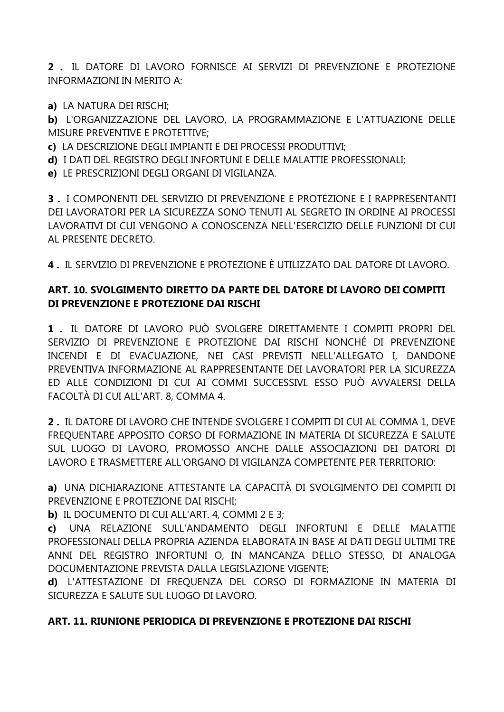**2 .** IL DATORE DI LAVORO FORNISCE AI SERVIZI DI PREVENZIONE E PROTEZIONE INFORMAZIONI IN MERITO A:

**a)** LA NATURA DEI RISCHI;

**b)** L'ORGANIZZAZIONE DEL LAVORO, LA PROGRAMMAZIONE E L'ATTUAZIONE DELLE MISURE PREVENTIVE E PROTETTIVE;

**c)** LA DESCRIZIONE DEGLI IMPIANTI E DEI PROCESSI PRODUTTIVI;

**d)** I DATI DEL REGISTRO DEGLI INFORTUNI E DELLE MALATTIE PROFESSIONALI;

**e)** LE PRESCRIZIONI DEGLI ORGANI DI VIGILANZA.

**3 .** I COMPONENTI DEL SERVIZIO DI PREVENZIONE E PROTEZIONE E I RAPPRESENTANTI DEI LAVORATORI PER LA SICUREZZA SONO TENUTI AL SEGRETO IN ORDINE AI PROCESSI LAVORATIVI DI CUI VENGONO A CONOSCENZA NELL'ESERCIZIO DELLE FUNZIONI DI CUI AL PRESENTE DECRETO.

**4 .** IL SERVIZIO DI PREVENZIONE E PROTEZIONE È UTILIZZATO DAL DATORE DI LAVORO.

## **ART. 10. SVOLGIMENTO DIRETTO DA PARTE DEL DATORE DI LAVORO DEI COMPITI DI PREVENZIONE E PROTEZIONE DAI RISCHI**

**1 .** IL DATORE DI LAVORO PUÒ SVOLGERE DIRETTAMENTE I COMPITI PROPRI DEL SERVIZIO DI PREVENZIONE E PROTEZIONE DAI RISCHI NONCHÉ DI PREVENZIONE INCENDI E DI EVACUAZIONE, NEI CASI PREVISTI NELL'ALLEGATO I, DANDONE PREVENTIVA INFORMAZIONE AL RAPPRESENTANTE DEI LAVORATORI PER LA SICUREZZA ED ALLE CONDIZIONI DI CUI AI COMMI SUCCESSIVI. ESSO PUÒ AVVALERSI DELLA FACOLTÀ DI CUI ALL'ART. 8, COMMA 4.

**2 .** IL DATORE DI LAVORO CHE INTENDE SVOLGERE I COMPITI DI CUI AL COMMA 1, DEVE FREQUENTARE APPOSITO CORSO DI FORMAZIONE IN MATERIA DI SICUREZZA E SALUTE SUL LUOGO DI LAVORO, PROMOSSO ANCHE DALLE ASSOCIAZIONI DEI DATORI DI LAVORO E TRASMETTERE ALL'ORGANO DI VIGILANZA COMPETENTE PER TERRITORIO:

**a)** UNA DICHIARAZIONE ATTESTANTE LA CAPACITÀ DI SVOLGIMENTO DEI COMPITI DI PREVENZIONE E PROTEZIONE DAI RISCHI;

**b)** IL DOCUMENTO DI CUI ALL'ART. 4, COMMI 2 E 3;

**c)** UNA RELAZIONE SULL'ANDAMENTO DEGLI INFORTUNI E DELLE MALATTIE PROFESSIONALI DELLA PROPRIA AZIENDA ELABORATA IN BASE AI DATI DEGLI ULTIMI TRE ANNI DEL REGISTRO INFORTUNI O, IN MANCANZA DELLO STESSO, DI ANALOGA DOCUMENTAZIONE PREVISTA DALLA LEGISLAZIONE VIGENTE;

**d)** L'ATTESTAZIONE DI FREQUENZA DEL CORSO DI FORMAZIONE IN MATERIA DI SICUREZZA E SALUTE SUL LUOGO DI LAVORO.

## **ART. 11. RIUNIONE PERIODICA DI PREVENZIONE E PROTEZIONE DAI RISCHI**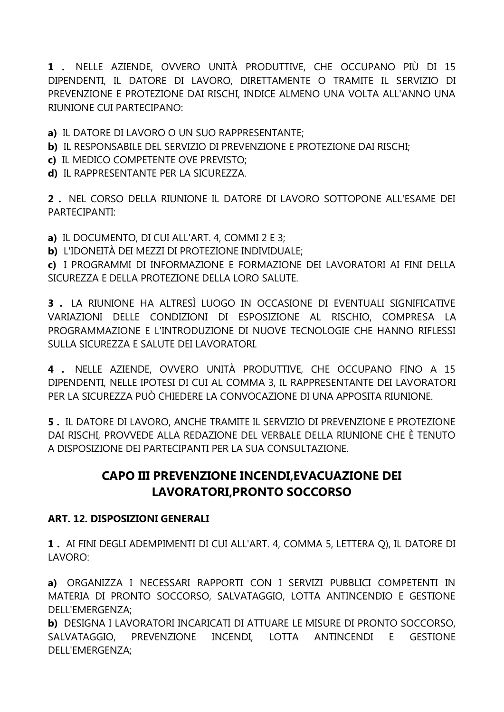**1 .** NELLE AZIENDE, OVVERO UNITÀ PRODUTTIVE, CHE OCCUPANO PIÙ DI 15 DIPENDENTI, IL DATORE DI LAVORO, DIRETTAMENTE O TRAMITE IL SERVIZIO DI PREVENZIONE E PROTEZIONE DAI RISCHI, INDICE ALMENO UNA VOLTA ALL'ANNO UNA RIUNIONE CUI PARTECIPANO:

- **a)** IL DATORE DI LAVORO O UN SUO RAPPRESENTANTE;
- **b)** IL RESPONSABILE DEL SERVIZIO DI PREVENZIONE E PROTEZIONE DAI RISCHI;
- **c)** IL MEDICO COMPETENTE OVE PREVISTO;
- **d)** IL RAPPRESENTANTE PER LA SICUREZZA.

**2 .** NEL CORSO DELLA RIUNIONE IL DATORE DI LAVORO SOTTOPONE ALL'ESAME DEI PARTECIPANTI:

**a)** IL DOCUMENTO, DI CUI ALL'ART. 4, COMMI 2 E 3;

**b)** L'IDONEITÀ DEI MEZZI DI PROTEZIONE INDIVIDUALE;

**c)** I PROGRAMMI DI INFORMAZIONE E FORMAZIONE DEI LAVORATORI AI FINI DELLA SICUREZZA E DELLA PROTEZIONE DELLA LORO SALUTE.

**3 .** LA RIUNIONE HA ALTRESÌ LUOGO IN OCCASIONE DI EVENTUALI SIGNIFICATIVE VARIAZIONI DELLE CONDIZIONI DI ESPOSIZIONE AL RISCHIO, COMPRESA LA PROGRAMMAZIONE E L'INTRODUZIONE DI NUOVE TECNOLOGIE CHE HANNO RIFLESSI SULLA SICUREZZA E SALUTE DEI LAVORATORI.

**4 .** NELLE AZIENDE, OVVERO UNITÀ PRODUTTIVE, CHE OCCUPANO FINO A 15 DIPENDENTI, NELLE IPOTESI DI CUI AL COMMA 3, IL RAPPRESENTANTE DEI LAVORATORI PER LA SICUREZZA PUÒ CHIEDERE LA CONVOCAZIONE DI UNA APPOSITA RIUNIONE.

**5 .** IL DATORE DI LAVORO, ANCHE TRAMITE IL SERVIZIO DI PREVENZIONE E PROTEZIONE DAI RISCHI, PROVVEDE ALLA REDAZIONE DEL VERBALE DELLA RIUNIONE CHE È TENUTO A DISPOSIZIONE DEI PARTECIPANTI PER LA SUA CONSULTAZIONE.

# **CAPO III PREVENZIONE INCENDI,EVACUAZIONE DEI LAVORATORI,PRONTO SOCCORSO**

## **ART. 12. DISPOSIZIONI GENERALI**

**1 .** AI FINI DEGLI ADEMPIMENTI DI CUI ALL'ART. 4, COMMA 5, LETTERA Q), IL DATORE DI LAVORO:

**a)** ORGANIZZA I NECESSARI RAPPORTI CON I SERVIZI PUBBLICI COMPETENTI IN MATERIA DI PRONTO SOCCORSO, SALVATAGGIO, LOTTA ANTINCENDIO E GESTIONE DELL'EMERGENZA;

**b)** DESIGNA I LAVORATORI INCARICATI DI ATTUARE LE MISURE DI PRONTO SOCCORSO, SALVATAGGIO, PREVENZIONE INCENDI, LOTTA ANTINCENDI E GESTIONE DELL'EMERGENZA;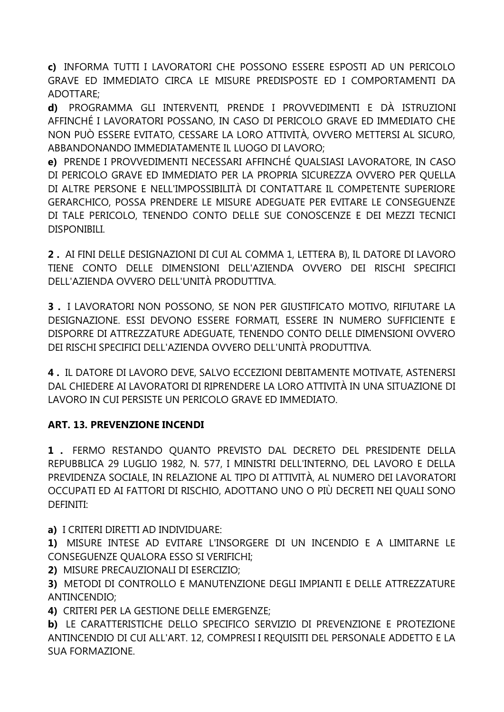**c)** INFORMA TUTTI I LAVORATORI CHE POSSONO ESSERE ESPOSTI AD UN PERICOLO GRAVE ED IMMEDIATO CIRCA LE MISURE PREDISPOSTE ED I COMPORTAMENTI DA ADOTTARE;

**d)** PROGRAMMA GLI INTERVENTI, PRENDE I PROVVEDIMENTI E DÀ ISTRUZIONI AFFINCHÉ I LAVORATORI POSSANO, IN CASO DI PERICOLO GRAVE ED IMMEDIATO CHE NON PUÒ ESSERE EVITATO, CESSARE LA LORO ATTIVITÀ, OVVERO METTERSI AL SICURO, ABBANDONANDO IMMEDIATAMENTE IL LUOGO DI LAVORO;

**e)** PRENDE I PROVVEDIMENTI NECESSARI AFFINCHÉ QUALSIASI LAVORATORE, IN CASO DI PERICOLO GRAVE ED IMMEDIATO PER LA PROPRIA SICUREZZA OVVERO PER QUELLA DI ALTRE PERSONE E NELL'IMPOSSIBILITÀ DI CONTATTARE IL COMPETENTE SUPERIORE GERARCHICO, POSSA PRENDERE LE MISURE ADEGUATE PER EVITARE LE CONSEGUENZE DI TALE PERICOLO, TENENDO CONTO DELLE SUE CONOSCENZE E DEI MEZZI TECNICI DISPONIBILI.

**2 .** AI FINI DELLE DESIGNAZIONI DI CUI AL COMMA 1, LETTERA B), IL DATORE DI LAVORO TIENE CONTO DELLE DIMENSIONI DELL'AZIENDA OVVERO DEI RISCHI SPECIFICI DELL'AZIENDA OVVERO DELL'UNITÀ PRODUTTIVA.

**3 .** I LAVORATORI NON POSSONO, SE NON PER GIUSTIFICATO MOTIVO, RIFIUTARE LA DESIGNAZIONE. ESSI DEVONO ESSERE FORMATI, ESSERE IN NUMERO SUFFICIENTE E DISPORRE DI ATTREZZATURE ADEGUATE, TENENDO CONTO DELLE DIMENSIONI OVVERO DEI RISCHI SPECIFICI DELL'AZIENDA OVVERO DELL'UNITÀ PRODUTTIVA.

**4 .** IL DATORE DI LAVORO DEVE, SALVO ECCEZIONI DEBITAMENTE MOTIVATE, ASTENERSI DAL CHIEDERE AI LAVORATORI DI RIPRENDERE LA LORO ATTIVITÀ IN UNA SITUAZIONE DI LAVORO IN CUI PERSISTE UN PERICOLO GRAVE ED IMMEDIATO.

## **ART. 13. PREVENZIONE INCENDI**

**1 .** FERMO RESTANDO QUANTO PREVISTO DAL DECRETO DEL PRESIDENTE DELLA REPUBBLICA 29 LUGLIO 1982, N. 577, I MINISTRI DELL'INTERNO, DEL LAVORO E DELLA PREVIDENZA SOCIALE, IN RELAZIONE AL TIPO DI ATTIVITÀ, AL NUMERO DEI LAVORATORI OCCUPATI ED AI FATTORI DI RISCHIO, ADOTTANO UNO O PIÙ DECRETI NEI QUALI SONO DEFINITI:

**a)** I CRITERI DIRETTI AD INDIVIDUARE:

**1)** MISURE INTESE AD EVITARE L'INSORGERE DI UN INCENDIO E A LIMITARNE LE CONSEGUENZE QUALORA ESSO SI VERIFICHI;

**2)** MISURE PRECAUZIONALI DI ESERCIZIO;

**3)** METODI DI CONTROLLO E MANUTENZIONE DEGLI IMPIANTI E DELLE ATTREZZATURE ANTINCENDIO;

**4)** CRITERI PER LA GESTIONE DELLE EMERGENZE;

**b)** LE CARATTERISTICHE DELLO SPECIFICO SERVIZIO DI PREVENZIONE E PROTEZIONE ANTINCENDIO DI CUI ALL'ART. 12, COMPRESI I REQUISITI DEL PERSONALE ADDETTO E LA SUA FORMAZIONE.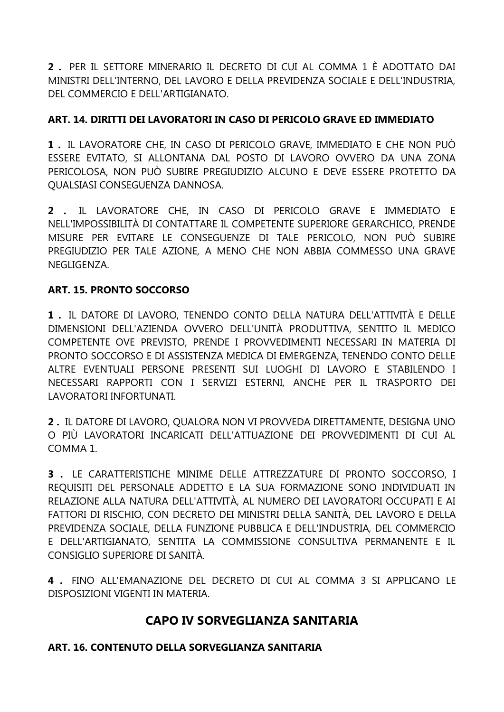**2 .** PER IL SETTORE MINERARIO IL DECRETO DI CUI AL COMMA 1 È ADOTTATO DAI MINISTRI DELL'INTERNO, DEL LAVORO E DELLA PREVIDENZA SOCIALE E DELL'INDUSTRIA, DEL COMMERCIO E DELL'ARTIGIANATO.

## **ART. 14. DIRITTI DEI LAVORATORI IN CASO DI PERICOLO GRAVE ED IMMEDIATO**

**1 .** IL LAVORATORE CHE, IN CASO DI PERICOLO GRAVE, IMMEDIATO E CHE NON PUÒ ESSERE EVITATO, SI ALLONTANA DAL POSTO DI LAVORO OVVERO DA UNA ZONA PERICOLOSA, NON PUÒ SUBIRE PREGIUDIZIO ALCUNO E DEVE ESSERE PROTETTO DA QUALSIASI CONSEGUENZA DANNOSA.

**2 .** IL LAVORATORE CHE, IN CASO DI PERICOLO GRAVE E IMMEDIATO E NELL'IMPOSSIBILITÀ DI CONTATTARE IL COMPETENTE SUPERIORE GERARCHICO, PRENDE MISURE PER EVITARE LE CONSEGUENZE DI TALE PERICOLO, NON PUÒ SUBIRE PREGIUDIZIO PER TALE AZIONE, A MENO CHE NON ABBIA COMMESSO UNA GRAVE NEGLIGENZA.

## **ART. 15. PRONTO SOCCORSO**

**1 .** IL DATORE DI LAVORO, TENENDO CONTO DELLA NATURA DELL'ATTIVITÀ E DELLE DIMENSIONI DELL'AZIENDA OVVERO DELL'UNITÀ PRODUTTIVA, SENTITO IL MEDICO COMPETENTE OVE PREVISTO, PRENDE I PROVVEDIMENTI NECESSARI IN MATERIA DI PRONTO SOCCORSO E DI ASSISTENZA MEDICA DI EMERGENZA, TENENDO CONTO DELLE ALTRE EVENTUALI PERSONE PRESENTI SUI LUOGHI DI LAVORO E STABILENDO I NECESSARI RAPPORTI CON I SERVIZI ESTERNI, ANCHE PER IL TRASPORTO DEI LAVORATORI INFORTUNATI.

**2 .** IL DATORE DI LAVORO, QUALORA NON VI PROVVEDA DIRETTAMENTE, DESIGNA UNO O PIÙ LAVORATORI INCARICATI DELL'ATTUAZIONE DEI PROVVEDIMENTI DI CUI AL COMMA 1.

**3 .** LE CARATTERISTICHE MINIME DELLE ATTREZZATURE DI PRONTO SOCCORSO, I REQUISITI DEL PERSONALE ADDETTO E LA SUA FORMAZIONE SONO INDIVIDUATI IN RELAZIONE ALLA NATURA DELL'ATTIVITÀ, AL NUMERO DEI LAVORATORI OCCUPATI E AI FATTORI DI RISCHIO, CON DECRETO DEI MINISTRI DELLA SANITÀ, DEL LAVORO E DELLA PREVIDENZA SOCIALE, DELLA FUNZIONE PUBBLICA E DELL'INDUSTRIA, DEL COMMERCIO E DELL'ARTIGIANATO, SENTITA LA COMMISSIONE CONSULTIVA PERMANENTE E IL CONSIGLIO SUPERIORE DI SANITÀ.

**4 .** FINO ALL'EMANAZIONE DEL DECRETO DI CUI AL COMMA 3 SI APPLICANO LE DISPOSIZIONI VIGENTI IN MATERIA.

## **CAPO IV SORVEGLIANZA SANITARIA**

## **ART. 16. CONTENUTO DELLA SORVEGLIANZA SANITARIA**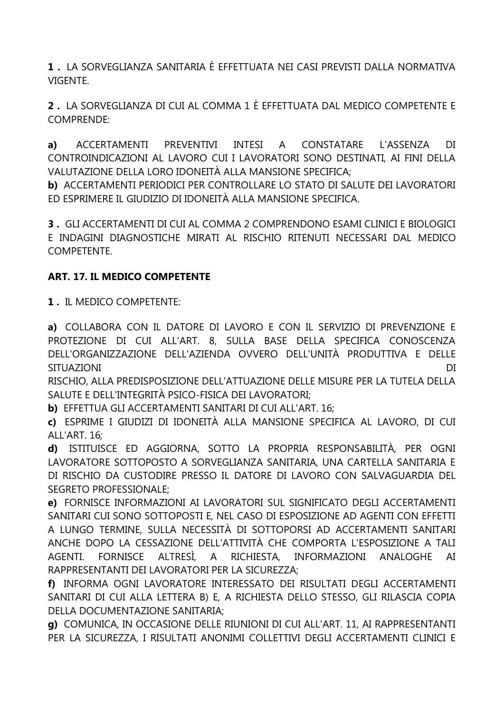**1 .** LA SORVEGLIANZA SANITARIA È EFFETTUATA NEI CASI PREVISTI DALLA NORMATIVA VIGENTE.

**2 .** LA SORVEGLIANZA DI CUI AL COMMA 1 È EFFETTUATA DAL MEDICO COMPETENTE E COMPRENDE:

**a)** ACCERTAMENTI PREVENTIVI INTESI A CONSTATARE L'ASSENZA DI CONTROINDICAZIONI AL LAVORO CUI I LAVORATORI SONO DESTINATI, AI FINI DELLA VALUTAZIONE DELLA LORO IDONEITÀ ALLA MANSIONE SPECIFICA;

**b)** ACCERTAMENTI PERIODICI PER CONTROLLARE LO STATO DI SALUTE DEI LAVORATORI ED ESPRIMERE IL GIUDIZIO DI IDONEITÀ ALLA MANSIONE SPECIFICA.

**3 .** GLI ACCERTAMENTI DI CUI AL COMMA 2 COMPRENDONO ESAMI CLINICI E BIOLOGICI E INDAGINI DIAGNOSTICHE MIRATI AL RISCHIO RITENUTI NECESSARI DAL MEDICO COMPETENTE.

## **ART. 17. IL MEDICO COMPETENTE**

**1 .** IL MEDICO COMPETENTE:

**a)** COLLABORA CON IL DATORE DI LAVORO E CON IL SERVIZIO DI PREVENZIONE E PROTEZIONE DI CUI ALL'ART. 8, SULLA BASE DELLA SPECIFICA CONOSCENZA DELL'ORGANIZZAZIONE DELL'AZIENDA OVVERO DELL'UNITÀ PRODUTTIVA E DELLE SITUAZIONI DI DI SITUAZIONI DI SITUAZIONI DI SITUAZIONI DI SITUAZIONI DI SITUAZIONI DI DI SITUAZIONI DI SITUA

RISCHIO, ALLA PREDISPOSIZIONE DELL'ATTUAZIONE DELLE MISURE PER LA TUTELA DELLA SALUTE E DELL'INTEGRITÀ PSICO-FISICA DEI LAVORATORI;

**b)** EFFETTUA GLI ACCERTAMENTI SANITARI DI CUI ALL'ART. 16;

**c)** ESPRIME I GIUDIZI DI IDONEITÀ ALLA MANSIONE SPECIFICA AL LAVORO, DI CUI ALL'ART. 16;

**d)** ISTITUISCE ED AGGIORNA, SOTTO LA PROPRIA RESPONSABILITÀ, PER OGNI LAVORATORE SOTTOPOSTO A SORVEGLIANZA SANITARIA, UNA CARTELLA SANITARIA E DI RISCHIO DA CUSTODIRE PRESSO IL DATORE DI LAVORO CON SALVAGUARDIA DEL SEGRETO PROFESSIONALE;

**e)** FORNISCE INFORMAZIONI AI LAVORATORI SUL SIGNIFICATO DEGLI ACCERTAMENTI SANITARI CUI SONO SOTTOPOSTI E, NEL CASO DI ESPOSIZIONE AD AGENTI CON EFFETTI A LUNGO TERMINE, SULLA NECESSITÀ DI SOTTOPORSI AD ACCERTAMENTI SANITARI ANCHE DOPO LA CESSAZIONE DELL'ATTIVITÀ CHE COMPORTA L'ESPOSIZIONE A TALI AGENTI. FORNISCE ALTRESÌ, A RICHIESTA, INFORMAZIONI ANALOGHE AI RAPPRESENTANTI DEI LAVORATORI PER LA SICUREZZA;

**f)** INFORMA OGNI LAVORATORE INTERESSATO DEI RISULTATI DEGLI ACCERTAMENTI SANITARI DI CUI ALLA LETTERA B) E, A RICHIESTA DELLO STESSO, GLI RILASCIA COPIA DELLA DOCUMENTAZIONE SANITARIA;

**g)** COMUNICA, IN OCCASIONE DELLE RIUNIONI DI CUI ALL'ART. 11, AI RAPPRESENTANTI PER LA SICUREZZA, I RISULTATI ANONIMI COLLETTIVI DEGLI ACCERTAMENTI CLINICI E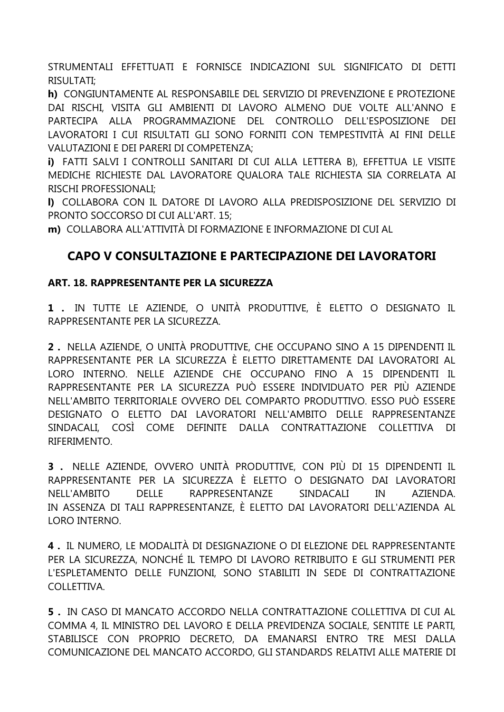STRUMENTALI EFFETTUATI E FORNISCE INDICAZIONI SUL SIGNIFICATO DI DETTI **RISULTATI:** 

h) CONGIUNTAMENTE AL RESPONSABILE DEL SERVIZIO DI PREVENZIONE E PROTEZIONE DAI RISCHI, VISITA GLI AMBIENTI DI LAVORO ALMENO DUE VOLTE ALL'ANNO E PARTECIPA ALLA PROGRAMMAZIONE DEL CONTROLLO DELL'ESPOSIZIONE DEI LAVORATORI I CUI RISULTATI GLI SONO FORNITI CON TEMPESTIVITÀ AI FINI DELLE VALUTAZIONI E DEI PARERI DI COMPETENZA;

i) FATTI SALVI I CONTROLLI SANITARI DI CUI ALLA LETTERA B), EFFETTUA LE VISITE MEDICHE RICHIESTE DAL LAVORATORE QUALORA TALE RICHIESTA SIA CORRELATA AI **RISCHI PROFESSIONALI:** 

I) COLLABORA CON IL DATORE DI LAVORO ALLA PREDISPOSIZIONE DEL SERVIZIO DI PRONTO SOCCORSO DI CUI ALL'ART. 15:

m) COLLABORA ALL'ATTIVITÀ DI FORMAZIONE E INFORMAZIONE DI CUI AL

## CAPO V CONSULTAZIONE E PARTECIPAZIONE DEI LAVORATORI

#### ART. 18. RAPPRESENTANTE PER LA SICUREZZA

1. IN TUTTE LE AZIENDE, O UNITÀ PRODUTTIVE, È ELETTO O DESIGNATO IL RAPPRESENTANTE PER LA SICUREZZA.

2. NELLA AZIENDE, O UNITÀ PRODUTTIVE, CHE OCCUPANO SINO A 15 DIPENDENTI IL RAPPRESENTANTE PER LA SICUREZZA È ELETTO DIRETTAMENTE DAI LAVORATORI AL LORO INTERNO. NELLE AZIENDE CHE OCCUPANO FINO A 15 DIPENDENTI IL RAPPRESENTANTE PER LA SICUREZZA PUÒ ESSERE INDIVIDUATO PER PIÙ AZIENDE NELL'AMBITO TERRITORIALE OVVERO DEL COMPARTO PRODUTTIVO. ESSO PUÒ ESSERE DESIGNATO O ELETTO DAI LAVORATORI NELL'AMBITO DELLE RAPPRESENTANZE SINDACALI. COSÌ COME DEFINITE DALLA CONTRATTAZIONE COLLETTIVA  $DI$ RIFERIMENTO.

3. NELLE AZIENDE, OVVERO UNITÀ PRODUTTIVE, CON PIÙ DI 15 DIPENDENTI IL RAPPRESENTANTE PER LA SICUREZZA È ELETTO O DESIGNATO DAI LAVORATORI NELL'AMBITO **DELLE** RAPPRESENTANZE SINDACALI IN AZIENDA. IN ASSENZA DI TALI RAPPRESENTANZE, È ELETTO DAI LAVORATORI DELL'AZIENDA AL LORO INTERNO.

4. IL NUMERO, LE MODALITÀ DI DESIGNAZIONE O DI ELEZIONE DEL RAPPRESENTANTE PER LA SICUREZZA, NONCHÉ IL TEMPO DI LAVORO RETRIBUITO E GLI STRUMENTI PER L'ESPLETAMENTO DELLE FUNZIONI, SONO STABILITI IN SEDE DI CONTRATTAZIONE COLLETTIVA.

5. IN CASO DI MANCATO ACCORDO NELLA CONTRATTAZIONE COLLETTIVA DI CUI AL COMMA 4, IL MINISTRO DEL LAVORO E DELLA PREVIDENZA SOCIALE, SENTITE LE PARTI, STABILISCE CON PROPRIO DECRETO, DA EMANARSI ENTRO TRE MESI DALLA COMUNICAZIONE DEL MANCATO ACCORDO, GLI STANDARDS RELATIVI ALLE MATERIE DI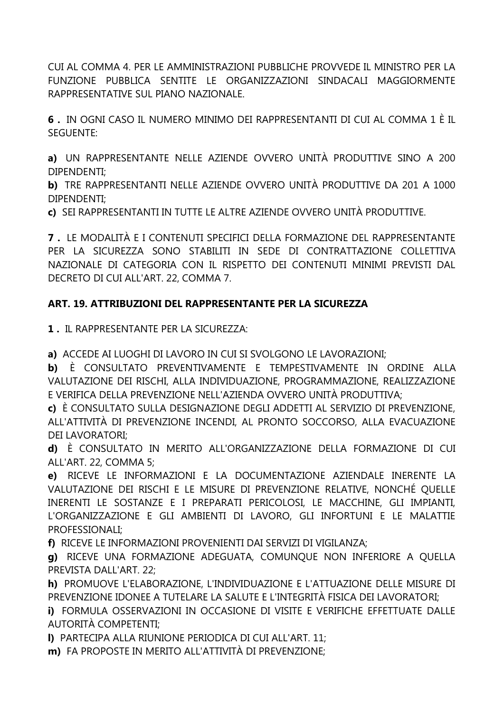CUI AL COMMA 4. PER LE AMMINISTRAZIONI PUBBLICHE PROVVEDE IL MINISTRO PER LA FUNZIONE PUBBLICA SENTITE LE ORGANIZZAZIONI SINDACALI MAGGIORMENTE RAPPRESENTATIVE SUL PIANO NAZIONALE.

**6 .** IN OGNI CASO IL NUMERO MINIMO DEI RAPPRESENTANTI DI CUI AL COMMA 1 È IL SEGUENTE:

**a)** UN RAPPRESENTANTE NELLE AZIENDE OVVERO UNITÀ PRODUTTIVE SINO A 200 DIPENDENTI;

**b)** TRE RAPPRESENTANTI NELLE AZIENDE OVVERO UNITÀ PRODUTTIVE DA 201 A 1000 DIPENDENTI;

**c)** SEI RAPPRESENTANTI IN TUTTE LE ALTRE AZIENDE OVVERO UNITÀ PRODUTTIVE.

**7 .** LE MODALITÀ E I CONTENUTI SPECIFICI DELLA FORMAZIONE DEL RAPPRESENTANTE PER LA SICUREZZA SONO STABILITI IN SEDE DI CONTRATTAZIONE COLLETTIVA NAZIONALE DI CATEGORIA CON IL RISPETTO DEI CONTENUTI MINIMI PREVISTI DAL DECRETO DI CUI ALL'ART. 22, COMMA 7.

## **ART. 19. ATTRIBUZIONI DEL RAPPRESENTANTE PER LA SICUREZZA**

**1 .** IL RAPPRESENTANTE PER LA SICUREZZA:

**a)** ACCEDE AI LUOGHI DI LAVORO IN CUI SI SVOLGONO LE LAVORAZIONI;

**b)** È CONSULTATO PREVENTIVAMENTE E TEMPESTIVAMENTE IN ORDINE ALLA VALUTAZIONE DEI RISCHI, ALLA INDIVIDUAZIONE, PROGRAMMAZIONE, REALIZZAZIONE E VERIFICA DELLA PREVENZIONE NELL'AZIENDA OVVERO UNITÀ PRODUTTIVA;

**c)** È CONSULTATO SULLA DESIGNAZIONE DEGLI ADDETTI AL SERVIZIO DI PREVENZIONE, ALL'ATTIVITÀ DI PREVENZIONE INCENDI, AL PRONTO SOCCORSO, ALLA EVACUAZIONE DEI LAVORATORI;

**d)** È CONSULTATO IN MERITO ALL'ORGANIZZAZIONE DELLA FORMAZIONE DI CUI ALL'ART. 22, COMMA 5;

**e)** RICEVE LE INFORMAZIONI E LA DOCUMENTAZIONE AZIENDALE INERENTE LA VALUTAZIONE DEI RISCHI E LE MISURE DI PREVENZIONE RELATIVE, NONCHÉ QUELLE INERENTI LE SOSTANZE E I PREPARATI PERICOLOSI, LE MACCHINE, GLI IMPIANTI, L'ORGANIZZAZIONE E GLI AMBIENTI DI LAVORO, GLI INFORTUNI E LE MALATTIE PROFESSIONALI;

**f)** RICEVE LE INFORMAZIONI PROVENIENTI DAI SERVIZI DI VIGILANZA;

**g)** RICEVE UNA FORMAZIONE ADEGUATA, COMUNQUE NON INFERIORE A QUELLA PREVISTA DALL'ART. 22;

**h)** PROMUOVE L'ELABORAZIONE, L'INDIVIDUAZIONE E L'ATTUAZIONE DELLE MISURE DI PREVENZIONE IDONEE A TUTELARE LA SALUTE E L'INTEGRITÀ FISICA DEI LAVORATORI;

**i)** FORMULA OSSERVAZIONI IN OCCASIONE DI VISITE E VERIFICHE EFFETTUATE DALLE AUTORITÀ COMPETENTI;

**l)** PARTECIPA ALLA RIUNIONE PERIODICA DI CUI ALL'ART. 11;

**m)** FA PROPOSTE IN MERITO ALL'ATTIVITÀ DI PREVENZIONE;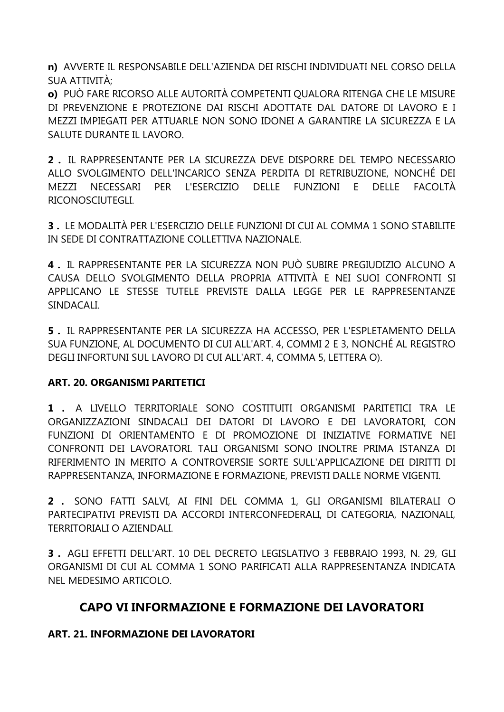**n)** AVVERTE IL RESPONSABILE DELL'AZIENDA DEI RISCHI INDIVIDUATI NEL CORSO DELLA SUA ATTIVITÀ;

**o)** PUÒ FARE RICORSO ALLE AUTORITÀ COMPETENTI QUALORA RITENGA CHE LE MISURE DI PREVENZIONE E PROTEZIONE DAI RISCHI ADOTTATE DAL DATORE DI LAVORO E I MEZZI IMPIEGATI PER ATTUARLE NON SONO IDONEI A GARANTIRE LA SICUREZZA E LA SALUTE DURANTE IL LAVORO.

**2 .** IL RAPPRESENTANTE PER LA SICUREZZA DEVE DISPORRE DEL TEMPO NECESSARIO ALLO SVOLGIMENTO DELL'INCARICO SENZA PERDITA DI RETRIBUZIONE, NONCHÉ DEI MEZZI NECESSARI PER L'ESERCIZIO DELLE FUNZIONI E DELLE FACOLTÀ RICONOSCIUTEGLI.

**3 .** LE MODALITÀ PER L'ESERCIZIO DELLE FUNZIONI DI CUI AL COMMA 1 SONO STABILITE IN SEDE DI CONTRATTAZIONE COLLETTIVA NAZIONALE.

**4 .** IL RAPPRESENTANTE PER LA SICUREZZA NON PUÒ SUBIRE PREGIUDIZIO ALCUNO A CAUSA DELLO SVOLGIMENTO DELLA PROPRIA ATTIVITÀ E NEI SUOI CONFRONTI SI APPLICANO LE STESSE TUTELE PREVISTE DALLA LEGGE PER LE RAPPRESENTANZE SINDACALI.

**5 .** IL RAPPRESENTANTE PER LA SICUREZZA HA ACCESSO, PER L'ESPLETAMENTO DELLA SUA FUNZIONE, AL DOCUMENTO DI CUI ALL'ART. 4, COMMI 2 E 3, NONCHÉ AL REGISTRO DEGLI INFORTUNI SUL LAVORO DI CUI ALL'ART. 4, COMMA 5, LETTERA O).

## **ART. 20. ORGANISMI PARITETICI**

**1 .** A LIVELLO TERRITORIALE SONO COSTITUITI ORGANISMI PARITETICI TRA LE ORGANIZZAZIONI SINDACALI DEI DATORI DI LAVORO E DEI LAVORATORI, CON FUNZIONI DI ORIENTAMENTO E DI PROMOZIONE DI INIZIATIVE FORMATIVE NEI CONFRONTI DEI LAVORATORI. TALI ORGANISMI SONO INOLTRE PRIMA ISTANZA DI RIFERIMENTO IN MERITO A CONTROVERSIE SORTE SULL'APPLICAZIONE DEI DIRITTI DI RAPPRESENTANZA, INFORMAZIONE E FORMAZIONE, PREVISTI DALLE NORME VIGENTI.

**2 .** SONO FATTI SALVI, AI FINI DEL COMMA 1, GLI ORGANISMI BILATERALI O PARTECIPATIVI PREVISTI DA ACCORDI INTERCONFEDERALI, DI CATEGORIA, NAZIONALI, TERRITORIALI O AZIENDALI.

**3 .** AGLI EFFETTI DELL'ART. 10 DEL DECRETO LEGISLATIVO 3 FEBBRAIO 1993, N. 29, GLI ORGANISMI DI CUI AL COMMA 1 SONO PARIFICATI ALLA RAPPRESENTANZA INDICATA NEL MEDESIMO ARTICOLO.

## **CAPO VI INFORMAZIONE E FORMAZIONE DEI LAVORATORI**

## **ART. 21. INFORMAZIONE DEI LAVORATORI**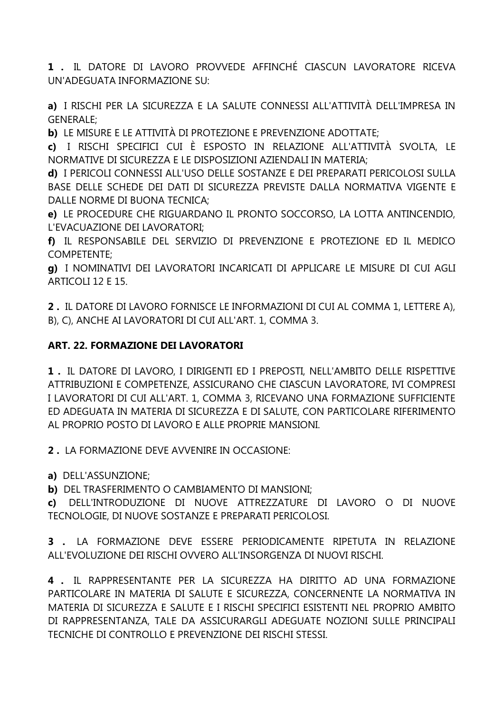1. IL DATORE DI LAVORO PROVVEDE AFFINCHÉ CIASCUN LAVORATORE RICEVA UN'ADEGUATA INFORMAZIONE SU:

a) I RISCHI PER LA SICUREZZA E LA SALUTE CONNESSI ALL'ATTIVITÀ DELL'IMPRESA IN **GENERALE;** 

b) LE MISURE E LE ATTIVITÀ DI PROTEZIONE E PREVENZIONE ADOTTATE;

c) I RISCHI SPECIFICI CUI È ESPOSTO IN RELAZIONE ALL'ATTIVITÀ SVOLTA, LE NORMATIVE DI SICUREZZA E LE DISPOSIZIONI AZIENDALI IN MATERIA;

d) I PERICOLI CONNESSI ALL'USO DELLE SOSTANZE E DEI PREPARATI PERICOLOSI SULLA BASE DELLE SCHEDE DEI DATI DI SICUREZZA PREVISTE DALLA NORMATIVA VIGENTE E DALLE NORME DI BUONA TECNICA:

e) LE PROCEDURE CHE RIGUARDANO IL PRONTO SOCCORSO, LA LOTTA ANTINCENDIO, L'EVACUAZIONE DEI LAVORATORI:

f) IL RESPONSABILE DEL SERVIZIO DI PREVENZIONE E PROTEZIONE ED IL MEDICO **COMPETENTE;** 

a) I NOMINATIVI DEI LAVORATORI INCARICATI DI APPLICARE LE MISURE DI CUI AGLI ARTICOLI 12 E 15.

2. IL DATORE DI LAVORO FORNISCE LE INFORMAZIONI DI CUI AL COMMA 1, LETTERE A), B), C), ANCHE AI LAVORATORI DI CUI ALL'ART. 1, COMMA 3.

## **ART. 22. FORMAZIONE DEI LAVORATORI**

1. IL DATORE DI LAVORO, I DIRIGENTI ED I PREPOSTI, NELL'AMBITO DELLE RISPETTIVE ATTRIBUZIONI E COMPETENZE, ASSICURANO CHE CIASCUN LAVORATORE, IVI COMPRESI I LAVORATORI DI CUI ALL'ART. 1, COMMA 3, RICEVANO UNA FORMAZIONE SUFFICIENTE ED ADEGUATA IN MATERIA DI SICUREZZA E DI SALUTE, CON PARTICOLARE RIFERIMENTO AL PROPRIO POSTO DI LAVORO E ALLE PROPRIE MANSIONI.

2. LA FORMAZIONE DEVE AVVENIRE IN OCCASIONE:

a) DELL'ASSUNZIONE;

b) DEL TRASFERIMENTO O CAMBIAMENTO DI MANSIONI;

c) DELL'INTRODUZIONE DI NUOVE ATTREZZATURE DI LAVORO O DI NUOVE TECNOLOGIE, DI NUOVE SOSTANZE E PREPARATI PERICOLOSI.

3 . LA FORMAZIONE DEVE ESSERE PERIODICAMENTE RIPETUTA IN RELAZIONE ALL'EVOLUZIONE DEI RISCHI OVVERO ALL'INSORGENZA DI NUOVI RISCHI.

4. IL RAPPRESENTANTE PER LA SICUREZZA HA DIRITTO AD UNA FORMAZIONE PARTICOLARE IN MATERIA DI SALUTE E SICUREZZA, CONCERNENTE LA NORMATIVA IN MATERIA DI SICUREZZA E SALUTE E I RISCHI SPECIFICI ESISTENTI NEL PROPRIO AMBITO DI RAPPRESENTANZA, TALE DA ASSICURARGLI ADEGUATE NOZIONI SULLE PRINCIPALI TECNICHE DI CONTROLLO E PREVENZIONE DEI RISCHI STESSI.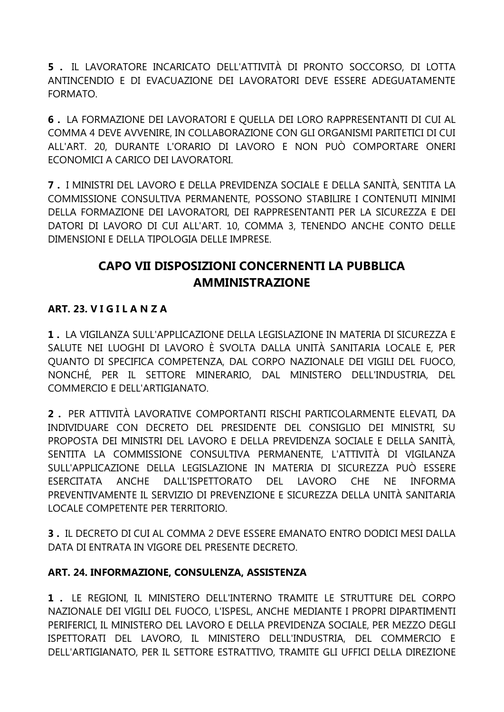5. IL LAVORATORE INCARICATO DELL'ATTIVITÀ DI PRONTO SOCCORSO, DI LOTTA ANTINCENDIO E DI EVACUAZIONE DEI LAVORATORI DEVE ESSERE ADEGUATAMENTE FORMATO.

6. LA FORMAZIONE DEI LAVORATORI E QUELLA DEI LORO RAPPRESENTANTI DI CUI AL COMMA 4 DEVE AVVENIRE, IN COLLABORAZIONE CON GLI ORGANISMI PARITETICI DI CUI ALL'ART. 20. DURANTE L'ORARIO DI LAVORO E NON PUÒ COMPORTARE ONERI ECONOMICI A CARICO DEI LAVORATORI.

**7** . I MINISTRI DEL LAVORO E DELLA PREVIDENZA SOCIALE E DELLA SANITÀ. SENTITA LA COMMISSIONE CONSULTIVA PERMANENTE, POSSONO STABILIRE I CONTENUTI MINIMI DELLA FORMAZIONE DEI LAVORATORI, DEI RAPPRESENTANTI PER LA SICUREZZA E DEI DATORI DI LAVORO DI CUI ALL'ART. 10, COMMA 3, TENENDO ANCHE CONTO DELLE DIMENSIONI E DELLA TIPOLOGIA DELLE IMPRESE.

# CAPO VII DISPOSIZIONI CONCERNENTI LA PUBBLICA **AMMINISTRAZIONE**

## ART. 23. VIGILANZA

1. LA VIGILANZA SULL'APPLICAZIONE DELLA LEGISLAZIONE IN MATERIA DI SICUREZZA E SALUTE NEI LUOGHI DI LAVORO È SVOLTA DALLA UNITÀ SANITARIA LOCALE E, PER QUANTO DI SPECIFICA COMPETENZA, DAL CORPO NAZIONALE DEI VIGILI DEL FUOCO, NONCHÉ, PER IL SETTORE MINERARIO, DAL MINISTERO DELL'INDUSTRIA, DEL COMMERCIO E DELL'ARTIGIANATO.

2. PER ATTIVITÀ LAVORATIVE COMPORTANTI RISCHI PARTICOLARMENTE ELEVATI. DA INDIVIDUARE CON DECRETO DEL PRESIDENTE DEL CONSIGLIO DEI MINISTRI, SU PROPOSTA DEI MINISTRI DEL LAVORO E DELLA PREVIDENZA SOCIALE E DELLA SANITÀ. SENTITA LA COMMISSIONE CONSULTIVA PERMANENTE, L'ATTIVITÀ DI VIGILANZA SULL'APPLICAZIONE DELLA LEGISLAZIONE IN MATERIA DI SICUREZZA PUÒ ESSERE ANCHE DALL'ISPETTORATO DEL LAVORO **CHE**  $NF$ **INFORMA FSFRCITATA** PREVENTIVAMENTE IL SERVIZIO DI PREVENZIONE E SICUREZZA DELLA UNITÀ SANITARIA LOCALE COMPETENTE PER TERRITORIO.

3. IL DECRETO DI CUI AL COMMA 2 DEVE ESSERE EMANATO ENTRO DODICI MESI DALLA DATA DI ENTRATA IN VIGORE DEL PRESENTE DECRETO.

## ART. 24. INFORMAZIONE, CONSULENZA, ASSISTENZA

1. LE REGIONI, IL MINISTERO DELL'INTERNO TRAMITE LE STRUTTURE DEL CORPO NAZIONALE DEI VIGILI DEL FUOCO, L'ISPESL, ANCHE MEDIANTE I PROPRI DIPARTIMENTI PERIFERICI, IL MINISTERO DEL LAVORO E DELLA PREVIDENZA SOCIALE, PER MEZZO DEGLI ISPETTORATI DEL LAVORO, IL MINISTERO DELL'INDUSTRIA, DEL COMMERCIO E DELL'ARTIGIANATO, PER IL SETTORE ESTRATTIVO, TRAMITE GLI UFFICI DELLA DIREZIONE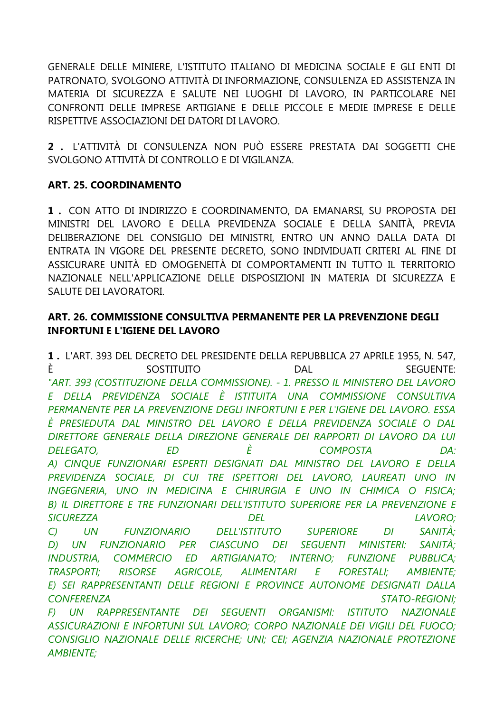GENERALE DELLE MINIERE, L'ISTITUTO ITALIANO DI MEDICINA SOCIALE E GLI ENTI DI PATRONATO, SVOLGONO ATTIVITÀ DI INFORMAZIONE, CONSULENZA ED ASSISTENZA IN MATERIA DI SICUREZZA E SALUTE NEI LUOGHI DI LAVORO, IN PARTICOLARE NEI CONFRONTI DELLE IMPRESE ARTIGIANE E DELLE PICCOLE E MEDIE IMPRESE E DELLE RISPETTIVE ASSOCIAZIONI DEI DATORI DI LAVORO.

**2 .** L'ATTIVITÀ DI CONSULENZA NON PUÒ ESSERE PRESTATA DAI SOGGETTI CHE SVOLGONO ATTIVITÀ DI CONTROLLO E DI VIGILANZA.

## **ART. 25. COORDINAMENTO**

*AMBIENTE;*

**1 .** CON ATTO DI INDIRIZZO E COORDINAMENTO, DA EMANARSI, SU PROPOSTA DEI MINISTRI DEL LAVORO E DELLA PREVIDENZA SOCIALE E DELLA SANITÀ, PREVIA DELIBERAZIONE DEL CONSIGLIO DEI MINISTRI, ENTRO UN ANNO DALLA DATA DI ENTRATA IN VIGORE DEL PRESENTE DECRETO, SONO INDIVIDUATI CRITERI AL FINE DI ASSICURARE UNITÀ ED OMOGENEITÀ DI COMPORTAMENTI IN TUTTO IL TERRITORIO NAZIONALE NELL'APPLICAZIONE DELLE DISPOSIZIONI IN MATERIA DI SICUREZZA E SALUTE DEI LAVORATORI.

## **ART. 26. COMMISSIONE CONSULTIVA PERMANENTE PER LA PREVENZIONE DEGLI INFORTUNI E L'IGIENE DEL LAVORO**

**1 .** L'ART. 393 DEL DECRETO DEL PRESIDENTE DELLA REPUBBLICA 27 APRILE 1955, N. 547, È SOSTITUITO DAL SEGUENTE: *"ART. 393 (COSTITUZIONE DELLA COMMISSIONE). - 1. PRESSO IL MINISTERO DEL LAVORO E DELLA PREVIDENZA SOCIALE È ISTITUITA UNA COMMISSIONE CONSULTIVA PERMANENTE PER LA PREVENZIONE DEGLI INFORTUNI E PER L'IGIENE DEL LAVORO. ESSA È PRESIEDUTA DAL MINISTRO DEL LAVORO E DELLA PREVIDENZA SOCIALE O DAL DIRETTORE GENERALE DELLA DIREZIONE GENERALE DEI RAPPORTI DI LAVORO DA LUI DELEGATO, ED È COMPOSTA DA: A) CINQUE FUNZIONARI ESPERTI DESIGNATI DAL MINISTRO DEL LAVORO E DELLA PREVIDENZA SOCIALE, DI CUI TRE ISPETTORI DEL LAVORO, LAUREATI UNO IN INGEGNERIA, UNO IN MEDICINA E CHIRURGIA E UNO IN CHIMICA O FISICA;* **B) IL DIRETTORE E TRE FUNZIONARI DELL'ISTITUTO SUPERIORE PER LA PREVENZIONE E** *SICUREZZA DEL LAVORO; C) UN FUNZIONARIO DELL'ISTITUTO SUPERIORE DI SANITÀ; D) UN FUNZIONARIO PER CIASCUNO DEI SEGUENTI MINISTERI: SANITÀ; INDUSTRIA, COMMERCIO ED ARTIGIANATO; INTERNO; FUNZIONE PUBBLICA; TRASPORTI; RISORSE AGRICOLE, ALIMENTARI E FORESTALI; AMBIENTE; E) SEI RAPPRESENTANTI DELLE REGIONI E PROVINCE AUTONOME DESIGNATI DALLA CONFERENZA STATO-REGIONI; F) UN RAPPRESENTANTE DEI SEGUENTI ORGANISMI: ISTITUTO NAZIONALE ASSICURAZIONI E INFORTUNI SUL LAVORO; CORPO NAZIONALE DEI VIGILI DEL FUOCO; CONSIGLIO NAZIONALE DELLE RICERCHE; UNI; CEI; AGENZIA NAZIONALE PROTEZIONE*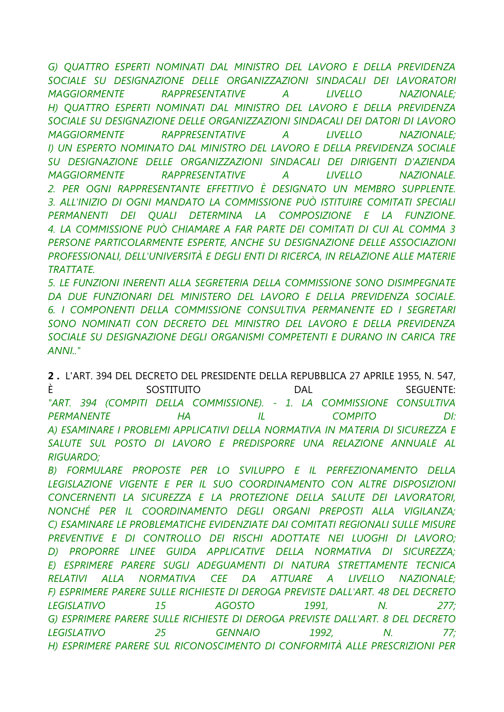*G) QUATTRO ESPERTI NOMINATI DAL MINISTRO DEL LAVORO E DELLA PREVIDENZA SOCIALE SU DESIGNAZIONE DELLE ORGANIZZAZIONI SINDACALI DEI LAVORATORI MAGGIORMENTE RAPPRESENTATIVE A LIVELLO NAZIONALE; H) QUATTRO ESPERTI NOMINATI DAL MINISTRO DEL LAVORO E DELLA PREVIDENZA SOCIALE SU DESIGNAZIONE DELLE ORGANIZZAZIONI SINDACALI DEI DATORI DI LAVORO MAGGIORMENTE RAPPRESENTATIVE A LIVELLO NAZIONALE; I) UN ESPERTO NOMINATO DAL MINISTRO DEL LAVORO E DELLA PREVIDENZA SOCIALE SU DESIGNAZIONE DELLE ORGANIZZAZIONI SINDACALI DEI DIRIGENTI D'AZIENDA MAGGIORMENTE RAPPRESENTATIVE A LIVELLO NAZIONALE. 2. PER OGNI RAPPRESENTANTE EFFETTIVO È DESIGNATO UN MEMBRO SUPPLENTE. 3. ALL'INIZIO DI OGNI MANDATO LA COMMISSIONE PUÒ ISTITUIRE COMITATI SPECIALI PERMANENTI DEI QUALI DETERMINA LA COMPOSIZIONE E LA FUNZIONE. 4. LA COMMISSIONE PUÒ CHIAMARE A FAR PARTE DEI COMITATI DI CUI AL COMMA 3 PERSONE PARTICOLARMENTE ESPERTE, ANCHE SU DESIGNAZIONE DELLE ASSOCIAZIONI PROFESSIONALI, DELL'UNIVERSITÀ E DEGLI ENTI DI RICERCA, IN RELAZIONE ALLE MATERIE TRATTATE.*

*5. LE FUNZIONI INERENTI ALLA SEGRETERIA DELLA COMMISSIONE SONO DISIMPEGNATE DA DUE FUNZIONARI DEL MINISTERO DEL LAVORO E DELLA PREVIDENZA SOCIALE. 6. I COMPONENTI DELLA COMMISSIONE CONSULTIVA PERMANENTE ED I SEGRETARI SONO NOMINATI CON DECRETO DEL MINISTRO DEL LAVORO E DELLA PREVIDENZA SOCIALE SU DESIGNAZIONE DEGLI ORGANISMI COMPETENTI E DURANO IN CARICA TRE ANNI.."*

**2 .** L'ART. 394 DEL DECRETO DEL PRESIDENTE DELLA REPUBBLICA 27 APRILE 1955, N. 547, È SOSTITUITO DAL SEGUENTE: *"ART. 394 (COMPITI DELLA COMMISSIONE). - 1. LA COMMISSIONE CONSULTIVA PERMANENTE HA IL COMPITO DI: A) ESAMINARE I PROBLEMI APPLICATIVI DELLA NORMATIVA IN MATERIA DI SICUREZZA E*  SALUTE SUL POSTO DI LAVORO E PREDISPORRE UNA RELAZIONE ANNUALE AL *RIGUARDO;*

*B) FORMULARE PROPOSTE PER LO SVILUPPO E IL PERFEZIONAMENTO DELLA LEGISLAZIONE VIGENTE E PER IL SUO COORDINAMENTO CON ALTRE DISPOSIZIONI CONCERNENTI LA SICUREZZA E LA PROTEZIONE DELLA SALUTE DEI LAVORATORI, NONCHÉ PER IL COORDINAMENTO DEGLI ORGANI PREPOSTI ALLA VIGILANZA; C) ESAMINARE LE PROBLEMATICHE EVIDENZIATE DAI COMITATI REGIONALI SULLE MISURE PREVENTIVE E DI CONTROLLO DEI RISCHI ADOTTATE NEI LUOGHI DI LAVORO; D) PROPORRE LINEE GUIDA APPLICATIVE DELLA NORMATIVA DI SICUREZZA; E) ESPRIMERE PARERE SUGLI ADEGUAMENTI DI NATURA STRETTAMENTE TECNICA RELATIVI ALLA NORMATIVA CEE DA ATTUARE A LIVELLO NAZIONALE; F) ESPRIMERE PARERE SULLE RICHIESTE DI DEROGA PREVISTE DALL'ART. 48 DEL DECRETO LEGISLATIVO 15 AGOSTO 1991, N. 277; G) ESPRIMERE PARERE SULLE RICHIESTE DI DEROGA PREVISTE DALL'ART. 8 DEL DECRETO LEGISLATIVO 25 GENNAIO 1992, N. 77; H) ESPRIMERE PARERE SUL RICONOSCIMENTO DI CONFORMITÀ ALLE PRESCRIZIONI PER*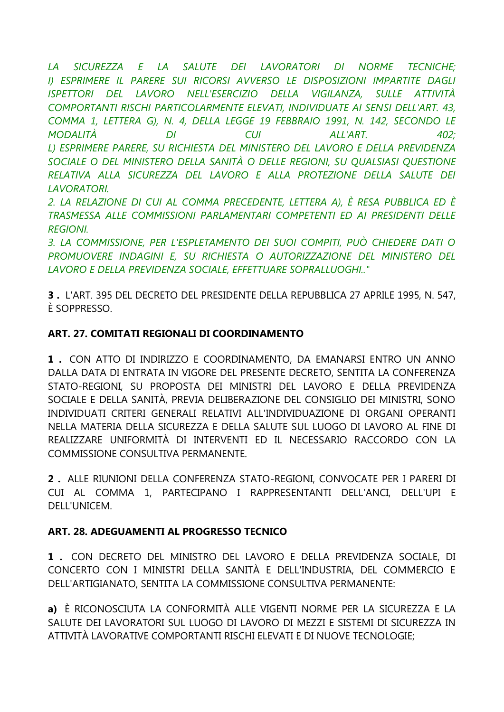*LA SICUREZZA E LA SALUTE DEI LAVORATORI DI NORME TECNICHE; I) ESPRIMERE IL PARERE SUI RICORSI AVVERSO LE DISPOSIZIONI IMPARTITE DAGLI ISPETTORI DEL LAVORO NELL'ESERCIZIO DELLA VIGILANZA, SULLE ATTIVITÀ COMPORTANTI RISCHI PARTICOLARMENTE ELEVATI, INDIVIDUATE AI SENSI DELL'ART. 43, COMMA 1, LETTERA G), N. 4, DELLA LEGGE 19 FEBBRAIO 1991, N. 142, SECONDO LE MODALITÀ DI CUI ALL'ART. 402; L) ESPRIMERE PARERE, SU RICHIESTA DEL MINISTERO DEL LAVORO E DELLA PREVIDENZA SOCIALE O DEL MINISTERO DELLA SANITÀ O DELLE REGIONI, SU QUALSIASI QUESTIONE RELATIVA ALLA SICUREZZA DEL LAVORO E ALLA PROTEZIONE DELLA SALUTE DEI LAVORATORI.*

*2. LA RELAZIONE DI CUI AL COMMA PRECEDENTE, LETTERA A), È RESA PUBBLICA ED È TRASMESSA ALLE COMMISSIONI PARLAMENTARI COMPETENTI ED AI PRESIDENTI DELLE REGIONI.*

*3. LA COMMISSIONE, PER L'ESPLETAMENTO DEI SUOI COMPITI, PUÒ CHIEDERE DATI O PROMUOVERE INDAGINI E, SU RICHIESTA O AUTORIZZAZIONE DEL MINISTERO DEL LAVORO E DELLA PREVIDENZA SOCIALE, EFFETTUARE SOPRALLUOGHI.."*

**3 .** L'ART. 395 DEL DECRETO DEL PRESIDENTE DELLA REPUBBLICA 27 APRILE 1995, N. 547, È SOPPRESSO.

## **ART. 27. COMITATI REGIONALI DI COORDINAMENTO**

**1 .** CON ATTO DI INDIRIZZO E COORDINAMENTO, DA EMANARSI ENTRO UN ANNO DALLA DATA DI ENTRATA IN VIGORE DEL PRESENTE DECRETO, SENTITA LA CONFERENZA STATO-REGIONI, SU PROPOSTA DEI MINISTRI DEL LAVORO E DELLA PREVIDENZA SOCIALE E DELLA SANITÀ, PREVIA DELIBERAZIONE DEL CONSIGLIO DEI MINISTRI, SONO INDIVIDUATI CRITERI GENERALI RELATIVI ALL'INDIVIDUAZIONE DI ORGANI OPERANTI NELLA MATERIA DELLA SICUREZZA E DELLA SALUTE SUL LUOGO DI LAVORO AL FINE DI REALIZZARE UNIFORMITÀ DI INTERVENTI ED IL NECESSARIO RACCORDO CON LA COMMISSIONE CONSULTIVA PERMANENTE.

**2 .** ALLE RIUNIONI DELLA CONFERENZA STATO-REGIONI, CONVOCATE PER I PARERI DI CUI AL COMMA 1, PARTECIPANO I RAPPRESENTANTI DELL'ANCI, DELL'UPI E DELL'UNICEM.

## **ART. 28. ADEGUAMENTI AL PROGRESSO TECNICO**

**1 .** CON DECRETO DEL MINISTRO DEL LAVORO E DELLA PREVIDENZA SOCIALE, DI CONCERTO CON I MINISTRI DELLA SANITÀ E DELL'INDUSTRIA, DEL COMMERCIO E DELL'ARTIGIANATO, SENTITA LA COMMISSIONE CONSULTIVA PERMANENTE:

**a)** È RICONOSCIUTA LA CONFORMITÀ ALLE VIGENTI NORME PER LA SICUREZZA E LA SALUTE DEI LAVORATORI SUL LUOGO DI LAVORO DI MEZZI E SISTEMI DI SICUREZZA IN ATTIVITÀ LAVORATIVE COMPORTANTI RISCHI ELEVATI E DI NUOVE TECNOLOGIE;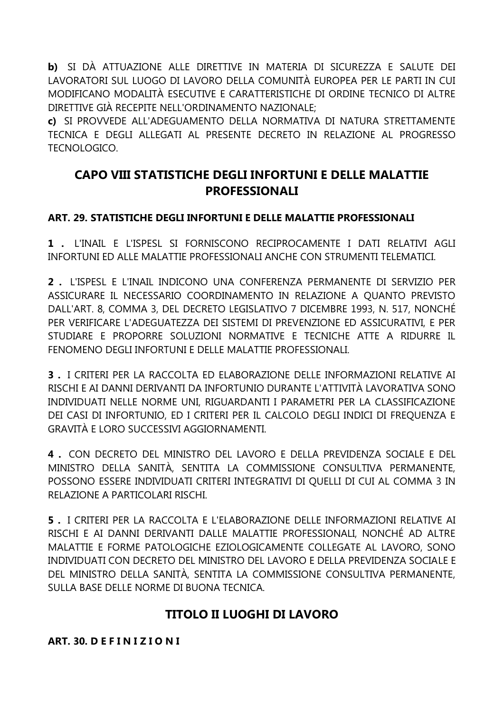**b)** SI DÀ ATTUAZIONE ALLE DIRETTIVE IN MATERIA DI SICUREZZA E SALUTE DEI LAVORATORI SUL LUOGO DI LAVORO DELLA COMUNITÀ EUROPEA PER LE PARTI IN CUI MODIFICANO MODALITÀ ESECUTIVE E CARATTERISTICHE DI ORDINE TECNICO DI ALTRE DIRETTIVE GIÀ RECEPITE NELL'ORDINAMENTO NAZIONALE;

**c)** SI PROVVEDE ALL'ADEGUAMENTO DELLA NORMATIVA DI NATURA STRETTAMENTE TECNICA E DEGLI ALLEGATI AL PRESENTE DECRETO IN RELAZIONE AL PROGRESSO TECNOLOGICO.

## **CAPO VIII STATISTICHE DEGLI INFORTUNI E DELLE MALATTIE PROFESSIONALI**

## **ART. 29. STATISTICHE DEGLI INFORTUNI E DELLE MALATTIE PROFESSIONALI**

**1 .** L'INAIL E L'ISPESL SI FORNISCONO RECIPROCAMENTE I DATI RELATIVI AGLI INFORTUNI ED ALLE MALATTIE PROFESSIONALI ANCHE CON STRUMENTI TELEMATICI.

**2 .** L'ISPESL E L'INAIL INDICONO UNA CONFERENZA PERMANENTE DI SERVIZIO PER ASSICURARE IL NECESSARIO COORDINAMENTO IN RELAZIONE A QUANTO PREVISTO DALL'ART. 8, COMMA 3, DEL DECRETO LEGISLATIVO 7 DICEMBRE 1993, N. 517, NONCHÉ PER VERIFICARE L'ADEGUATEZZA DEI SISTEMI DI PREVENZIONE ED ASSICURATIVI, E PER STUDIARE E PROPORRE SOLUZIONI NORMATIVE E TECNICHE ATTE A RIDURRE IL FENOMENO DEGLI INFORTUNI E DELLE MALATTIE PROFESSIONALI.

**3 .** I CRITERI PER LA RACCOLTA ED ELABORAZIONE DELLE INFORMAZIONI RELATIVE AI RISCHI E AI DANNI DERIVANTI DA INFORTUNIO DURANTE L'ATTIVITÀ LAVORATIVA SONO INDIVIDUATI NELLE NORME UNI, RIGUARDANTI I PARAMETRI PER LA CLASSIFICAZIONE DEI CASI DI INFORTUNIO, ED I CRITERI PER IL CALCOLO DEGLI INDICI DI FREQUENZA E GRAVITÀ E LORO SUCCESSIVI AGGIORNAMENTI.

**4 .** CON DECRETO DEL MINISTRO DEL LAVORO E DELLA PREVIDENZA SOCIALE E DEL MINISTRO DELLA SANITÀ, SENTITA LA COMMISSIONE CONSULTIVA PERMANENTE, POSSONO ESSERE INDIVIDUATI CRITERI INTEGRATIVI DI QUELLI DI CUI AL COMMA 3 IN RELAZIONE A PARTICOLARI RISCHI.

**5 .** I CRITERI PER LA RACCOLTA E L'ELABORAZIONE DELLE INFORMAZIONI RELATIVE AI RISCHI E AI DANNI DERIVANTI DALLE MALATTIE PROFESSIONALI, NONCHÉ AD ALTRE MALATTIE E FORME PATOLOGICHE EZIOLOGICAMENTE COLLEGATE AL LAVORO, SONO INDIVIDUATI CON DECRETO DEL MINISTRO DEL LAVORO E DELLA PREVIDENZA SOCIALE E DEL MINISTRO DELLA SANITÀ, SENTITA LA COMMISSIONE CONSULTIVA PERMANENTE, SULLA BASE DELLE NORME DI BUONA TECNICA.

# **TITOLO II LUOGHI DI LAVORO**

**ART. 30. D E F I N I Z I O N I**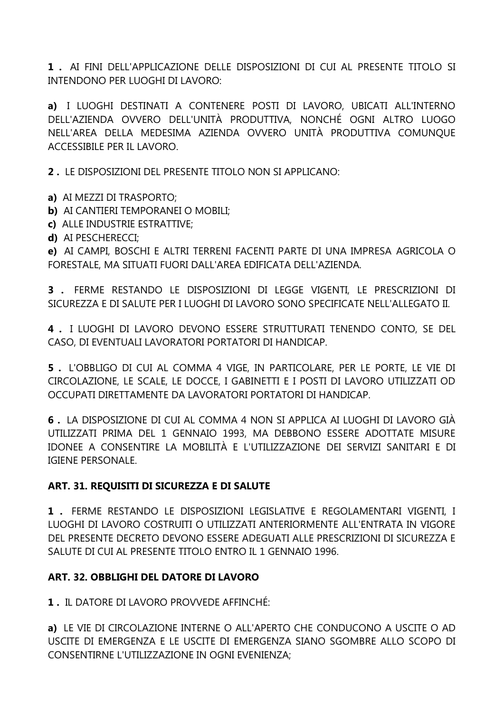**1 .** AI FINI DELL'APPLICAZIONE DELLE DISPOSIZIONI DI CUI AL PRESENTE TITOLO SI INTENDONO PER LUOGHI DI LAVORO:

**a)** I LUOGHI DESTINATI A CONTENERE POSTI DI LAVORO, UBICATI ALL'INTERNO DELL'AZIENDA OVVERO DELL'UNITÀ PRODUTTIVA, NONCHÉ OGNI ALTRO LUOGO NELL'AREA DELLA MEDESIMA AZIENDA OVVERO UNITÀ PRODUTTIVA COMUNQUE ACCESSIBILE PER IL LAVORO.

**2 .** LE DISPOSIZIONI DEL PRESENTE TITOLO NON SI APPLICANO:

- **a)** AI MEZZI DI TRASPORTO;
- **b)** AI CANTIERI TEMPORANEI O MOBILI;
- **c)** ALLE INDUSTRIE ESTRATTIVE;
- **d)** AI PESCHERECCI;

**e)** AI CAMPI, BOSCHI E ALTRI TERRENI FACENTI PARTE DI UNA IMPRESA AGRICOLA O FORESTALE, MA SITUATI FUORI DALL'AREA EDIFICATA DELL'AZIENDA.

**3 .** FERME RESTANDO LE DISPOSIZIONI DI LEGGE VIGENTI, LE PRESCRIZIONI DI SICUREZZA E DI SALUTE PER I LUOGHI DI LAVORO SONO SPECIFICATE NELL'ALLEGATO II.

**4 .** I LUOGHI DI LAVORO DEVONO ESSERE STRUTTURATI TENENDO CONTO, SE DEL CASO, DI EVENTUALI LAVORATORI PORTATORI DI HANDICAP.

**5 .** L'OBBLIGO DI CUI AL COMMA 4 VIGE, IN PARTICOLARE, PER LE PORTE, LE VIE DI CIRCOLAZIONE, LE SCALE, LE DOCCE, I GABINETTI E I POSTI DI LAVORO UTILIZZATI OD OCCUPATI DIRETTAMENTE DA LAVORATORI PORTATORI DI HANDICAP.

**6 .** LA DISPOSIZIONE DI CUI AL COMMA 4 NON SI APPLICA AI LUOGHI DI LAVORO GIÀ UTILIZZATI PRIMA DEL 1 GENNAIO 1993, MA DEBBONO ESSERE ADOTTATE MISURE IDONEE A CONSENTIRE LA MOBILITÀ E L'UTILIZZAZIONE DEI SERVIZI SANITARI E DI IGIENE PERSONALE.

## **ART. 31. REQUISITI DI SICUREZZA E DI SALUTE**

**1 .** FERME RESTANDO LE DISPOSIZIONI LEGISLATIVE E REGOLAMENTARI VIGENTI, I LUOGHI DI LAVORO COSTRUITI O UTILIZZATI ANTERIORMENTE ALL'ENTRATA IN VIGORE DEL PRESENTE DECRETO DEVONO ESSERE ADEGUATI ALLE PRESCRIZIONI DI SICUREZZA E SALUTE DI CUI AL PRESENTE TITOLO ENTRO IL 1 GENNAIO 1996.

## **ART. 32. OBBLIGHI DEL DATORE DI LAVORO**

**1 .** IL DATORE DI LAVORO PROVVEDE AFFINCHÉ:

**a)** LE VIE DI CIRCOLAZIONE INTERNE O ALL'APERTO CHE CONDUCONO A USCITE O AD USCITE DI EMERGENZA E LE USCITE DI EMERGENZA SIANO SGOMBRE ALLO SCOPO DI CONSENTIRNE L'UTILIZZAZIONE IN OGNI EVENIENZA;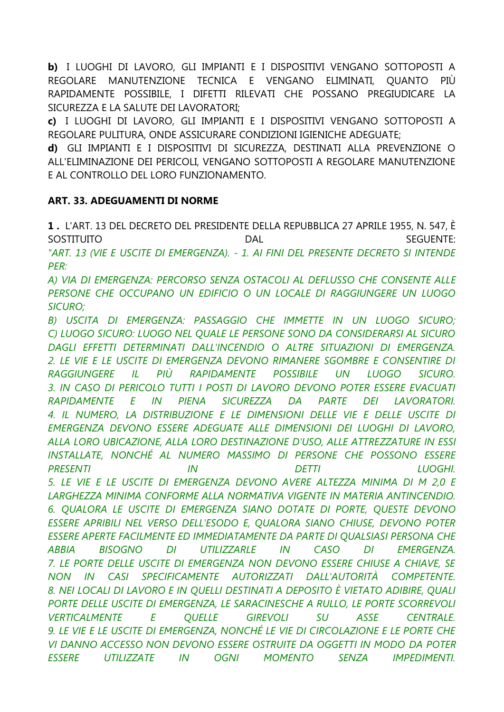b) I LUOGHI DI LAVORO, GLI IMPIANTI E I DISPOSITIVI VENGANO SOTTOPOSTI A REGOLARE MANUTENZIONE TECNICA E VENGANO ELIMINATI, QUANTO PIÙ RAPIDAMENTE POSSIBILE, I DIFETTI RILEVATI CHE POSSANO PREGIUDICARE LA SICUREZZA E LA SALUTE DEI LAVORATORI:

c) I LUOGHI DI LAVORO, GLI IMPIANTI E I DISPOSITIVI VENGANO SOTTOPOSTI A REGOLARE PULITURA, ONDE ASSICURARE CONDIZIONI IGIENICHE ADEGUATE:

d) GLI IMPIANTI E I DISPOSITIVI DI SICUREZZA, DESTINATI ALLA PREVENZIONE O ALL'ELIMINAZIONE DEI PERICOLI, VENGANO SOTTOPOSTI A REGOLARE MANUTENZIONE E AL CONTROLLO DEL LORO FUNZIONAMENTO.

## **ART. 33. ADEGUAMENTI DI NORME**

1. L'ART. 13 DEL DECRETO DEL PRESIDENTE DELLA REPUBBLICA 27 APRILE 1955, N. 547, È SOSTITUITO DAI **SEGUENTE:** "ART. 13 (VIE E USCITE DI EMERGENZA). - 1. AI FINI DEL PRESENTE DECRETO SI INTENDE  $PER:$ 

A) VIA DI EMERGENZA: PERCORSO SENZA OSTACOLI AL DEFLUSSO CHE CONSENTE ALLE PERSONE CHE OCCUPANO UN EDIFICIO O UN LOCALE DI RAGGIUNGERE UN LUOGO **SICURO;** 

B) USCITA DI EMERGENZA: PASSAGGIO CHE IMMETTE IN UN LUOGO SICURO: C) LUOGO SICURO: LUOGO NEL QUALE LE PERSONE SONO DA CONSIDERARSI AL SICURO DAGLI EFFETTI DETERMINATI DALL'INCENDIO O ALTRE SITUAZIONI DI EMERGENZA. 2. LE VIE E LE USCITE DI EMERGENZA DEVONO RIMANERE SGOMBRE E CONSENTIRE DI RAPIDAMENTE **RAGGIUNGERE**  $|I|$ PIÙ **POSSIBILE UN LUOGO** SICURO. 3. IN CASO DI PERICOLO TUTTI I POSTI DI LAVORO DEVONO POTER ESSERE EVACUATI RAPIDAMENTE E  $\sqrt{N}$ PIENA **SICUREZZA** DA PARTE DEI LAVORATORI. 4. IL NUMERO, LA DISTRIBUZIONE E LE DIMENSIONI DELLE VIE E DELLE USCITE DI EMERGENZA DEVONO ESSERE ADEGUATE ALLE DIMENSIONI DEI LUOGHI DI LAVORO, ALLA LORO UBICAZIONE, ALLA LORO DESTINAZIONE D'USO, ALLE ATTREZZATURE IN ESSI INSTALLATE, NONCHÉ AL NUMERO MASSIMO DI PERSONE CHE POSSONO ESSERE  $IN$ **PRESENTI DFTTI** LUOGHI. 5. LE VIE E LE USCITE DI EMERGENZA DEVONO AVERE ALTEZZA MINIMA DI M 2,0 E LARGHEZZA MINIMA CONFORME ALLA NORMATIVA VIGENTE IN MATERIA ANTINCENDIO. 6. OUALORA LE USCITE DI EMERGENZA SIANO DOTATE DI PORTE, QUESTE DEVONO ESSERE APRIBILI NEL VERSO DELL'ESODO E, QUALORA SIANO CHIUSE, DEVONO POTER ESSERE APERTE FACILMENTE ED IMMEDIATAMENTE DA PARTE DI QUALSIASI PERSONA CHE **BISOGNO** DI. UTILIZZARLE  $IN$ CASO **ABBIA**  $DI$ **EMERGENZA.** 7. LE PORTE DELLE USCITE DI EMERGENZA NON DEVONO ESSERE CHIUSE A CHIAVE, SE NON IN CASI SPECIFICAMENTE AUTORIZZATI DALL'AUTORITÀ COMPETENTE. 8. NEI LOCALI DI LAVORO E IN QUELLI DESTINATI A DEPOSITO È VIETATO ADIBIRE, QUALI PORTE DELLE USCITE DI EMERGENZA, LE SARACINESCHE A RULLO, LE PORTE SCORREVOLI ASSE **VERTICALMENTE**  $\overline{E}$ **OUELLE GIREVOLI SU CENTRALE** 9. LE VIE E LE USCITE DI EMERGENZA, NONCHÉ LE VIE DI CIRCOLAZIONE E LE PORTE CHE VI DANNO ACCESSO NON DEVONO ESSERE OSTRUITE DA OGGETTI IN MODO DA POTER **FSSERE** UTILIZZATE IN OGNI **MOMENTO SENZA IMPEDIMENTI.**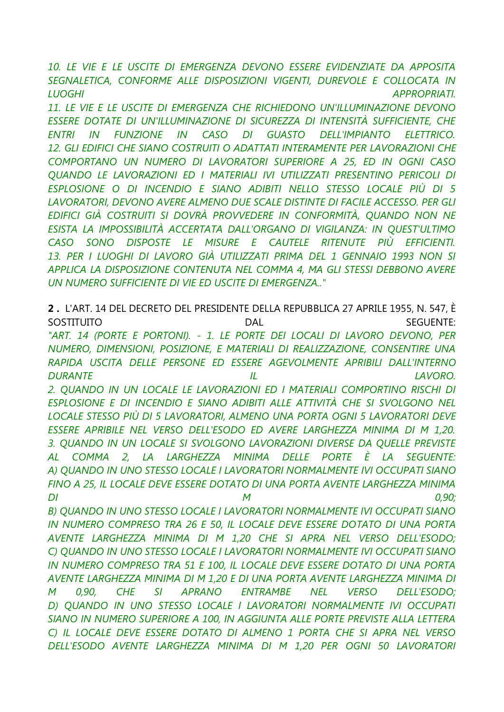*10. LE VIE E LE USCITE DI EMERGENZA DEVONO ESSERE EVIDENZIATE DA APPOSITA*  SEGNALETICA, CONFORME ALLE DISPOSIZIONI VIGENTI, DUREVOLE E COLLOCATA IN *LUOGHI APPROPRIATI.*

*11. LE VIE E LE USCITE DI EMERGENZA CHE RICHIEDONO UN'ILLUMINAZIONE DEVONO ESSERE DOTATE DI UN'ILLUMINAZIONE DI SICUREZZA DI INTENSITÀ SUFFICIENTE, CHE ENTRI IN FUNZIONE IN CASO DI GUASTO DELL'IMPIANTO ELETTRICO.* 12. GLI EDIFICI CHE SIANO COSTRUITI O ADATTATI INTERAMENTE PER LAVORAZIONI CHE *COMPORTANO UN NUMERO DI LAVORATORI SUPERIORE A 25, ED IN OGNI CASO QUANDO LE LAVORAZIONI ED I MATERIALI IVI UTILIZZATI PRESENTINO PERICOLI DI ESPLOSIONE O DI INCENDIO E SIANO ADIBITI NELLO STESSO LOCALE PIÙ DI 5 LAVORATORI, DEVONO AVERE ALMENO DUE SCALE DISTINTE DI FACILE ACCESSO. PER GLI EDIFICI GIÀ COSTRUITI SI DOVRÀ PROVVEDERE IN CONFORMITÀ, QUANDO NON NE ESISTA LA IMPOSSIBILITÀ ACCERTATA DALL'ORGANO DI VIGILANZA: IN QUEST'ULTIMO CASO SONO DISPOSTE LE MISURE E CAUTELE RITENUTE PIÙ EFFICIENTI. 13. PER I LUOGHI DI LAVORO GIÀ UTILIZZATI PRIMA DEL 1 GENNAIO 1993 NON SI APPLICA LA DISPOSIZIONE CONTENUTA NEL COMMA 4, MA GLI STESSI DEBBONO AVERE UN NUMERO SUFFICIENTE DI VIE ED USCITE DI EMERGENZA.."*

**2 .** L'ART. 14 DEL DECRETO DEL PRESIDENTE DELLA REPUBBLICA 27 APRILE 1955, N. 547, È SOSTITUITO DAL SEGUENTE: *"ART. 14 (PORTE E PORTONI). - 1. LE PORTE DEI LOCALI DI LAVORO DEVONO, PER NUMERO, DIMENSIONI, POSIZIONE, E MATERIALI DI REALIZZAZIONE, CONSENTIRE UNA RAPIDA USCITA DELLE PERSONE ED ESSERE AGEVOLMENTE APRIBILI DALL'INTERNO DURANTE IL LAVORO. 2. QUANDO IN UN LOCALE LE LAVORAZIONI ED I MATERIALI COMPORTINO RISCHI DI ESPLOSIONE E DI INCENDIO E SIANO ADIBITI ALLE ATTIVITÀ CHE SI SVOLGONO NEL LOCALE STESSO PIÙ DI 5 LAVORATORI, ALMENO UNA PORTA OGNI 5 LAVORATORI DEVE ESSERE APRIBILE NEL VERSO DELL'ESODO ED AVERE LARGHEZZA MINIMA DI M 1,20. 3. QUANDO IN UN LOCALE SI SVOLGONO LAVORAZIONI DIVERSE DA QUELLE PREVISTE AL COMMA 2, LA LARGHEZZA MINIMA DELLE PORTE È LA SEGUENTE: A) QUANDO IN UNO STESSO LOCALE I LAVORATORI NORMALMENTE IVI OCCUPATI SIANO FINO A 25, IL LOCALE DEVE ESSERE DOTATO DI UNA PORTA AVENTE LARGHEZZA MINIMA DI M 0,90; B) QUANDO IN UNO STESSO LOCALE I LAVORATORI NORMALMENTE IVI OCCUPATI SIANO IN NUMERO COMPRESO TRA 26 E 50, IL LOCALE DEVE ESSERE DOTATO DI UNA PORTA AVENTE LARGHEZZA MINIMA DI M 1,20 CHE SI APRA NEL VERSO DELL'ESODO; C) QUANDO IN UNO STESSO LOCALE I LAVORATORI NORMALMENTE IVI OCCUPATI SIANO IN NUMERO COMPRESO TRA 51 E 100, IL LOCALE DEVE ESSERE DOTATO DI UNA PORTA AVENTE LARGHEZZA MINIMA DI M 1,20 E DI UNA PORTA AVENTE LARGHEZZA MINIMA DI M 0,90, CHE SI APRANO ENTRAMBE NEL VERSO DELL'ESODO; D) QUANDO IN UNO STESSO LOCALE I LAVORATORI NORMALMENTE IVI OCCUPATI SIANO IN NUMERO SUPERIORE A 100, IN AGGIUNTA ALLE PORTE PREVISTE ALLA LETTERA C) IL LOCALE DEVE ESSERE DOTATO DI ALMENO 1 PORTA CHE SI APRA NEL VERSO DELL'ESODO AVENTE LARGHEZZA MINIMA DI M 1,20 PER OGNI 50 LAVORATORI*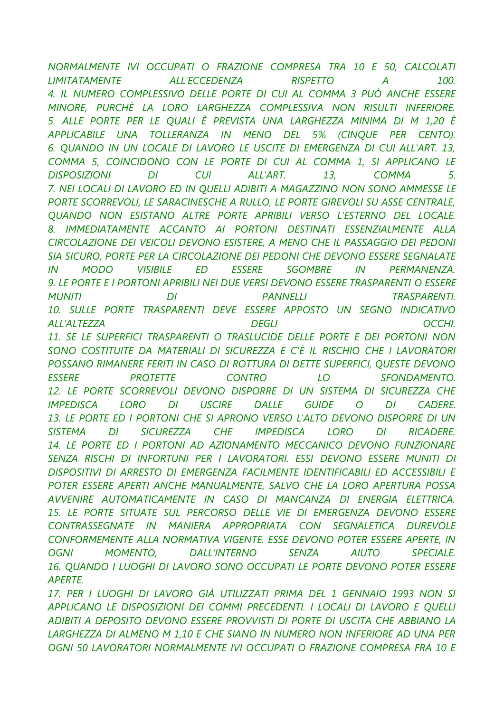NORMALMENTE IVI OCCUPATI O FRAZIONE COMPRESA TRA 10 E 50, CALCOLATI **LIMITATAMENTE ALL'ECCEDENZA RISPETTO**  $\overline{A}$ 100 4. IL NUMERO COMPLESSIVO DELLE PORTE DI CUI AL COMMA 3 PUÒ ANCHE ESSERE MINORE, PURCHÈ LA LORO LARGHEZZA COMPLESSIVA NON RISULTI INFERIORE. 5. ALLE PORTE PER LE QUALI È PREVISTA UNA LARGHEZZA MINIMA DI M 1,20 È APPLICABILE UNA TOLLERANZA IN MENO DEL 5% (CINOUE PER CENTO). 6. OUANDO IN UN LOCALE DI LAVORO LE USCITE DI EMERGENZA DI CUI ALL'ART. 13, COMMA 5, COINCIDONO CON LE PORTE DI CUI AL COMMA 1, SI APPLICANO LE **CUI** ALL'ART. 5. **DISPOSIZIONI**  $DI$ 13. **COMMA** 7. NEI LOCALI DI LAVORO ED IN OUELLI ADIBITI A MAGAZZINO NON SONO AMMESSE LE PORTE SCORREVOLI, LE SARACINESCHE A RULLO, LE PORTE GIREVOLI SU ASSE CENTRALE, OUANDO NON ESISTANO ALTRE PORTE APRIBILI VERSO L'ESTERNO DEL LOCALE. 8. IMMEDIATAMENTE ACCANTO AI PORTONI DESTINATI ESSENZIALMENTE ALLA CIRCOLAZIONE DEI VEICOLI DEVONO ESISTERE. A MENO CHE IL PASSAGGIO DEI PEDONI SIA SICURO, PORTE PER LA CIRCOLAZIONE DEI PEDONI CHE DEVONO ESSERE SEGNALATE  $IN$ **MODO VISIBILE ED ESSERE SGOMBRE**  $IN$ PERMANENZA. 9. LE PORTE E I PORTONI APRIBILI NEI DUE VERSI DEVONO ESSERE TRASPARENTI O ESSERE **MUNITI** DI **PANNELLI TRASPARENTI** 10. SULLE PORTE TRASPARENTI DEVE ESSERE APPOSTO UN SEGNO INDICATIVO **ALL'ALTEZZA DEGLI** OCCHI. 11. SE LE SUPERFICI TRASPARENTI O TRASLUCIDE DELLE PORTE E DEI PORTONI NON SONO COSTITUITE DA MATERIALI DI SICUREZZA E C'È IL RISCHIO CHE I LAVORATORI POSSANO RIMANERE FERITI IN CASO DI ROTTURA DI DETTE SUPERFICI, QUESTE DEVONO **FSSERE PROTETTE CONTRO** LO **SEONDAMENTO** 12. LE PORTE SCORREVOLI DEVONO DISPORRE DI UN SISTEMA DI SICUREZZA CHE  $DI$ **LORO USCIRE DALLE GUIDE IMPEDISCA**  $\overline{O}$  $DI$ **CADERE** 13. LE PORTE ED I PORTONI CHE SI APRONO VERSO L'ALTO DEVONO DISPORRE DI UN **SISTEMA SICUREZZA**  $CHE$ **IMPEDISCA LORO** DI DI **RICADERE.** 14. LE PORTE ED I PORTONI AD AZIONAMENTO MECCANICO DEVONO FUNZIONARE SENZA RISCHI DI INFORTUNI PER I LAVORATORI. ESSI DEVONO ESSERE MUNITI DI DISPOSITIVI DI ARRESTO DI EMERGENZA FACILMENTE IDENTIFICABILI ED ACCESSIBILI E POTER ESSERE APERTI ANCHE MANUALMENTE, SALVO CHE LA LORO APERTURA POSSA AVVENIRE AUTOMATICAMENTE IN CASO DI MANCANZA DI ENERGIA ELETTRICA. 15. LE PORTE SITUATE SUL PERCORSO DELLE VIE DI EMERGENZA DEVONO ESSERE CONTRASSEGNATE IN MANIERA APPROPRIATA CON SEGNALETICA DUREVOLE CONFORMEMENTE ALLA NORMATIVA VIGENTE. ESSE DEVONO POTER ESSERE APERTE, IN OGNI **MOMENTO. DALL'INTERNO SFNZA AILITO SPECIALE.** 16. OUANDO I LUOGHI DI LAVORO SONO OCCUPATI LE PORTE DEVONO POTER ESSERE **APERTE** 

17. PER I LUOGHI DI LAVORO GIÀ UTILIZZATI PRIMA DEL 1 GENNAIO 1993 NON SI APPLICANO LE DISPOSIZIONI DEI COMMI PRECEDENTI. I LOCALI DI LAVORO E QUELLI ADIBITI A DEPOSITO DEVONO ESSERE PROVVISTI DI PORTE DI USCITA CHE ABBIANO LA LARGHEZZA DI ALMENO M 1.10 E CHE SIANO IN NUMERO NON INFERIORE AD UNA PER OGNI 50 LAVORATORI NORMALMENTE IVI OCCUPATI O FRAZIONE COMPRESA FRA 10 E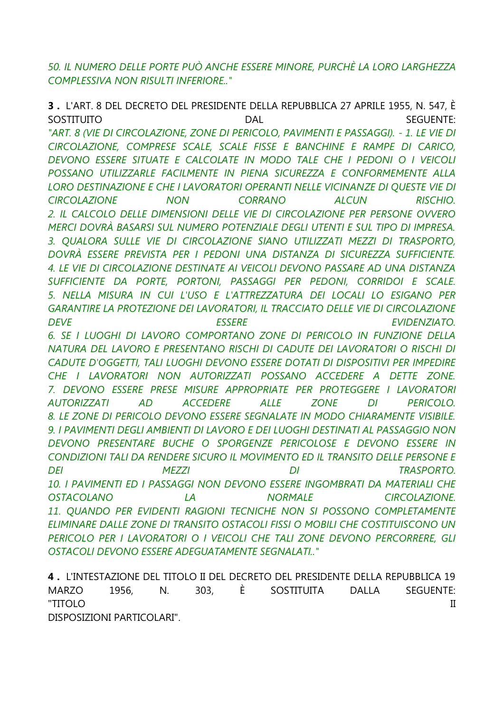*50. IL NUMERO DELLE PORTE PUÒ ANCHE ESSERE MINORE, PURCHÈ LA LORO LARGHEZZA COMPLESSIVA NON RISULTI INFERIORE.."*

**3 .** L'ART. 8 DEL DECRETO DEL PRESIDENTE DELLA REPUBBLICA 27 APRILE 1955, N. 547, È SOSTITUITO DAL SEGUENTE: *"ART. 8 (VIE DI CIRCOLAZIONE, ZONE DI PERICOLO, PAVIMENTI E PASSAGGI). - 1. LE VIE DI CIRCOLAZIONE, COMPRESE SCALE, SCALE FISSE E BANCHINE E RAMPE DI CARICO, DEVONO ESSERE SITUATE E CALCOLATE IN MODO TALE CHE I PEDONI O I VEICOLI POSSANO UTILIZZARLE FACILMENTE IN PIENA SICUREZZA E CONFORMEMENTE ALLA LORO DESTINAZIONE E CHE I LAVORATORI OPERANTI NELLE VICINANZE DI QUESTE VIE DI CIRCOLAZIONE NON CORRANO ALCUN RISCHIO. 2. IL CALCOLO DELLE DIMENSIONI DELLE VIE DI CIRCOLAZIONE PER PERSONE OVVERO MERCI DOVRÀ BASARSI SUL NUMERO POTENZIALE DEGLI UTENTI E SUL TIPO DI IMPRESA. 3. QUALORA SULLE VIE DI CIRCOLAZIONE SIANO UTILIZZATI MEZZI DI TRASPORTO, DOVRÀ ESSERE PREVISTA PER I PEDONI UNA DISTANZA DI SICUREZZA SUFFICIENTE. 4. LE VIE DI CIRCOLAZIONE DESTINATE AI VEICOLI DEVONO PASSARE AD UNA DISTANZA SUFFICIENTE DA PORTE, PORTONI, PASSAGGI PER PEDONI, CORRIDOI E SCALE. 5. NELLA MISURA IN CUI L'USO E L'ATTREZZATURA DEI LOCALI LO ESIGANO PER GARANTIRE LA PROTEZIONE DEI LAVORATORI, IL TRACCIATO DELLE VIE DI CIRCOLAZIONE DEVE ESSERE EVIDENZIATO. 6. SE I LUOGHI DI LAVORO COMPORTANO ZONE DI PERICOLO IN FUNZIONE DELLA NATURA DEL LAVORO E PRESENTANO RISCHI DI CADUTE DEI LAVORATORI O RISCHI DI CADUTE D'OGGETTI, TALI LUOGHI DEVONO ESSERE DOTATI DI DISPOSITIVI PER IMPEDIRE CHE I LAVORATORI NON AUTORIZZATI POSSANO ACCEDERE A DETTE ZONE. 7. DEVONO ESSERE PRESE MISURE APPROPRIATE PER PROTEGGERE I LAVORATORI AUTORIZZATI AD ACCEDERE ALLE ZONE DI PERICOLO. 8. LE ZONE DI PERICOLO DEVONO ESSERE SEGNALATE IN MODO CHIARAMENTE VISIBILE. 9. I PAVIMENTI DEGLI AMBIENTI DI LAVORO E DEI LUOGHI DESTINATI AL PASSAGGIO NON DEVONO PRESENTARE BUCHE O SPORGENZE PERICOLOSE E DEVONO ESSERE IN CONDIZIONI TALI DA RENDERE SICURO IL MOVIMENTO ED IL TRANSITO DELLE PERSONE E DEI MEZZI DI TRASPORTO. 10. I PAVIMENTI ED I PASSAGGI NON DEVONO ESSERE INGOMBRATI DA MATERIALI CHE OSTACOLANO LA NORMALE CIRCOLAZIONE.* 11. QUANDO PER EVIDENTI RAGIONI TECNICHE NON SI POSSONO COMPLETAMENTE *ELIMINARE DALLE ZONE DI TRANSITO OSTACOLI FISSI O MOBILI CHE COSTITUISCONO UN*  **PERICOLO PER I LAVORATORI O I VEICOLI CHE TALI ZONE DEVONO PERCORRERE, GLI** *OSTACOLI DEVONO ESSERE ADEGUATAMENTE SEGNALATI.."*

**4 .** L'INTESTAZIONE DEL TITOLO II DEL DECRETO DEL PRESIDENTE DELLA REPUBBLICA 19 MARZO 1956, N. 303, È SOSTITUITA DALLA SEGUENTE: "TITOLO II

DISPOSIZIONI PARTICOLARI".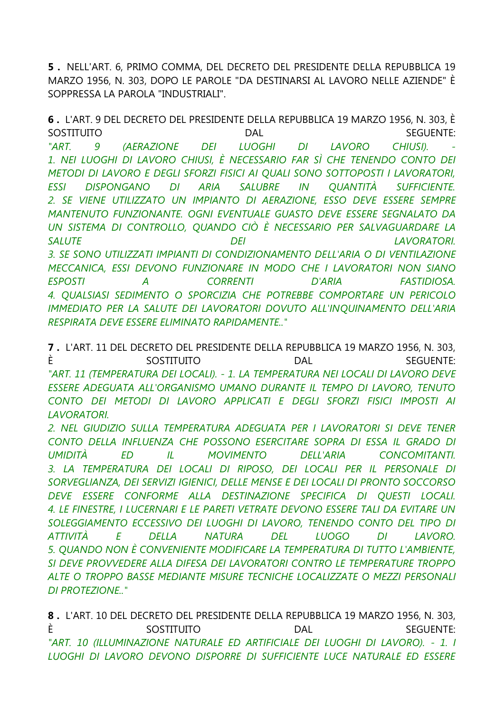5. NELL'ART. 6, PRIMO COMMA, DEL DECRETO DEL PRESIDENTE DELLA REPUBBLICA 19 MARZO 1956, N. 303, DOPO LE PAROLE "DA DESTINARSI AL LAVORO NELLE AZIENDE" È SOPPRESSA LA PAROLA "INDUSTRIALI".

6. L'ART. 9 DEL DECRETO DEL PRESIDENTE DELLA REPUBBLICA 19 MARZO 1956, N. 303, È SOSTITUITO **DAL SEGUENTE:** "ART. **(AERAZIONE LUOGHI LAVORO** CHIUSI). 9 **DEI** DI. 1. NEI LUOGHI DI LAVORO CHIUSI, È NECESSARIO FAR SÌ CHE TENENDO CONTO DEI METODI DI LAVORO E DEGLI SFORZI FISICI AI QUALI SONO SOTTOPOSTI I LAVORATORI, **ESSI DISPONGANO** DI ARIA **SALUBRE** IN *QUANTITA* **SUFFICIENTE.** 2. SE VIENE UTILIZZATO UN IMPIANTO DI AERAZIONE, ESSO DEVE ESSERE SEMPRE MANTENUTO FUNZIONANTE. OGNI EVENTUALE GUASTO DEVE ESSERE SEGNALATO DA UN SISTEMA DI CONTROLLO, QUANDO CIÒ È NECESSARIO PER SALVAGUARDARE LA **SALUTE DEI LAVORATORI.** 3. SE SONO UTILIZZATI IMPIANTI DI CONDIZIONAMENTO DELL'ARIA O DI VENTILAZIONE MECCANICA, ESSI DEVONO FUNZIONARE IN MODO CHE I LAVORATORI NON SIANO **ESPOSTI CORRENTI D'ARIA FASTIDIOSA.**  $\overline{A}$ 4. OUALSIASI SEDIMENTO O SPORCIZIA CHE POTREBBE COMPORTARE UN PERICOLO IMMEDIATO PER LA SALUTE DEI LAVORATORI DOVUTO ALL'INOUINAMENTO DELL'ARIA **RESPIRATA DEVE ESSERE ELIMINATO RAPIDAMENTE.."** 

7. L'ART. 11 DEL DECRETO DEL PRESIDENTE DELLA REPUBBLICA 19 MARZO 1956, N. 303, È SOSTITUITO **DAL SEGUENTE:** "ART. 11 (TEMPERATURA DEI LOCALI). - 1. LA TEMPERATURA NEI LOCALI DI LAVORO DEVE ESSERE ADEGUATA ALL'ORGANISMO UMANO DURANTE IL TEMPO DI LAVORO, TENUTO CONTO DEI METODI DI LAVORO APPLICATI E DEGLI SFORZI FISICI IMPOSTI AI **I AVORATORI** 

2. NEL GIUDIZIO SULLA TEMPERATURA ADEGUATA PER I LAVORATORI SI DEVE TENER CONTO DELLA INFLUENZA CHE POSSONO ESERCITARE SOPRA DI ESSA IL GRADO DI **UMIDITÀ ED** IL **MOVIMENTO DELL'ARIA CONCOMITANTI.** 3. LA TEMPERATURA DEI LOCALI DI RIPOSO. DEI LOCALI PER IL PERSONALE DI SORVEGLIANZA, DEI SERVIZI IGIENICI, DELLE MENSE E DEI LOCALI DI PRONTO SOCCORSO DEVE ESSERE CONFORME ALLA DESTINAZIONE SPECIFICA DI QUESTI LOCALI. 4. LE FINESTRE, I LUCERNARI E LE PARETI VETRATE DEVONO ESSERE TALI DA EVITARE UN SOLEGGIAMENTO ECCESSIVO DEI LUOGHI DI LAVORO, TENENDO CONTO DEL TIPO DI **DEL ATTIVITÀ** E **DELLA NATURA LUOGO**  $DI$ LAVORO. 5. OUANDO NON È CONVENIENTE MODIFICARE LA TEMPERATURA DI TUTTO L'AMBIENTE, SI DEVE PROVVEDERE ALLA DIFESA DEI LAVORATORI CONTRO LE TEMPERATURE TROPPO ALTE O TROPPO BASSE MEDIANTE MISURE TECNICHE LOCALIZZATE O MEZZI PERSONALI **DI PROTEZIONE.**"

8. L'ART. 10 DEL DECRETO DEL PRESIDENTE DELLA REPUBBLICA 19 MARZO 1956, N. 303. È SOSTITUITO **DAL SEGUENTE:** "ART. 10 (ILLUMINAZIONE NATURALE ED ARTIFICIALE DEI LUOGHI DI LAVORO). - 1. I LUOGHI DI LAVORO DEVONO DISPORRE DI SUFFICIENTE LUCE NATURALE ED ESSERE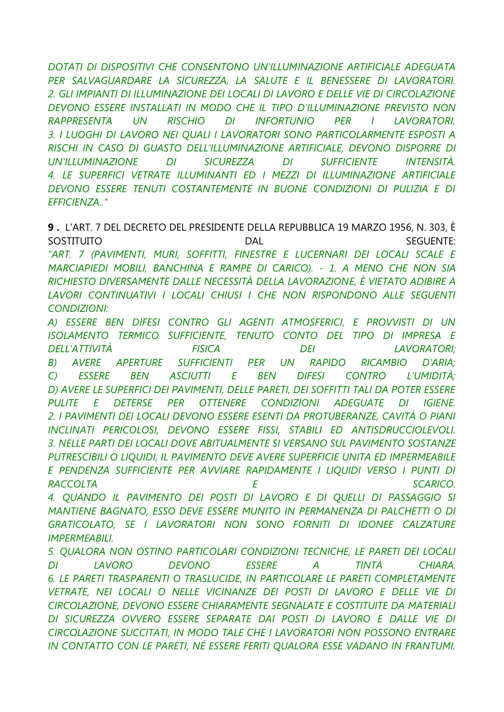DOTATI DI DISPOSITIVI CHE CONSENTONO UN'ILLUMINAZIONE ARTIFICIALE ADEGUATA PER SALVAGUARDARE LA SICUREZZA, LA SALUTE E IL BENESSERE DI LAVORATORI. 2. GLI IMPIANTI DI ILLUMINAZIONE DEI LOCALI DI LAVORO E DELLE VIE DI CIRCOLAZIONE DEVONO ESSERE INSTALLATI IN MODO CHE IL TIPO D'ILLUMINAZIONE PREVISTO NON RAPPRESENTA **RISCHIO INFORTUNIO UN** DI PER  $\mathcal{L}$ **LAVORATORI.** 3. I LUOGHI DI LAVORO NEI OUALI I LAVORATORI SONO PARTICOLARMENTE ESPOSTI A RISCHI IN CASO DI GUASTO DELL'ILLUMINAZIONE ARTIFICIALE, DEVONO DISPORRE DI **UN'ILLUMINAZIONE**  $DI$ **SICUREZZA**  $DI$ **SUFFICIENTE INTENSITÀ.** 4. LE SUPERFICI VETRATE ILLUMINANTI ED I MEZZI DI ILLUMINAZIONE ARTIFICIALE DEVONO ESSERE TENUTI COSTANTEMENTE IN BUONE CONDIZIONI DI PULIZIA E DI **FFFICIFN7A "** 

9. L'ART. 7 DEL DECRETO DEL PRESIDENTE DELLA REPUBBLICA 19 MARZO 1956, N. 303, È SOSTITUITO **DAL SEGUENTE:** "ART. 7 (PAVIMENTI, MURI, SOFFITTI, FINESTRE E LUCERNARI DEI LOCALI SCALE E MARCIAPIEDI MOBILI, BANCHINA E RAMPE DI CARICO). - 1. A MENO CHE NON SIA RICHIESTO DIVERSAMENTE DALLE NECESSITÀ DELLA LAVORAZIONE, È VIETATO ADIBIRE A LAVORI CONTINUATIVI I LOCALI CHIUSI I CHE NON RISPONDONO ALLE SEGUENTI **CONDIZIONI:** 

A) ESSERE BEN DIFESI CONTRO GLI AGENTI ATMOSFERICI, E PROVVISTI DI UN ISOLAMENTO TERMICO SUFFICIENTE, TENUTO CONTO DEL TIPO DI IMPRESA E DELL'ATTIVITÀ **FISICA DEI LAVORATORI: AVERE SUFFICIENTI** PER  $UN$ **RAPIDO RICAMBIO**  $D'ARIA$ :  $B$ ) **APERTURE ASCIUTTI**  $E$ **BEN DIFESI CONTRO TUMIDITÀ:**  $\bigcap$ **FSSERE BEN** D) AVERE LE SUPERFICI DEI PAVIMENTI, DELLE PARETI, DEI SOFFITTI TALI DA POTER ESSERE PULITE E **DETERSE** PER OTTENERE CONDIZIONI **ADEGUATE**  $DI$ **IGIENE** 2. I PAVIMENTI DEI LOCALI DEVONO ESSERE ESENTI DA PROTUBERANZE, CAVITÀ O PIANI INCLINATI PERICOLOSI, DEVONO ESSERE FISSI, STABILI ED ANTISDRUCCIOLEVOLI. 3. NELLE PARTI DEI LOCALI DOVE ABITUALMENTE SI VERSANO SUL PAVIMENTO SOSTANZE PUTRESCIBILI O LIQUIDI, IL PAVIMENTO DEVE AVERE SUPERFICIE UNITA ED IMPERMEABILE E PENDENZA SUFFICIENTE PER AVVIARE RAPIDAMENTE I LIQUIDI VERSO I PUNTI DI **RACCOLTA** E **SCARICO.** 4. OUANDO IL PAVIMENTO DEI POSTI DI LAVORO E DI OUELLI DI PASSAGGIO SI

MANTIENE BAGNATO, ESSO DEVE ESSERE MUNITO IN PERMANENZA DI PALCHETTI O DI GRATICOLATO, SE I LAVORATORI NON SONO FORNITI DI IDONEE CALZATURE **IMPERMEABILI** 

5. OUALORA NON OSTINO PARTICOLARI CONDIZIONI TECNICHE, LE PARETI DEI LOCALI **ESSERE**  $DI$ **IAVORO DEVONO**  $\overline{A}$ **TINTA CHIARA** 6. LE PARETI TRASPARENTI O TRASLUCIDE. IN PARTICOLARE LE PARETI COMPLETAMENTE VETRATE, NEI LOCALI O NELLE VICINANZE DEI POSTI DI LAVORO E DELLE VIE DI CIRCOLAZIONE, DEVONO ESSERE CHIARAMENTE SEGNALATE E COSTITUITE DA MATERIALI DI SICUREZZA OVVERO ESSERE SEPARATE DAI POSTI DI LAVORO E DALLE VIE DI CIRCOLAZIONE SUCCITATI, IN MODO TALE CHE I LAVORATORI NON POSSONO ENTRARE IN CONTATTO CON LE PARETI, NÉ ESSERE FERITI QUALORA ESSE VADANO IN FRANTUMI.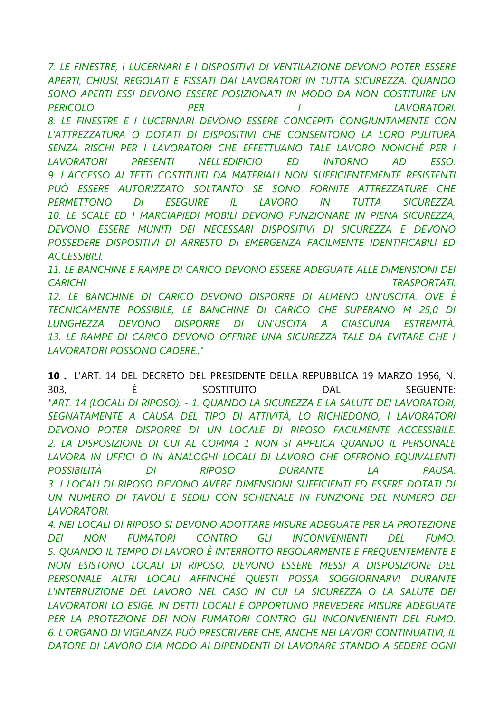*7. LE FINESTRE, I LUCERNARI E I DISPOSITIVI DI VENTILAZIONE DEVONO POTER ESSERE APERTI, CHIUSI, REGOLATI E FISSATI DAI LAVORATORI IN TUTTA SICUREZZA. QUANDO SONO APERTI ESSI DEVONO ESSERE POSIZIONATI IN MODO DA NON COSTITUIRE UN PERICOLO PER I LAVORATORI. 8. LE FINESTRE E I LUCERNARI DEVONO ESSERE CONCEPITI CONGIUNTAMENTE CON L'ATTREZZATURA O DOTATI DI DISPOSITIVI CHE CONSENTONO LA LORO PULITURA SENZA RISCHI PER I LAVORATORI CHE EFFETTUANO TALE LAVORO NONCHÉ PER I LAVORATORI PRESENTI NELL'EDIFICIO ED INTORNO AD ESSO. 9. L'ACCESSO AI TETTI COSTITUITI DA MATERIALI NON SUFFICIENTEMENTE RESISTENTI PUÒ ESSERE AUTORIZZATO SOLTANTO SE SONO FORNITE ATTREZZATURE CHE PERMETTONO DI ESEGUIRE IL LAVORO IN TUTTA SICUREZZA. 10. LE SCALE ED I MARCIAPIEDI MOBILI DEVONO FUNZIONARE IN PIENA SICUREZZA, DEVONO ESSERE MUNITI DEI NECESSARI DISPOSITIVI DI SICUREZZA E DEVONO POSSEDERE DISPOSITIVI DI ARRESTO DI EMERGENZA FACILMENTE IDENTIFICABILI ED ACCESSIBILI.*

*11. LE BANCHINE E RAMPE DI CARICO DEVONO ESSERE ADEGUATE ALLE DIMENSIONI DEI CARICHI TRASPORTATI.*

*12. LE BANCHINE DI CARICO DEVONO DISPORRE DI ALMENO UN'USCITA. OVE È TECNICAMENTE POSSIBILE, LE BANCHINE DI CARICO CHE SUPERANO M 25,0 DI LUNGHEZZA DEVONO DISPORRE DI UN'USCITA A CIASCUNA ESTREMITÀ. 13. LE RAMPE DI CARICO DEVONO OFFRIRE UNA SICUREZZA TALE DA EVITARE CHE I LAVORATORI POSSONO CADERE.."*

**10 .** L'ART. 14 DEL DECRETO DEL PRESIDENTE DELLA REPUBBLICA 19 MARZO 1956, N. 303, È SOSTITUITO DAL SEGUENTE: *"ART. 14 (LOCALI DI RIPOSO). - 1. QUANDO LA SICUREZZA E LA SALUTE DEI LAVORATORI, SEGNATAMENTE A CAUSA DEL TIPO DI ATTIVITÀ, LO RICHIEDONO, I LAVORATORI DEVONO POTER DISPORRE DI UN LOCALE DI RIPOSO FACILMENTE ACCESSIBILE. 2. LA DISPOSIZIONE DI CUI AL COMMA 1 NON SI APPLICA QUANDO IL PERSONALE*  LAVORA IN UFFICI O IN ANALOGHI LOCALI DI LAVORO CHE OFFRONO EQUIVALENTI *POSSIBILITÀ DI RIPOSO DURANTE LA PAUSA. 3. I LOCALI DI RIPOSO DEVONO AVERE DIMENSIONI SUFFICIENTI ED ESSERE DOTATI DI UN NUMERO DI TAVOLI E SEDILI CON SCHIENALE IN FUNZIONE DEL NUMERO DEI LAVORATORI.*

*4. NEI LOCALI DI RIPOSO SI DEVONO ADOTTARE MISURE ADEGUATE PER LA PROTEZIONE DEI NON FUMATORI CONTRO GLI INCONVENIENTI DEL FUMO. 5. QUANDO IL TEMPO DI LAVORO È INTERROTTO REGOLARMENTE E FREQUENTEMENTE E NON ESISTONO LOCALI DI RIPOSO, DEVONO ESSERE MESSI A DISPOSIZIONE DEL PERSONALE ALTRI LOCALI AFFINCHÉ QUESTI POSSA SOGGIORNARVI DURANTE L'INTERRUZIONE DEL LAVORO NEL CASO IN CUI LA SICUREZZA O LA SALUTE DEI LAVORATORI LO ESIGE. IN DETTI LOCALI È OPPORTUNO PREVEDERE MISURE ADEGUATE PER LA PROTEZIONE DEI NON FUMATORI CONTRO GLI INCONVENIENTI DEL FUMO. 6. L'ORGANO DI VIGILANZA PUÒ PRESCRIVERE CHE, ANCHE NEI LAVORI CONTINUATIVI, IL DATORE DI LAVORO DIA MODO AI DIPENDENTI DI LAVORARE STANDO A SEDERE OGNI*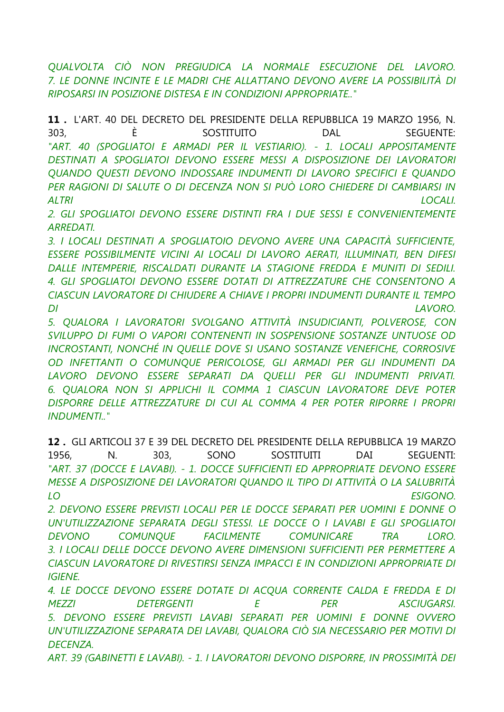OUALVOLTA CIÒ NON PREGIUDICA LA NORMALE ESECUZIONE DEL LAVORO. 7. LE DONNE INCINTE E LE MADRI CHE ALLATTANO DEVONO AVERE LA POSSIBILITÀ DI **RIPOSARSI IN POSIZIONE DISTESA E IN CONDIZIONI APPROPRIATE.."** 

11. L'ART. 40 DEL DECRETO DEL PRESIDENTE DELLA REPUBBLICA 19 MARZO 1956, N.  $303.$ È SOSTITUITO **DAL SEGUENTE:** "ART. 40 (SPOGLIATOI E ARMADI PER IL VESTIARIO). - 1. LOCALI APPOSITAMENTE DESTINATI A SPOGLIATOI DEVONO ESSERE MESSI A DISPOSIZIONE DEI LAVORATORI OUANDO QUESTI DEVONO INDOSSARE INDUMENTI DI LAVORO SPECIFICI E QUANDO PER RAGIONI DI SALUTE O DI DECENZA NON SI PUÒ LORO CHIEDERE DI CAMBIARSI IN **AITRI**  $10C$ AII

2. GLI SPOGLIATOI DEVONO ESSERE DISTINTI FRA I DUE SESSI E CONVENIENTEMENTE **ARREDATI.** 

3. I LOCALI DESTINATI A SPOGLIATOIO DEVONO AVERE UNA CAPACITÀ SUFFICIENTE, ESSERE POSSIBILMENTE VICINI AI LOCALI DI LAVORO AERATI, ILLUMINATI, BEN DIFESI DALLE INTEMPERIE, RISCALDATI DURANTE LA STAGIONE FREDDA E MUNITI DI SEDILI. 4. GLI SPOGLIATOI DEVONO ESSERE DOTATI DI ATTREZZATURE CHE CONSENTONO A CIASCUN LAVORATORE DI CHIUDERE A CHIAVE I PROPRI INDUMENTI DURANTE IL TEMPO  $DI$ LAVORO.

5. OUALORA I LAVORATORI SVOLGANO ATTIVITÀ INSUDICIANTI, POLVEROSE, CON SVILUPPO DI FUMI O VAPORI CONTENENTI IN SOSPENSIONE SOSTANZE UNTUOSE OD INCROSTANTI, NONCHÉ IN QUELLE DOVE SI USANO SOSTANZE VENEFICHE, CORROSIVE OD INFETTANTI O COMUNOUE PERICOLOSE, GLI ARMADI PER GLI INDUMENTI DA LAVORO DEVONO ESSERE SEPARATI DA QUELLI PER GLI INDUMENTI PRIVATI. 6. OUALORA NON SI APPLICHI IL COMMA 1 CIASCUN LAVORATORE DEVE POTER DISPORRE DELLE ATTREZZATURE DI CUI AL COMMA 4 PER POTER RIPORRE I PROPRI **INDUMENTI.."** 

12. GLI ARTICOLI 37 E 39 DEL DECRETO DEL PRESIDENTE DELLA REPUBBLICA 19 MARZO 1956.  $303.$ **SOSTITUITI** DAI N. **SONO SEGUENTI:** "ART. 37 (DOCCE E LAVABI). - 1. DOCCE SUFFICIENTI ED APPROPRIATE DEVONO ESSERE MESSE A DISPOSIZIONE DEI LAVORATORI QUANDO IL TIPO DI ATTIVITÀ O LA SALUBRITÀ LO **ESIGONO.** 

2. DEVONO ESSERE PREVISTI LOCALI PER LE DOCCE SEPARATI PER UOMINI E DONNE O UN'UTILIZZAZIONE SEPARATA DEGLI STESSI. LE DOCCE O I LAVABI E GLI SPOGLIATOI **DEVONO COMUNOUE FACILMENTE COMUNICARE TRA** LORO. 3. I LOCALI DELLE DOCCE DEVONO AVERE DIMENSIONI SUFFICIENTI PER PERMETTERE A CIASCUN LAVORATORE DI RIVESTIRSI SENZA IMPACCI E IN CONDIZIONI APPROPRIATE DI **IGIENE** 

4. LE DOCCE DEVONO ESSERE DOTATE DI ACQUA CORRENTE CALDA E FREDDA E DI **MEZZI DETERGENTI** E **PFR ASCIUGARSI.** 5. DEVONO ESSERE PREVISTI LAVABI SEPARATI PER UOMINI E DONNE OVVERO UN'UTILIZZAZIONE SEPARATA DEI LAVABI, QUALORA CIÒ SIA NECESSARIO PER MOTIVI DI **DECENZA.** 

ART. 39 (GABINETTI E LAVABI). - 1. I LAVORATORI DEVONO DISPORRE, IN PROSSIMITÀ DEI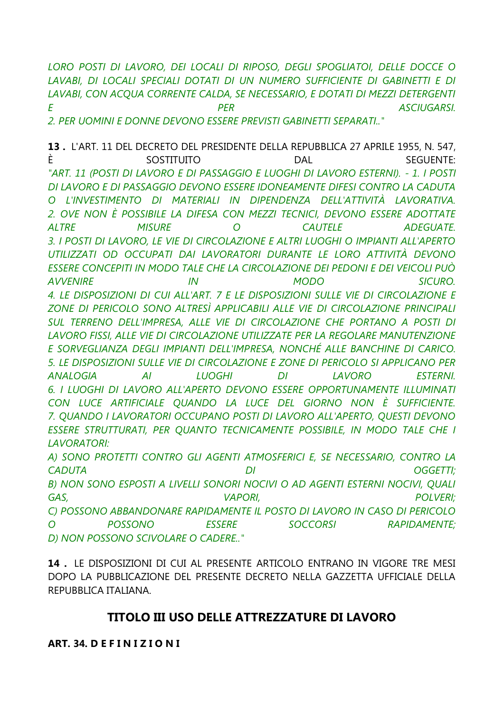LORO POSTI DI LAVORO, DEI LOCALI DI RIPOSO, DEGLI SPOGLIATOI, DELLE DOCCE O LAVABI, DI LOCALI SPECIALI DOTATI DI UN NUMERO SUFFICIENTE DI GABINETTI E DI LAVABI, CON ACQUA CORRENTE CALDA, SE NECESSARIO, E DOTATI DI MEZZI DETERGENTI  $\mathsf{F}$ **PFR ASCIUGARSI** 2. PER UOMINI E DONNE DEVONO ESSERE PREVISTI GABINETTI SEPARATI.."

13. L'ART. 11 DEL DECRETO DEL PRESIDENTE DELLA REPUBBLICA 27 APRILE 1955, N. 547. È SOSTITUITO DAL **SEGUENTE:** "ART. 11 (POSTI DI LAVORO E DI PASSAGGIO E LUOGHI DI LAVORO ESTERNI). - 1. I POSTI DI LAVORO E DI PASSAGGIO DEVONO ESSERE IDONEAMENTE DIFESI CONTRO LA CADUTA O L'INVESTIMENTO DI MATERIALI IN DIPENDENZA DELL'ATTIVITÀ LAVORATIVA. 2. OVE NON È POSSIBILE LA DIFESA CON MEZZI TECNICI, DEVONO ESSERE ADOTTATE **MISURE**  $\overline{O}$ **CAUTELE ALTRE ADEGUATE** 3. I POSTI DI LAVORO, LE VIE DI CIRCOLAZIONE E ALTRI LUOGHI O IMPIANTI ALL'APERTO UTILIZZATI OD OCCUPATI DAI LAVORATORI DURANTE LE LORO ATTIVITÀ DEVONO ESSERE CONCEPITI IN MODO TALE CHE LA CIRCOLAZIONE DEI PEDONI E DEI VEICOLI PUÒ **AVVENIRE**  $IN$ **MODO SICURO.** 4. LE DISPOSIZIONI DI CUI ALL'ART. 7 E LE DISPOSIZIONI SULLE VIE DI CIRCOLAZIONE E ZONE DI PERICOLO SONO ALTRESÌ APPLICABILI ALLE VIE DI CIRCOLAZIONE PRINCIPALI SUL TERRENO DELL'IMPRESA, ALLE VIE DI CIRCOLAZIONE CHE PORTANO A POSTI DI LAVORO FISSI, ALLE VIE DI CIRCOLAZIONE UTILIZZATE PER LA REGOLARE MANUTENZIONE E SORVEGLIANZA DEGLI IMPIANTI DELL'IMPRESA, NONCHÉ ALLE BANCHINE DI CARICO. 5. LE DISPOSIZIONI SULLE VIE DI CIRCOLAZIONE E ZONE DI PERICOLO SI APPLICANO PER **ANAI OGIA**  $AI$ **IUOGHI**  $DI$ **IAVORO FSTERNI** 6. I LUOGHI DI LAVORO ALL'APERTO DEVONO ESSERE OPPORTUNAMENTE ILLUMINATI CON LUCE ARTIFICIALE OUANDO LA LUCE DEL GIORNO NON È SUFFICIENTE. 7. QUANDO I LAVORATORI OCCUPANO POSTI DI LAVORO ALL'APERTO, QUESTI DEVONO ESSERE STRUTTURATI, PER QUANTO TECNICAMENTE POSSIBILE, IN MODO TALE CHE I **LAVORATORI:** A) SONO PROTETTI CONTRO GLI AGENTI ATMOSFERICI E, SE NECESSARIO, CONTRO LA

**CADUTA**  $DI$ **OGGETTI;** B) NON SONO ESPOSTI A LIVELLI SONORI NOCIVI O AD AGENTI ESTERNI NOCIVI, QUALI GAS. **VAPORI. POLVERI:** C) POSSONO ABBANDONARE RAPIDAMENTE IL POSTO DI LAVORO IN CASO DI PERICOLO  $\Omega$ **POSSONO FSSERE SOCCORSI RAPIDAMENTE:** D) NON POSSONO SCIVOLARE O CADERE.."

14. LE DISPOSIZIONI DI CUI AL PRESENTE ARTICOLO ENTRANO IN VIGORE TRE MESI DOPO LA PUBBLICAZIONE DEL PRESENTE DECRETO NELLA GAZZETTA UFFICIALE DELLA REPUBBLICA ITALIANA.

## TITOLO III USO DELLE ATTREZZATURE DI LAVORO

ART. 34. DEFINIZIONI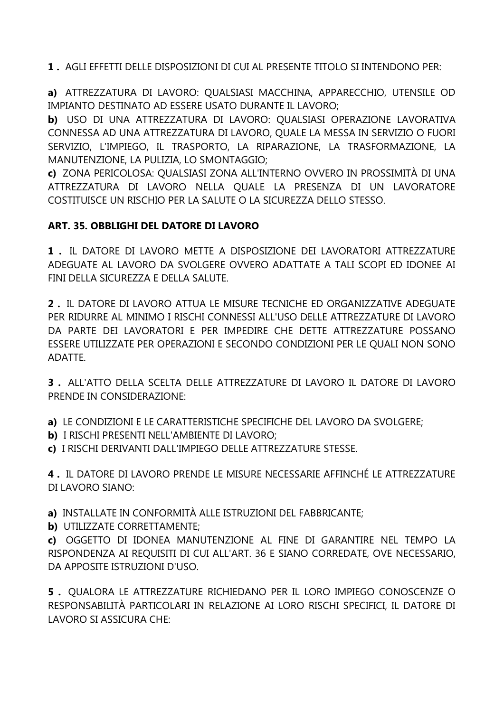**1 .** AGLI EFFETTI DELLE DISPOSIZIONI DI CUI AL PRESENTE TITOLO SI INTENDONO PER:

**a)** ATTREZZATURA DI LAVORO: QUALSIASI MACCHINA, APPARECCHIO, UTENSILE OD IMPIANTO DESTINATO AD ESSERE USATO DURANTE IL LAVORO;

**b)** USO DI UNA ATTREZZATURA DI LAVORO: QUALSIASI OPERAZIONE LAVORATIVA CONNESSA AD UNA ATTREZZATURA DI LAVORO, QUALE LA MESSA IN SERVIZIO O FUORI SERVIZIO, L'IMPIEGO, IL TRASPORTO, LA RIPARAZIONE, LA TRASFORMAZIONE, LA MANUTENZIONE, LA PULIZIA, LO SMONTAGGIO;

**c)** ZONA PERICOLOSA: QUALSIASI ZONA ALL'INTERNO OVVERO IN PROSSIMITÀ DI UNA ATTREZZATURA DI LAVORO NELLA QUALE LA PRESENZA DI UN LAVORATORE COSTITUISCE UN RISCHIO PER LA SALUTE O LA SICUREZZA DELLO STESSO.

## **ART. 35. OBBLIGHI DEL DATORE DI LAVORO**

**1 .** IL DATORE DI LAVORO METTE A DISPOSIZIONE DEI LAVORATORI ATTREZZATURE ADEGUATE AL LAVORO DA SVOLGERE OVVERO ADATTATE A TALI SCOPI ED IDONEE AI FINI DELLA SICUREZZA E DELLA SALUTE.

**2 .** IL DATORE DI LAVORO ATTUA LE MISURE TECNICHE ED ORGANIZZATIVE ADEGUATE PER RIDURRE AL MINIMO I RISCHI CONNESSI ALL'USO DELLE ATTREZZATURE DI LAVORO DA PARTE DEI LAVORATORI E PER IMPEDIRE CHE DETTE ATTREZZATURE POSSANO ESSERE UTILIZZATE PER OPERAZIONI E SECONDO CONDIZIONI PER LE QUALI NON SONO ADATTE.

**3 .** ALL'ATTO DELLA SCELTA DELLE ATTREZZATURE DI LAVORO IL DATORE DI LAVORO PRENDE IN CONSIDERAZIONE:

**a)** LE CONDIZIONI E LE CARATTERISTICHE SPECIFICHE DEL LAVORO DA SVOLGERE;

- **b)** I RISCHI PRESENTI NELL'AMBIENTE DI LAVORO;
- **c)** I RISCHI DERIVANTI DALL'IMPIEGO DELLE ATTREZZATURE STESSE.

**4 .** IL DATORE DI LAVORO PRENDE LE MISURE NECESSARIE AFFINCHÉ LE ATTREZZATURE DI LAVORO SIANO:

**a)** INSTALLATE IN CONFORMITÀ ALLE ISTRUZIONI DEL FABBRICANTE;

**b)** UTILIZZATE CORRETTAMENTE;

**c)** OGGETTO DI IDONEA MANUTENZIONE AL FINE DI GARANTIRE NEL TEMPO LA RISPONDENZA AI REQUISITI DI CUI ALL'ART. 36 E SIANO CORREDATE, OVE NECESSARIO, DA APPOSITE ISTRUZIONI D'USO.

**5 .** QUALORA LE ATTREZZATURE RICHIEDANO PER IL LORO IMPIEGO CONOSCENZE O RESPONSABILITÀ PARTICOLARI IN RELAZIONE AI LORO RISCHI SPECIFICI, IL DATORE DI LAVORO SI ASSICURA CHE: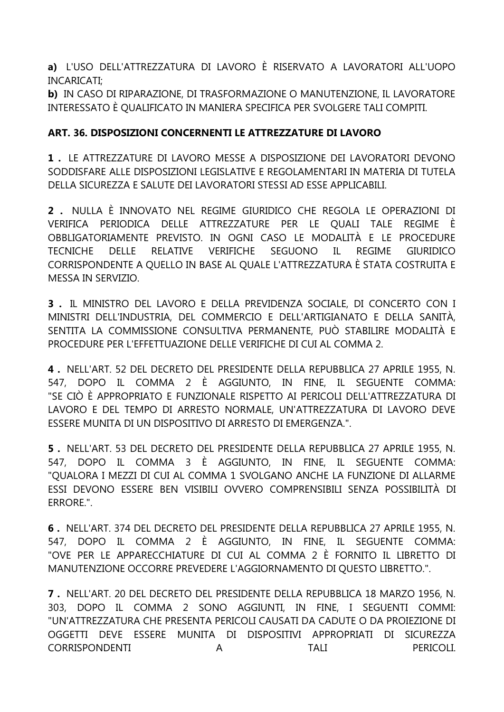**a)** L'USO DELL'ATTREZZATURA DI LAVORO È RISERVATO A LAVORATORI ALL'UOPO INCARICATI;

**b)** IN CASO DI RIPARAZIONE, DI TRASFORMAZIONE O MANUTENZIONE, IL LAVORATORE INTERESSATO È QUALIFICATO IN MANIERA SPECIFICA PER SVOLGERE TALI COMPITI.

## **ART. 36. DISPOSIZIONI CONCERNENTI LE ATTREZZATURE DI LAVORO**

**1 .** LE ATTREZZATURE DI LAVORO MESSE A DISPOSIZIONE DEI LAVORATORI DEVONO SODDISFARE ALLE DISPOSIZIONI LEGISLATIVE E REGOLAMENTARI IN MATERIA DI TUTELA DELLA SICUREZZA E SALUTE DEI LAVORATORI STESSI AD ESSE APPLICABILI.

**2 .** NULLA È INNOVATO NEL REGIME GIURIDICO CHE REGOLA LE OPERAZIONI DI VERIFICA PERIODICA DELLE ATTREZZATURE PER LE QUALI TALE REGIME È OBBLIGATORIAMENTE PREVISTO. IN OGNI CASO LE MODALITÀ E LE PROCEDURE TECNICHE DELLE RELATIVE VERIFICHE SEGUONO IL REGIME GIURIDICO CORRISPONDENTE A QUELLO IN BASE AL QUALE L'ATTREZZATURA È STATA COSTRUITA E MESSA IN SERVIZIO.

**3 .** IL MINISTRO DEL LAVORO E DELLA PREVIDENZA SOCIALE, DI CONCERTO CON I MINISTRI DELL'INDUSTRIA, DEL COMMERCIO E DELL'ARTIGIANATO E DELLA SANITÀ, SENTITA LA COMMISSIONE CONSULTIVA PERMANENTE, PUÒ STABILIRE MODALITÀ E PROCEDURE PER L'EFFETTUAZIONE DELLE VERIFICHE DI CUI AL COMMA 2.

**4 .** NELL'ART. 52 DEL DECRETO DEL PRESIDENTE DELLA REPUBBLICA 27 APRILE 1955, N. 547, DOPO IL COMMA 2 È AGGIUNTO, IN FINE, IL SEGUENTE COMMA: "SE CIÒ È APPROPRIATO E FUNZIONALE RISPETTO AI PERICOLI DELL'ATTREZZATURA DI LAVORO E DEL TEMPO DI ARRESTO NORMALE, UN'ATTREZZATURA DI LAVORO DEVE ESSERE MUNITA DI UN DISPOSITIVO DI ARRESTO DI EMERGENZA.".

**5 .** NELL'ART. 53 DEL DECRETO DEL PRESIDENTE DELLA REPUBBLICA 27 APRILE 1955, N. 547, DOPO IL COMMA 3 È AGGIUNTO, IN FINE, IL SEGUENTE COMMA: "QUALORA I MEZZI DI CUI AL COMMA 1 SVOLGANO ANCHE LA FUNZIONE DI ALLARME ESSI DEVONO ESSERE BEN VISIBILI OVVERO COMPRENSIBILI SENZA POSSIBILITÀ DI ERRORE.".

**6 .** NELL'ART. 374 DEL DECRETO DEL PRESIDENTE DELLA REPUBBLICA 27 APRILE 1955, N. 547, DOPO IL COMMA 2 È AGGIUNTO, IN FINE, IL SEGUENTE COMMA: "OVE PER LE APPARECCHIATURE DI CUI AL COMMA 2 È FORNITO IL LIBRETTO DI MANUTENZIONE OCCORRE PREVEDERE L'AGGIORNAMENTO DI QUESTO LIBRETTO.".

**7 .** NELL'ART. 20 DEL DECRETO DEL PRESIDENTE DELLA REPUBBLICA 18 MARZO 1956, N. 303, DOPO IL COMMA 2 SONO AGGIUNTI, IN FINE, I SEGUENTI COMMI: "UN'ATTREZZATURA CHE PRESENTA PERICOLI CAUSATI DA CADUTE O DA PROIEZIONE DI OGGETTI DEVE ESSERE MUNITA DI DISPOSITIVI APPROPRIATI DI SICUREZZA CORRISPONDENTI A TALI PERICOLI.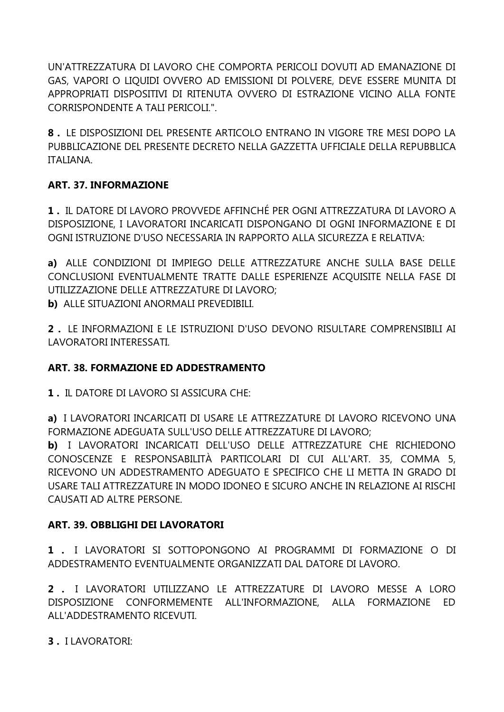UN'ATTREZZATURA DI LAVORO CHE COMPORTA PERICOLI DOVUTI AD EMANAZIONE DI GAS, VAPORI O LIQUIDI OVVERO AD EMISSIONI DI POLVERE, DEVE ESSERE MUNITA DI APPROPRIATI DISPOSITIVI DI RITENUTA OVVERO DI ESTRAZIONE VICINO ALLA FONTE CORRISPONDENTE A TALI PERICOLI.".

**8 .** LE DISPOSIZIONI DEL PRESENTE ARTICOLO ENTRANO IN VIGORE TRE MESI DOPO LA PUBBLICAZIONE DEL PRESENTE DECRETO NELLA GAZZETTA UFFICIALE DELLA REPUBBLICA ITALIANA.

## **ART. 37. INFORMAZIONE**

**1 .** IL DATORE DI LAVORO PROVVEDE AFFINCHÉ PER OGNI ATTREZZATURA DI LAVORO A DISPOSIZIONE, I LAVORATORI INCARICATI DISPONGANO DI OGNI INFORMAZIONE E DI OGNI ISTRUZIONE D'USO NECESSARIA IN RAPPORTO ALLA SICUREZZA E RELATIVA:

**a)** ALLE CONDIZIONI DI IMPIEGO DELLE ATTREZZATURE ANCHE SULLA BASE DELLE CONCLUSIONI EVENTUALMENTE TRATTE DALLE ESPERIENZE ACQUISITE NELLA FASE DI UTILIZZAZIONE DELLE ATTREZZATURE DI LAVORO;

**b)** ALLE SITUAZIONI ANORMALI PREVEDIBILI.

**2 .** LE INFORMAZIONI E LE ISTRUZIONI D'USO DEVONO RISULTARE COMPRENSIBILI AI LAVORATORI INTERESSATI.

#### **ART. 38. FORMAZIONE ED ADDESTRAMENTO**

**1 .** IL DATORE DI LAVORO SI ASSICURA CHE:

**a)** I LAVORATORI INCARICATI DI USARE LE ATTREZZATURE DI LAVORO RICEVONO UNA FORMAZIONE ADEGUATA SULL'USO DELLE ATTREZZATURE DI LAVORO;

**b)** I LAVORATORI INCARICATI DELL'USO DELLE ATTREZZATURE CHE RICHIEDONO CONOSCENZE E RESPONSABILITÀ PARTICOLARI DI CUI ALL'ART. 35, COMMA 5, RICEVONO UN ADDESTRAMENTO ADEGUATO E SPECIFICO CHE LI METTA IN GRADO DI USARE TALI ATTREZZATURE IN MODO IDONEO E SICURO ANCHE IN RELAZIONE AI RISCHI CAUSATI AD ALTRE PERSONE.

# **ART. 39. OBBLIGHI DEI LAVORATORI**

**1 .** I LAVORATORI SI SOTTOPONGONO AI PROGRAMMI DI FORMAZIONE O DI ADDESTRAMENTO EVENTUALMENTE ORGANIZZATI DAL DATORE DI LAVORO.

**2 .** I LAVORATORI UTILIZZANO LE ATTREZZATURE DI LAVORO MESSE A LORO DISPOSIZIONE CONFORMEMENTE ALL'INFORMAZIONE, ALLA FORMAZIONE ED ALL'ADDESTRAMENTO RICEVUTI.

**3 .** I LAVORATORI: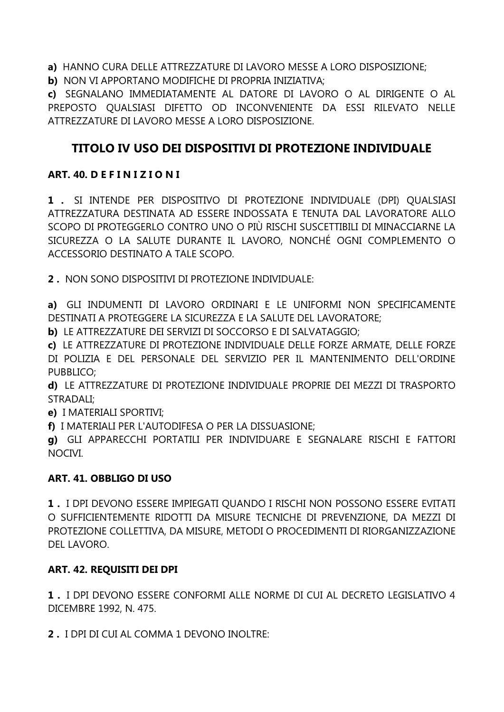**a)** HANNO CURA DELLE ATTREZZATURE DI LAVORO MESSE A LORO DISPOSIZIONE;

**b)** NON VI APPORTANO MODIFICHE DI PROPRIA INIZIATIVA;

**c)** SEGNALANO IMMEDIATAMENTE AL DATORE DI LAVORO O AL DIRIGENTE O AL PREPOSTO QUALSIASI DIFETTO OD INCONVENIENTE DA ESSI RILEVATO NELLE ATTREZZATURE DI LAVORO MESSE A LORO DISPOSIZIONE.

# **TITOLO IV USO DEI DISPOSITIVI DI PROTEZIONE INDIVIDUALE**

## **ART. 40. D E F I N I Z I O N I**

**1 .** SI INTENDE PER DISPOSITIVO DI PROTEZIONE INDIVIDUALE (DPI) QUALSIASI ATTREZZATURA DESTINATA AD ESSERE INDOSSATA E TENUTA DAL LAVORATORE ALLO SCOPO DI PROTEGGERLO CONTRO UNO O PIÙ RISCHI SUSCETTIBILI DI MINACCIARNE LA SICUREZZA O LA SALUTE DURANTE IL LAVORO, NONCHÉ OGNI COMPLEMENTO O ACCESSORIO DESTINATO A TALE SCOPO.

**2 .** NON SONO DISPOSITIVI DI PROTEZIONE INDIVIDUALE:

**a)** GLI INDUMENTI DI LAVORO ORDINARI E LE UNIFORMI NON SPECIFICAMENTE DESTINATI A PROTEGGERE LA SICUREZZA E LA SALUTE DEL LAVORATORE;

**b)** LE ATTREZZATURE DEI SERVIZI DI SOCCORSO E DI SALVATAGGIO;

**c)** LE ATTREZZATURE DI PROTEZIONE INDIVIDUALE DELLE FORZE ARMATE, DELLE FORZE DI POLIZIA E DEL PERSONALE DEL SERVIZIO PER IL MANTENIMENTO DELL'ORDINE PUBBLICO;

**d)** LE ATTREZZATURE DI PROTEZIONE INDIVIDUALE PROPRIE DEI MEZZI DI TRASPORTO STRADALI;

**e)** I MATERIALI SPORTIVI;

**f)** I MATERIALI PER L'AUTODIFESA O PER LA DISSUASIONE;

**g)** GLI APPARECCHI PORTATILI PER INDIVIDUARE E SEGNALARE RISCHI E FATTORI NOCIVI.

# **ART. 41. OBBLIGO DI USO**

**1 .** I DPI DEVONO ESSERE IMPIEGATI QUANDO I RISCHI NON POSSONO ESSERE EVITATI O SUFFICIENTEMENTE RIDOTTI DA MISURE TECNICHE DI PREVENZIONE, DA MEZZI DI PROTEZIONE COLLETTIVA, DA MISURE, METODI O PROCEDIMENTI DI RIORGANIZZAZIONE DEL LAVORO.

# **ART. 42. REQUISITI DEI DPI**

**1 .** I DPI DEVONO ESSERE CONFORMI ALLE NORME DI CUI AL DECRETO LEGISLATIVO 4 DICEMBRE 1992, N. 475.

**2 .** I DPI DI CUI AL COMMA 1 DEVONO INOLTRE: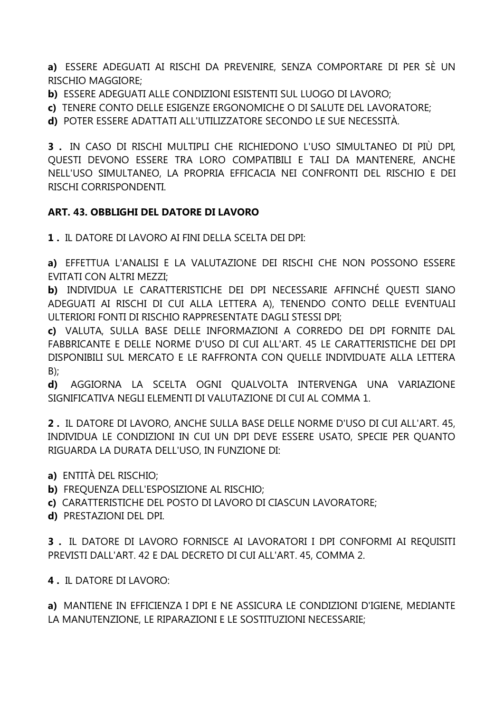a) ESSERE ADEGUATI AI RISCHI DA PREVENIRE, SENZA COMPORTARE DI PER SÈ UN RISCHIO MAGGIORE:

b) ESSERE ADEGUATI ALLE CONDIZIONI ESISTENTI SUL LUOGO DI LAVORO;

c) TENERE CONTO DELLE ESIGENZE ERGONOMICHE O DI SALUTE DEL LAVORATORE:

d) POTER ESSERE ADATTATI ALL'UTILIZZATORE SECONDO LE SUE NECESSITÀ.

3. IN CASO DI RISCHI MULTIPLI CHE RICHIEDONO L'USO SIMULTANEO DI PIÙ DPI. QUESTI DEVONO ESSERE TRA LORO COMPATIBILI E TALI DA MANTENERE, ANCHE NELL'USO SIMULTANEO. LA PROPRIA EFFICACIA NEI CONFRONTI DEL RISCHIO E DEI RISCHI CORRISPONDENTI.

#### ART. 43. OBBLIGHI DEL DATORE DI LAVORO

1. IL DATORE DI LAVORO AI FINI DELLA SCELTA DEI DPI·

a) EFFETTUA L'ANALISI E LA VALUTAZIONE DEI RISCHI CHE NON POSSONO ESSERE **EVITATI CON ALTRI MEZZI:** 

b) INDIVIDUA LE CARATTERISTICHE DEI DPI NECESSARIE AFFINCHÉ QUESTI SIANO ADEGUATI AI RISCHI DI CUI ALLA LETTERA A), TENENDO CONTO DELLE EVENTUALI ULTERIORI FONTI DI RISCHIO RAPPRESENTATE DAGLI STESSI DPI;

c) VALUTA. SULLA BASE DELLE INFORMAZIONI A CORREDO DEI DPI FORNITE DAL FABBRICANTE E DELLE NORME D'USO DI CUI ALL'ART. 45 LE CARATTERISTICHE DEI DPI DISPONIBILI SUL MERCATO E LE RAFFRONTA CON QUELLE INDIVIDUATE ALLA LETTERA  $B)$ ;

AGGIORNA LA SCELTA OGNI OUALVOLTA INTERVENGA UNA VARIAZIONE  $\mathbf{d}$ SIGNIFICATIVA NEGLI ELEMENTI DI VALUTAZIONE DI CUI AL COMMA 1.

2. IL DATORE DI LAVORO, ANCHE SULLA BASE DELLE NORME D'USO DI CUI ALL'ART. 45, INDIVIDUA LE CONDIZIONI IN CUI UN DPI DEVE ESSERE USATO, SPECIE PER QUANTO RIGUARDA LA DURATA DELL'USO. IN FUNZIONE DI:

- a) ENTITÀ DEL RISCHIO;
- b) FREQUENZA DELL'ESPOSIZIONE AL RISCHIO;
- c) CARATTERISTICHE DEL POSTO DI LAVORO DI CIASCUN LAVORATORE;
- d) PRESTAZIONI DEL DPI.

3. IL DATORE DI LAVORO FORNISCE AI LAVORATORI I DPI CONFORMI AI REQUISITI PREVISTI DALL'ART. 42 E DAL DECRETO DI CUI ALL'ART. 45, COMMA 2.

4. IL DATORE DI LAVORO:

a) MANTIENE IN EFFICIENZA I DPI E NE ASSICURA LE CONDIZIONI D'IGIENE, MEDIANTE LA MANUTENZIONE, LE RIPARAZIONI E LE SOSTITUZIONI NECESSARIE: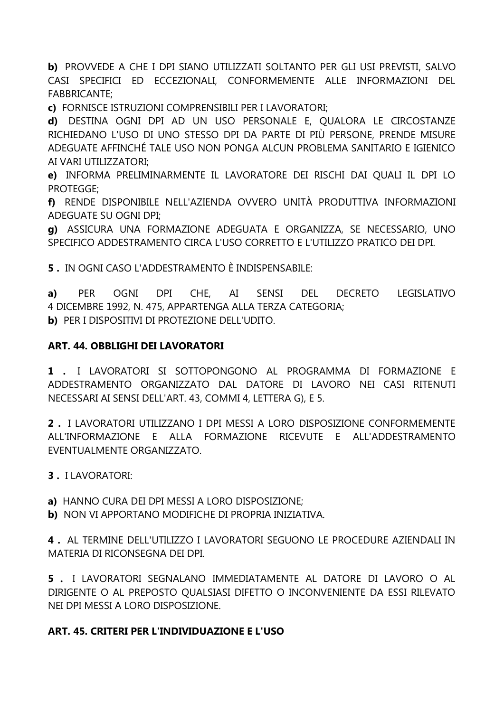b) PROVVEDE A CHE I DPI SIANO UTILIZZATI SOLTANTO PER GLI USI PREVISTI, SALVO CASI SPECIFICI ED ECCEZIONALI, CONFORMEMENTE ALLE INFORMAZIONI DEL **FABBRICANTE:** 

c) FORNISCE ISTRUZIONI COMPRENSIBILI PER I LAVORATORI:

d) DESTINA OGNI DPI AD UN USO PERSONALE E, QUALORA LE CIRCOSTANZE RICHIEDANO L'USO DI UNO STESSO DPI DA PARTE DI PIÙ PERSONE, PRENDE MISURE ADEGUATE AFFINCHÉ TALE USO NON PONGA ALCUN PROBLEMA SANITARIO E IGIENICO AI VARI UTILIZZATORI;

e) INFORMA PRELIMINARMENTE IL LAVORATORE DEI RISCHI DAI QUALI IL DPI LO PROTEGGE:

f) RENDE DISPONIBILE NELL'AZIENDA OVVERO UNITÀ PRODUTTIVA INFORMAZIONI **ADEGUATE SU OGNI DPI:** 

g) ASSICURA UNA FORMAZIONE ADEGUATA E ORGANIZZA, SE NECESSARIO, UNO SPECIFICO ADDESTRAMENTO CIRCA L'USO CORRETTO E L'UTILIZZO PRATICO DEI DPI.

**5**. IN OGNI CASO L'ADDESTRAMENTO È INDISPENSABILE:

PER OGNI DPI CHE, AI SENSI **DFI** DECRETO LEGISLATIVO  $a)$ 4 DICEMBRE 1992, N. 475, APPARTENGA ALLA TERZA CATEGORIA; b) PER I DISPOSITIVI DI PROTEZIONE DELL'UDITO.

#### **ART. 44. OBBLIGHI DEI LAVORATORI**

1 . I LAVORATORI SI SOTTOPONGONO AL PROGRAMMA DI FORMAZIONE E ADDESTRAMENTO ORGANIZZATO DAL DATORE DI LAVORO NEI CASI RITENUTI NECESSARI AI SENSI DELL'ART. 43, COMMI 4, LETTERA G), E 5.

2. I LAVORATORI UTILIZZANO I DPI MESSI A LORO DISPOSIZIONE CONFORMEMENTE ALL'INFORMAZIONE E ALLA FORMAZIONE RICEVUTE E ALL'ADDESTRAMENTO **FVENTUALMENTE ORGANIZZATO** 

**3. I LAVORATORI:** 

a) HANNO CURA DEI DPI MESSI A LORO DISPOSIZIONE;

b) NON VI APPORTANO MODIFICHE DI PROPRIA INIZIATIVA.

4. AL TERMINE DELL'UTILIZZO I LAVORATORI SEGUONO LE PROCEDURE AZIENDALI IN MATERIA DI RICONSEGNA DEI DPI

5. I LAVORATORI SEGNALANO IMMEDIATAMENTE AL DATORE DI LAVORO O AL DIRIGENTE O AL PREPOSTO QUALSIASI DIFETTO O INCONVENIENTE DA ESSI RILEVATO NEI DPI MESSI A LORO DISPOSIZIONE.

# ART. 45. CRITERI PER L'INDIVIDUAZIONE E L'USO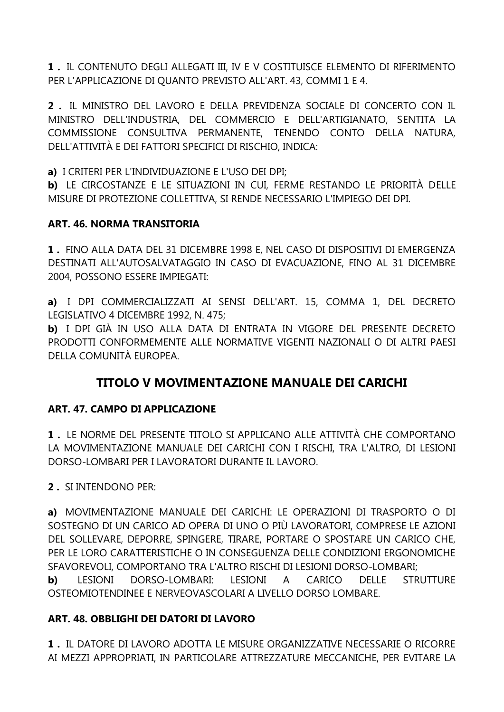**1 .** IL CONTENUTO DEGLI ALLEGATI III, IV E V COSTITUISCE ELEMENTO DI RIFERIMENTO PER L'APPLICAZIONE DI QUANTO PREVISTO ALL'ART. 43, COMMI 1 E 4.

**2 .** IL MINISTRO DEL LAVORO E DELLA PREVIDENZA SOCIALE DI CONCERTO CON IL MINISTRO DELL'INDUSTRIA, DEL COMMERCIO E DELL'ARTIGIANATO, SENTITA LA COMMISSIONE CONSULTIVA PERMANENTE, TENENDO CONTO DELLA NATURA, DELL'ATTIVITÀ E DEI FATTORI SPECIFICI DI RISCHIO, INDICA:

**a)** I CRITERI PER L'INDIVIDUAZIONE E L'USO DEI DPI;

**b)** LE CIRCOSTANZE E LE SITUAZIONI IN CUI, FERME RESTANDO LE PRIORITÀ DELLE MISURE DI PROTEZIONE COLLETTIVA, SI RENDE NECESSARIO L'IMPIEGO DEI DPI.

#### **ART. 46. NORMA TRANSITORIA**

**1 .** FINO ALLA DATA DEL 31 DICEMBRE 1998 E, NEL CASO DI DISPOSITIVI DI EMERGENZA DESTINATI ALL'AUTOSALVATAGGIO IN CASO DI EVACUAZIONE, FINO AL 31 DICEMBRE 2004, POSSONO ESSERE IMPIEGATI:

**a)** I DPI COMMERCIALIZZATI AI SENSI DELL'ART. 15, COMMA 1, DEL DECRETO LEGISLATIVO 4 DICEMBRE 1992, N. 475;

**b)** I DPI GIÀ IN USO ALLA DATA DI ENTRATA IN VIGORE DEL PRESENTE DECRETO PRODOTTI CONFORMEMENTE ALLE NORMATIVE VIGENTI NAZIONALI O DI ALTRI PAESI DELLA COMUNITÀ EUROPEA.

# **TITOLO V MOVIMENTAZIONE MANUALE DEI CARICHI**

#### **ART. 47. CAMPO DI APPLICAZIONE**

**1 .** LE NORME DEL PRESENTE TITOLO SI APPLICANO ALLE ATTIVITÀ CHE COMPORTANO LA MOVIMENTAZIONE MANUALE DEI CARICHI CON I RISCHI, TRA L'ALTRO, DI LESIONI DORSO-LOMBARI PER I LAVORATORI DURANTE IL LAVORO.

**2 .** SI INTENDONO PER:

**a)** MOVIMENTAZIONE MANUALE DEI CARICHI: LE OPERAZIONI DI TRASPORTO O DI SOSTEGNO DI UN CARICO AD OPERA DI UNO O PIÙ LAVORATORI, COMPRESE LE AZIONI DEL SOLLEVARE, DEPORRE, SPINGERE, TIRARE, PORTARE O SPOSTARE UN CARICO CHE, PER LE LORO CARATTERISTICHE O IN CONSEGUENZA DELLE CONDIZIONI ERGONOMICHE SFAVOREVOLI, COMPORTANO TRA L'ALTRO RISCHI DI LESIONI DORSO-LOMBARI;

**b)** LESIONI DORSO-LOMBARI: LESIONI A CARICO DELLE STRUTTURE OSTEOMIOTENDINEE E NERVEOVASCOLARI A LIVELLO DORSO LOMBARE.

#### **ART. 48. OBBLIGHI DEI DATORI DI LAVORO**

**1 .** IL DATORE DI LAVORO ADOTTA LE MISURE ORGANIZZATIVE NECESSARIE O RICORRE AI MEZZI APPROPRIATI, IN PARTICOLARE ATTREZZATURE MECCANICHE, PER EVITARE LA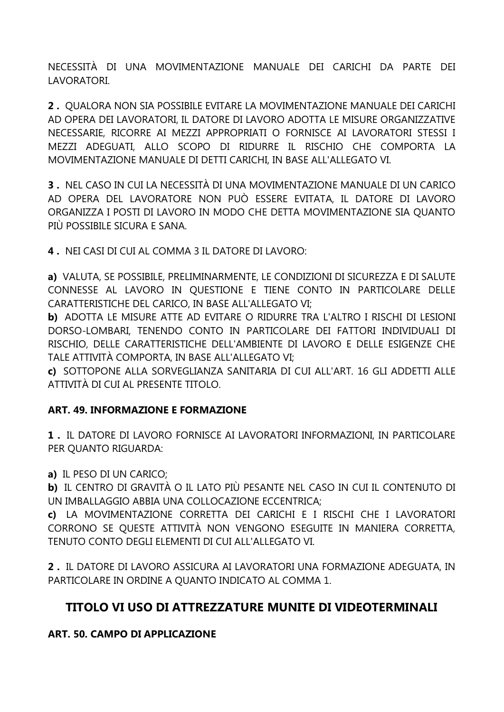NECESSITÀ DI UNA MOVIMENTAZIONE MANUALE DEI CARICHI DA PARTE DEI LAVORATORI.

**2 .** QUALORA NON SIA POSSIBILE EVITARE LA MOVIMENTAZIONE MANUALE DEI CARICHI AD OPERA DEI LAVORATORI, IL DATORE DI LAVORO ADOTTA LE MISURE ORGANIZZATIVE NECESSARIE, RICORRE AI MEZZI APPROPRIATI O FORNISCE AI LAVORATORI STESSI I MEZZI ADEGUATI, ALLO SCOPO DI RIDURRE IL RISCHIO CHE COMPORTA LA MOVIMENTAZIONE MANUALE DI DETTI CARICHI, IN BASE ALL'ALLEGATO VI.

**3 .** NEL CASO IN CUI LA NECESSITÀ DI UNA MOVIMENTAZIONE MANUALE DI UN CARICO AD OPERA DEL LAVORATORE NON PUÒ ESSERE EVITATA, IL DATORE DI LAVORO ORGANIZZA I POSTI DI LAVORO IN MODO CHE DETTA MOVIMENTAZIONE SIA QUANTO PIÙ POSSIBILE SICURA E SANA.

**4 .** NEI CASI DI CUI AL COMMA 3 IL DATORE DI LAVORO:

**a)** VALUTA, SE POSSIBILE, PRELIMINARMENTE, LE CONDIZIONI DI SICUREZZA E DI SALUTE CONNESSE AL LAVORO IN QUESTIONE E TIENE CONTO IN PARTICOLARE DELLE CARATTERISTICHE DEL CARICO, IN BASE ALL'ALLEGATO VI;

**b)** ADOTTA LE MISURE ATTE AD EVITARE O RIDURRE TRA L'ALTRO I RISCHI DI LESIONI DORSO-LOMBARI, TENENDO CONTO IN PARTICOLARE DEI FATTORI INDIVIDUALI DI RISCHIO, DELLE CARATTERISTICHE DELL'AMBIENTE DI LAVORO E DELLE ESIGENZE CHE TALE ATTIVITÀ COMPORTA, IN BASE ALL'ALLEGATO VI;

**c)** SOTTOPONE ALLA SORVEGLIANZA SANITARIA DI CUI ALL'ART. 16 GLI ADDETTI ALLE ATTIVITÀ DI CUI AL PRESENTE TITOLO.

#### **ART. 49. INFORMAZIONE E FORMAZIONE**

**1 .** IL DATORE DI LAVORO FORNISCE AI LAVORATORI INFORMAZIONI, IN PARTICOLARE PER QUANTO RIGUARDA:

**a)** IL PESO DI UN CARICO;

**b)** IL CENTRO DI GRAVITÀ O IL LATO PIÙ PESANTE NEL CASO IN CUI IL CONTENUTO DI UN IMBALLAGGIO ABBIA UNA COLLOCAZIONE ECCENTRICA;

**c)** LA MOVIMENTAZIONE CORRETTA DEI CARICHI E I RISCHI CHE I LAVORATORI CORRONO SE QUESTE ATTIVITÀ NON VENGONO ESEGUITE IN MANIERA CORRETTA, TENUTO CONTO DEGLI ELEMENTI DI CUI ALL'ALLEGATO VI.

**2 .** IL DATORE DI LAVORO ASSICURA AI LAVORATORI UNA FORMAZIONE ADEGUATA, IN PARTICOLARE IN ORDINE A QUANTO INDICATO AL COMMA 1.

# **TITOLO VI USO DI ATTREZZATURE MUNITE DI VIDEOTERMINALI**

#### **ART. 50. CAMPO DI APPLICAZIONE**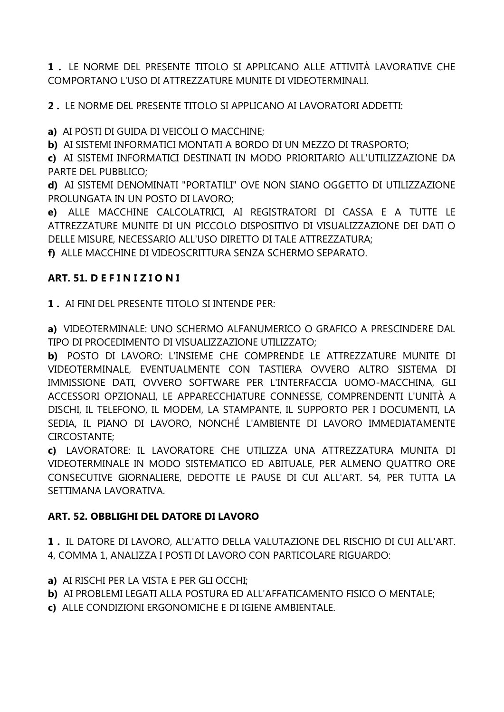**1 .** LE NORME DEL PRESENTE TITOLO SI APPLICANO ALLE ATTIVITÀ LAVORATIVE CHE COMPORTANO L'USO DI ATTREZZATURE MUNITE DI VIDEOTERMINALI.

**2 .** LE NORME DEL PRESENTE TITOLO SI APPLICANO AI LAVORATORI ADDETTI:

**a)** AI POSTI DI GUIDA DI VEICOLI O MACCHINE;

**b)** AI SISTEMI INFORMATICI MONTATI A BORDO DI UN MEZZO DI TRASPORTO;

**c)** AI SISTEMI INFORMATICI DESTINATI IN MODO PRIORITARIO ALL'UTILIZZAZIONE DA PARTE DEL PUBBLICO;

**d)** AI SISTEMI DENOMINATI "PORTATILI" OVE NON SIANO OGGETTO DI UTILIZZAZIONE PROLUNGATA IN UN POSTO DI LAVORO;

**e)** ALLE MACCHINE CALCOLATRICI, AI REGISTRATORI DI CASSA E A TUTTE LE ATTREZZATURE MUNITE DI UN PICCOLO DISPOSITIVO DI VISUALIZZAZIONE DEI DATI O DELLE MISURE, NECESSARIO ALL'USO DIRETTO DI TALE ATTREZZATURA;

**f)** ALLE MACCHINE DI VIDEOSCRITTURA SENZA SCHERMO SEPARATO.

## **ART. 51. D E F I N I Z I O N I**

**1 .** AI FINI DEL PRESENTE TITOLO SI INTENDE PER:

**a)** VIDEOTERMINALE: UNO SCHERMO ALFANUMERICO O GRAFICO A PRESCINDERE DAL TIPO DI PROCEDIMENTO DI VISUALIZZAZIONE UTILIZZATO;

**b)** POSTO DI LAVORO: L'INSIEME CHE COMPRENDE LE ATTREZZATURE MUNITE DI VIDEOTERMINALE, EVENTUALMENTE CON TASTIERA OVVERO ALTRO SISTEMA DI IMMISSIONE DATI, OVVERO SOFTWARE PER L'INTERFACCIA UOMO-MACCHINA, GLI ACCESSORI OPZIONALI, LE APPARECCHIATURE CONNESSE, COMPRENDENTI L'UNITÀ A DISCHI, IL TELEFONO, IL MODEM, LA STAMPANTE, IL SUPPORTO PER I DOCUMENTI, LA SEDIA, IL PIANO DI LAVORO, NONCHÉ L'AMBIENTE DI LAVORO IMMEDIATAMENTE CIRCOSTANTE;

**c)** LAVORATORE: IL LAVORATORE CHE UTILIZZA UNA ATTREZZATURA MUNITA DI VIDEOTERMINALE IN MODO SISTEMATICO ED ABITUALE, PER ALMENO QUATTRO ORE CONSECUTIVE GIORNALIERE, DEDOTTE LE PAUSE DI CUI ALL'ART. 54, PER TUTTA LA SETTIMANA LAVORATIVA.

# **ART. 52. OBBLIGHI DEL DATORE DI LAVORO**

**1 .** IL DATORE DI LAVORO, ALL'ATTO DELLA VALUTAZIONE DEL RISCHIO DI CUI ALL'ART. 4, COMMA 1, ANALIZZA I POSTI DI LAVORO CON PARTICOLARE RIGUARDO:

- **a)** AI RISCHI PER LA VISTA E PER GLI OCCHI;
- **b)** AI PROBLEMI LEGATI ALLA POSTURA ED ALL'AFFATICAMENTO FISICO O MENTALE;
- **c)** ALLE CONDIZIONI ERGONOMICHE E DI IGIENE AMBIENTALE.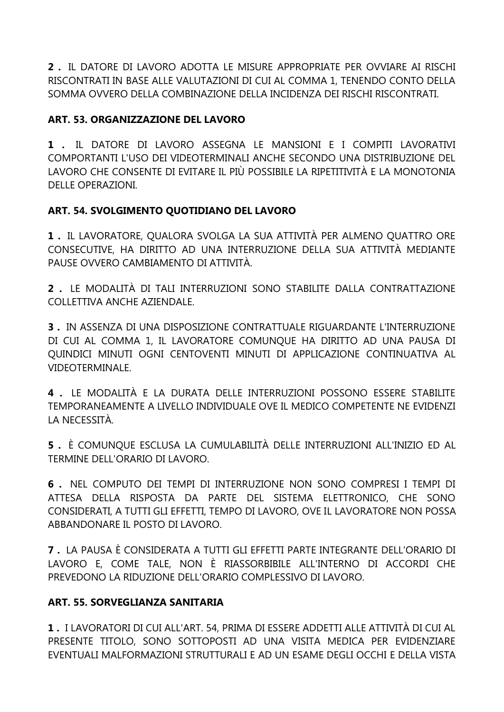**2 .** IL DATORE DI LAVORO ADOTTA LE MISURE APPROPRIATE PER OVVIARE AI RISCHI RISCONTRATI IN BASE ALLE VALUTAZIONI DI CUI AL COMMA 1, TENENDO CONTO DELLA SOMMA OVVERO DELLA COMBINAZIONE DELLA INCIDENZA DEI RISCHI RISCONTRATI.

## **ART. 53. ORGANIZZAZIONE DEL LAVORO**

**1 .** IL DATORE DI LAVORO ASSEGNA LE MANSIONI E I COMPITI LAVORATIVI COMPORTANTI L'USO DEI VIDEOTERMINALI ANCHE SECONDO UNA DISTRIBUZIONE DEL LAVORO CHE CONSENTE DI EVITARE IL PIÙ POSSIBILE LA RIPETITIVITÀ E LA MONOTONIA DELLE OPERAZIONI.

#### **ART. 54. SVOLGIMENTO QUOTIDIANO DEL LAVORO**

**1 .** IL LAVORATORE, QUALORA SVOLGA LA SUA ATTIVITÀ PER ALMENO QUATTRO ORE CONSECUTIVE, HA DIRITTO AD UNA INTERRUZIONE DELLA SUA ATTIVITÀ MEDIANTE PAUSE OVVERO CAMBIAMENTO DI ATTIVITÀ.

**2 .** LE MODALITÀ DI TALI INTERRUZIONI SONO STABILITE DALLA CONTRATTAZIONE COLLETTIVA ANCHE AZIENDALE.

**3 .** IN ASSENZA DI UNA DISPOSIZIONE CONTRATTUALE RIGUARDANTE L'INTERRUZIONE DI CUI AL COMMA 1, IL LAVORATORE COMUNQUE HA DIRITTO AD UNA PAUSA DI QUINDICI MINUTI OGNI CENTOVENTI MINUTI DI APPLICAZIONE CONTINUATIVA AL VIDEOTERMINALE.

**4 .** LE MODALITÀ E LA DURATA DELLE INTERRUZIONI POSSONO ESSERE STABILITE TEMPORANEAMENTE A LIVELLO INDIVIDUALE OVE IL MEDICO COMPETENTE NE EVIDENZI LA NECESSITÀ.

**5 .** È COMUNQUE ESCLUSA LA CUMULABILITÀ DELLE INTERRUZIONI ALL'INIZIO ED AL TERMINE DELL'ORARIO DI LAVORO.

**6 .** NEL COMPUTO DEI TEMPI DI INTERRUZIONE NON SONO COMPRESI I TEMPI DI ATTESA DELLA RISPOSTA DA PARTE DEL SISTEMA ELETTRONICO, CHE SONO CONSIDERATI, A TUTTI GLI EFFETTI, TEMPO DI LAVORO, OVE IL LAVORATORE NON POSSA ABBANDONARE IL POSTO DI LAVORO.

**7 .** LA PAUSA È CONSIDERATA A TUTTI GLI EFFETTI PARTE INTEGRANTE DELL'ORARIO DI LAVORO E, COME TALE, NON È RIASSORBIBILE ALL'INTERNO DI ACCORDI CHE PREVEDONO LA RIDUZIONE DELL'ORARIO COMPLESSIVO DI LAVORO.

#### **ART. 55. SORVEGLIANZA SANITARIA**

**1 .** I LAVORATORI DI CUI ALL'ART. 54, PRIMA DI ESSERE ADDETTI ALLE ATTIVITÀ DI CUI AL PRESENTE TITOLO, SONO SOTTOPOSTI AD UNA VISITA MEDICA PER EVIDENZIARE EVENTUALI MALFORMAZIONI STRUTTURALI E AD UN ESAME DEGLI OCCHI E DELLA VISTA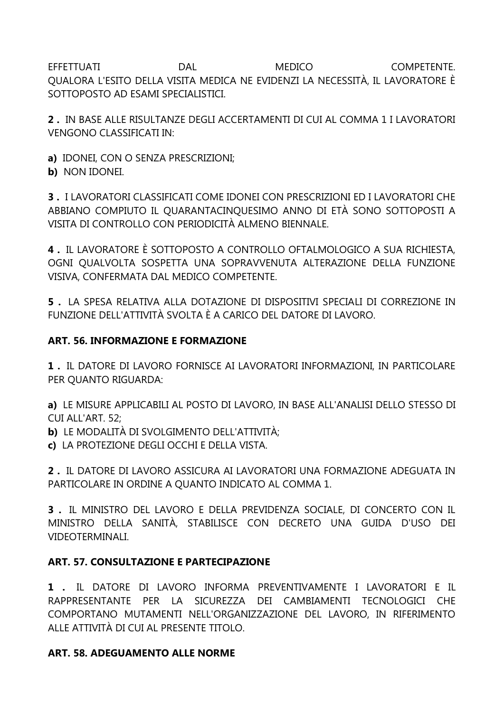EFFETTUATI **DAL** MEDICO COMPETENTE. OUALORA L'ESITO DELLA VISITA MEDICA NE EVIDENZI LA NECESSITÀ, IL LAVORATORE È SOTTOPOSTO AD ESAMI SPECIALISTICI.

2. IN BASE ALLE RISULTANZE DEGLI ACCERTAMENTI DI CUI AL COMMA 1 I LAVORATORI **VENGONO CLASSIFICATI IN:** 

a) IDONEI, CON O SENZA PRESCRIZIONI;

b) NON IDONEI.

3. I LAVORATORI CLASSIFICATI COME IDONEI CON PRESCRIZIONI ED I LAVORATORI CHE ABBIANO COMPIUTO IL QUARANTACINQUESIMO ANNO DI ETÀ SONO SOTTOPOSTI A VISITA DI CONTROLLO CON PERIODICITÀ ALMENO BIENNALE.

4. IL LAVORATORE È SOTTOPOSTO A CONTROLLO OFTALMOLOGICO A SUA RICHIESTA. OGNI QUALVOLTA SOSPETTA UNA SOPRAVVENUTA ALTERAZIONE DELLA FUNZIONE VISIVA, CONFERMATA DAL MEDICO COMPETENTE.

5. LA SPESA RELATIVA ALLA DOTAZIONE DI DISPOSITIVI SPECIALI DI CORREZIONE IN FUNZIONE DELL'ATTIVITÀ SVOLTA È A CARICO DEL DATORE DI LAVORO.

#### **ART. 56. INFORMAZIONE E FORMAZIONE**

1. IL DATORE DI LAVORO FORNISCE AI LAVORATORI INFORMAZIONI, IN PARTICOLARE PER QUANTO RIGUARDA:

a) LE MISURE APPLICABILI AL POSTO DI LAVORO, IN BASE ALL'ANALISI DELLO STESSO DI CUI ALL'ART. 52:

b) LE MODALITÀ DI SVOLGIMENTO DELL'ATTIVITÀ;

c) LA PROTEZIONE DEGLI OCCHI E DELLA VISTA.

2. IL DATORE DI LAVORO ASSICURA AI LAVORATORI UNA FORMAZIONE ADEGUATA IN PARTICOLARE IN ORDINE A QUANTO INDICATO AL COMMA 1.

3. IL MINISTRO DEL LAVORO E DELLA PREVIDENZA SOCIALE, DI CONCERTO CON IL MINISTRO DELLA SANITÀ, STABILISCE CON DECRETO UNA GUIDA D'USO DEI **VIDEOTERMINALI.** 

#### **ART. 57. CONSULTAZIONE E PARTECIPAZIONE**

1 . IL DATORE DI LAVORO INFORMA PREVENTIVAMENTE I LAVORATORI E IL RAPPRESENTANTE PER LA SICUREZZA DEI CAMBIAMENTI TECNOLOGICI CHE COMPORTANO MUTAMENTI NELL'ORGANIZZAZIONE DEL LAVORO, IN RIFERIMENTO ALLE ATTIVITÀ DI CUI AL PRESENTE TITOLO.

#### **ART. 58. ADEGUAMENTO ALLE NORME**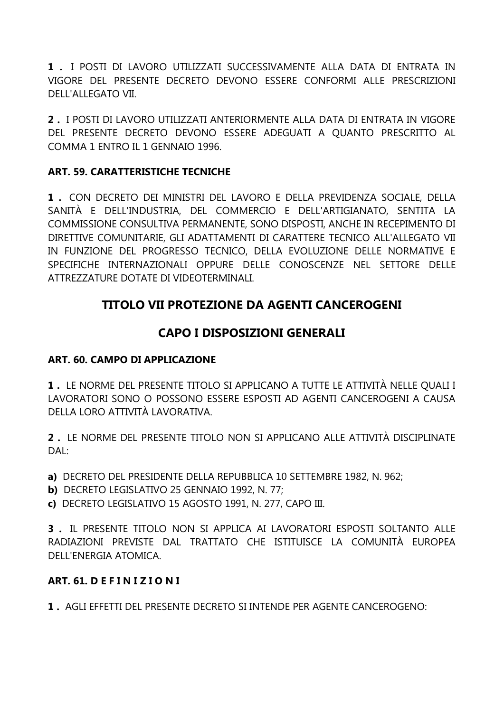**1 .** I POSTI DI LAVORO UTILIZZATI SUCCESSIVAMENTE ALLA DATA DI ENTRATA IN VIGORE DEL PRESENTE DECRETO DEVONO ESSERE CONFORMI ALLE PRESCRIZIONI DELL'ALLEGATO VII.

**2 .** I POSTI DI LAVORO UTILIZZATI ANTERIORMENTE ALLA DATA DI ENTRATA IN VIGORE DEL PRESENTE DECRETO DEVONO ESSERE ADEGUATI A QUANTO PRESCRITTO AL COMMA 1 ENTRO IL 1 GENNAIO 1996.

#### **ART. 59. CARATTERISTICHE TECNICHE**

**1 .** CON DECRETO DEI MINISTRI DEL LAVORO E DELLA PREVIDENZA SOCIALE, DELLA SANITÀ E DELL'INDUSTRIA, DEL COMMERCIO E DELL'ARTIGIANATO, SENTITA LA COMMISSIONE CONSULTIVA PERMANENTE, SONO DISPOSTI, ANCHE IN RECEPIMENTO DI DIRETTIVE COMUNITARIE, GLI ADATTAMENTI DI CARATTERE TECNICO ALL'ALLEGATO VII IN FUNZIONE DEL PROGRESSO TECNICO, DELLA EVOLUZIONE DELLE NORMATIVE E SPECIFICHE INTERNAZIONALI OPPURE DELLE CONOSCENZE NEL SETTORE DELLE ATTREZZATURE DOTATE DI VIDEOTERMINALI.

# **TITOLO VII PROTEZIONE DA AGENTI CANCEROGENI**

# **CAPO I DISPOSIZIONI GENERALI**

#### **ART. 60. CAMPO DI APPLICAZIONE**

**1 .** LE NORME DEL PRESENTE TITOLO SI APPLICANO A TUTTE LE ATTIVITÀ NELLE QUALI I LAVORATORI SONO O POSSONO ESSERE ESPOSTI AD AGENTI CANCEROGENI A CAUSA DELLA LORO ATTIVITÀ LAVORATIVA.

**2 .** LE NORME DEL PRESENTE TITOLO NON SI APPLICANO ALLE ATTIVITÀ DISCIPLINATE  $DAI$ 

**a)** DECRETO DEL PRESIDENTE DELLA REPUBBLICA 10 SETTEMBRE 1982, N. 962;

**b)** DECRETO LEGISLATIVO 25 GENNAIO 1992, N. 77;

**c)** DECRETO LEGISLATIVO 15 AGOSTO 1991, N. 277, CAPO III.

**3 .** IL PRESENTE TITOLO NON SI APPLICA AI LAVORATORI ESPOSTI SOLTANTO ALLE RADIAZIONI PREVISTE DAL TRATTATO CHE ISTITUISCE LA COMUNITÀ EUROPEA DELL'ENERGIA ATOMICA.

#### **ART. 61. D E F I N I Z I O N I**

**1 .** AGLI EFFETTI DEL PRESENTE DECRETO SI INTENDE PER AGENTE CANCEROGENO: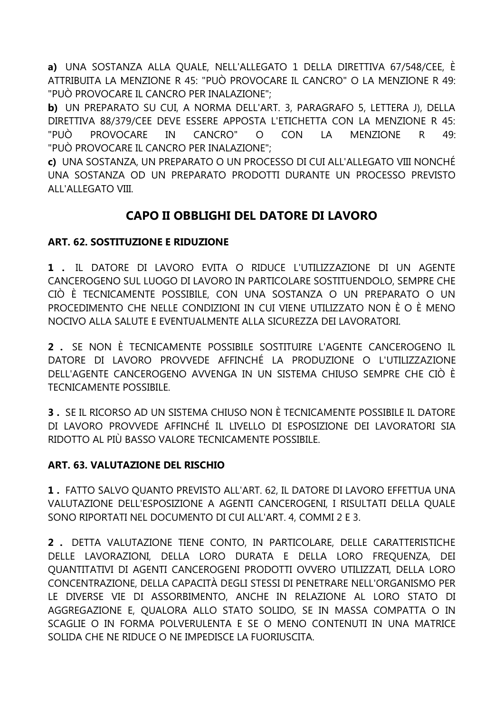a) UNA SOSTANZA ALLA QUALE, NELL'ALLEGATO 1 DELLA DIRETTIVA 67/548/CEE, È ATTRIBUITA LA MENZIONE R 45: "PUÒ PROVOCARE IL CANCRO" O LA MENZIONE R 49: "PUÒ PROVOCARE IL CANCRO PER INALAZIONE";

b) UN PREPARATO SU CUI, A NORMA DELL'ART, 3, PARAGRAFO 5, LETTERA J), DELLA DIRETTIVA 88/379/CEE DEVE ESSERE APPOSTA L'ETICHETTA CON LA MENZIONE R 45: CANCRO" CON "PUÒ **PROVOCARE** IN  $\circ$ LA **MENZIONE**  $\mathsf{R}$ 49: "PUÒ PROVOCARE IL CANCRO PER INALAZIONE";

c) UNA SOSTANZA, UN PREPARATO O UN PROCESSO DI CUI ALL'ALLEGATO VIII NONCHÉ UNA SOSTANZA OD UN PREPARATO PRODOTTI DURANTE UN PROCESSO PREVISTO ALL'ALLEGATO VIII.

# CAPO II OBBLIGHI DEL DATORE DI LAVORO

## **ART. 62. SOSTITUZIONE E RIDUZIONE**

1 . IL DATORE DI LAVORO EVITA O RIDUCE L'UTILIZZAZIONE DI UN AGENTE CANCEROGENO SUL LUOGO DI LAVORO IN PARTICOLARE SOSTITUENDOLO, SEMPRE CHE CIÒ È TECNICAMENTE POSSIBILE, CON UNA SOSTANZA O UN PREPARATO O UN PROCEDIMENTO CHE NELLE CONDIZIONI IN CUI VIENE UTILIZZATO NON È O È MENO NOCIVO ALLA SALUTE E EVENTUALMENTE ALLA SICUREZZA DEI LAVORATORI.

2. SE NON È TECNICAMENTE POSSIBILE SOSTITUIRE L'AGENTE CANCEROGENO IL DATORE DI LAVORO PROVVEDE AFFINCHÉ LA PRODUZIONE O L'UTILIZZAZIONE DELL'AGENTE CANCEROGENO AVVENGA IN UN SISTEMA CHIUSO SEMPRE CHE CIÒ È **TECNICAMENTE POSSIBILE** 

3. SE IL RICORSO AD UN SISTEMA CHIUSO NON È TECNICAMENTE POSSIBILE IL DATORE DI LAVORO PROVVEDE AFFINCHÉ IL LIVELLO DI ESPOSIZIONE DEI LAVORATORI SIA RIDOTTO AL PIÙ BASSO VALORE TECNICAMENTE POSSIBILE.

#### ART. 63. VALUTAZIONE DEL RISCHIO

1. FATTO SALVO QUANTO PREVISTO ALL'ART. 62, IL DATORE DI LAVORO EFFETTUA UNA VALUTAZIONE DELL'ESPOSIZIONE A AGENTI CANCEROGENI, I RISULTATI DELLA OUALE SONO RIPORTATI NEL DOCUMENTO DI CUI ALL'ART. 4, COMMI 2 E 3.

2. DETTA VALUTAZIONE TIENE CONTO, IN PARTICOLARE, DELLE CARATTERISTICHE DELLE LAVORAZIONI, DELLA LORO DURATA E DELLA LORO FREQUENZA, DEI OUANTITATIVI DI AGENTI CANCEROGENI PRODOTTI OVVERO UTILIZZATI, DELLA LORO CONCENTRAZIONE, DELLA CAPACITÀ DEGLI STESSI DI PENETRARE NELL'ORGANISMO PER LE DIVERSE VIE DI ASSORBIMENTO, ANCHE IN RELAZIONE AL LORO STATO DI AGGREGAZIONE E, OUALORA ALLO STATO SOLIDO, SE IN MASSA COMPATTA O IN SCAGLIE O IN FORMA POLVERULENTA E SE O MENO CONTENUTI IN UNA MATRICE SOLIDA CHE NE RIDUCE O NE IMPEDISCE LA FUORIUSCITA.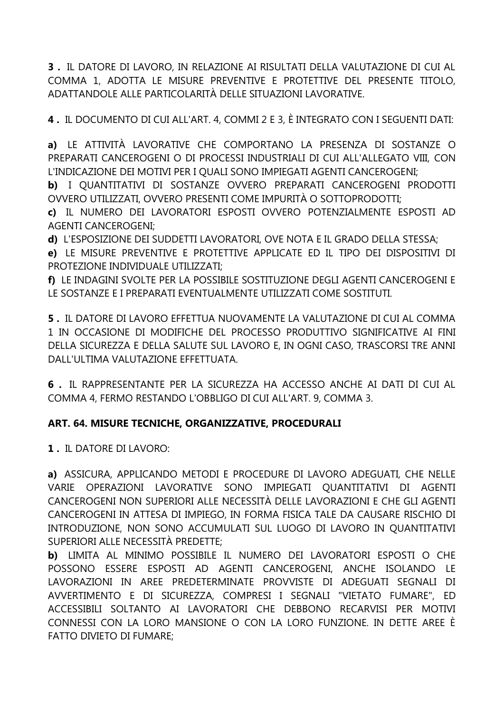**3 .** IL DATORE DI LAVORO, IN RELAZIONE AI RISULTATI DELLA VALUTAZIONE DI CUI AL COMMA 1, ADOTTA LE MISURE PREVENTIVE E PROTETTIVE DEL PRESENTE TITOLO, ADATTANDOLE ALLE PARTICOLARITÀ DELLE SITUAZIONI LAVORATIVE.

**4 .** IL DOCUMENTO DI CUI ALL'ART. 4, COMMI 2 E 3, È INTEGRATO CON I SEGUENTI DATI:

**a)** LE ATTIVITÀ LAVORATIVE CHE COMPORTANO LA PRESENZA DI SOSTANZE O PREPARATI CANCEROGENI O DI PROCESSI INDUSTRIALI DI CUI ALL'ALLEGATO VIII, CON L'INDICAZIONE DEI MOTIVI PER I QUALI SONO IMPIEGATI AGENTI CANCEROGENI;

**b)** I QUANTITATIVI DI SOSTANZE OVVERO PREPARATI CANCEROGENI PRODOTTI OVVERO UTILIZZATI, OVVERO PRESENTI COME IMPURITÀ O SOTTOPRODOTTI;

**c)** IL NUMERO DEI LAVORATORI ESPOSTI OVVERO POTENZIALMENTE ESPOSTI AD AGENTI CANCEROGENI;

**d)** L'ESPOSIZIONE DEI SUDDETTI LAVORATORI, OVE NOTA E IL GRADO DELLA STESSA;

**e)** LE MISURE PREVENTIVE E PROTETTIVE APPLICATE ED IL TIPO DEI DISPOSITIVI DI PROTEZIONE INDIVIDUALE UTILIZZATI;

**f)** LE INDAGINI SVOLTE PER LA POSSIBILE SOSTITUZIONE DEGLI AGENTI CANCEROGENI E LE SOSTANZE E I PREPARATI EVENTUALMENTE UTILIZZATI COME SOSTITUTI.

**5 .** IL DATORE DI LAVORO EFFETTUA NUOVAMENTE LA VALUTAZIONE DI CUI AL COMMA 1 IN OCCASIONE DI MODIFICHE DEL PROCESSO PRODUTTIVO SIGNIFICATIVE AI FINI DELLA SICUREZZA E DELLA SALUTE SUL LAVORO E, IN OGNI CASO, TRASCORSI TRE ANNI DALL'ULTIMA VALUTAZIONE EFFETTUATA.

**6 .** IL RAPPRESENTANTE PER LA SICUREZZA HA ACCESSO ANCHE AI DATI DI CUI AL COMMA 4, FERMO RESTANDO L'OBBLIGO DI CUI ALL'ART. 9, COMMA 3.

# **ART. 64. MISURE TECNICHE, ORGANIZZATIVE, PROCEDURALI**

**1 .** IL DATORE DI LAVORO:

**a)** ASSICURA, APPLICANDO METODI E PROCEDURE DI LAVORO ADEGUATI, CHE NELLE VARIE OPERAZIONI LAVORATIVE SONO IMPIEGATI QUANTITATIVI DI AGENTI CANCEROGENI NON SUPERIORI ALLE NECESSITÀ DELLE LAVORAZIONI E CHE GLI AGENTI CANCEROGENI IN ATTESA DI IMPIEGO, IN FORMA FISICA TALE DA CAUSARE RISCHIO DI INTRODUZIONE, NON SONO ACCUMULATI SUL LUOGO DI LAVORO IN QUANTITATIVI SUPERIORI ALLE NECESSITÀ PREDETTE;

**b)** LIMITA AL MINIMO POSSIBILE IL NUMERO DEI LAVORATORI ESPOSTI O CHE POSSONO ESSERE ESPOSTI AD AGENTI CANCEROGENI, ANCHE ISOLANDO LE LAVORAZIONI IN AREE PREDETERMINATE PROVVISTE DI ADEGUATI SEGNALI DI AVVERTIMENTO E DI SICUREZZA, COMPRESI I SEGNALI "VIETATO FUMARE", ED ACCESSIBILI SOLTANTO AI LAVORATORI CHE DEBBONO RECARVISI PER MOTIVI CONNESSI CON LA LORO MANSIONE O CON LA LORO FUNZIONE. IN DETTE AREE È FATTO DIVIETO DI FUMARE;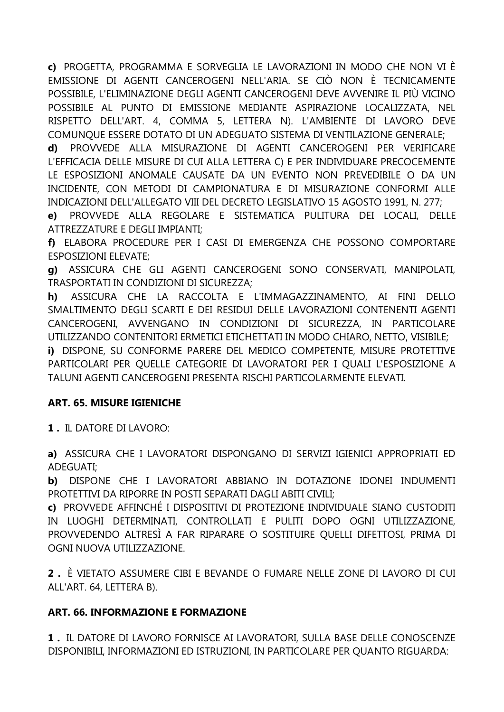c) PROGETTA, PROGRAMMA E SORVEGLIA LE LAVORAZIONI IN MODO CHE NON VI È EMISSIONE DI AGENTI CANCEROGENI NELL'ARIA. SE CIÒ NON È TECNICAMENTE POSSIBILE, L'ELIMINAZIONE DEGLI AGENTI CANCEROGENI DEVE AVVENIRE IL PIÙ VICINO POSSIBILE AL PUNTO DI EMISSIONE MEDIANTE ASPIRAZIONE LOCALIZZATA, NEL RISPETTO DELL'ART. 4, COMMA 5, LETTERA N). L'AMBIENTE DI LAVORO DEVE COMUNOUE ESSERE DOTATO DI UN ADEGUATO SISTEMA DI VENTILAZIONE GENERALE:

PROVVEDE ALLA MISURAZIONE DI AGENTI CANCEROGENI PER VERIFICARE d) L'EFFICACIA DELLE MISURE DI CUI ALLA LETTERA C) E PER INDIVIDUARE PRECOCEMENTE LE ESPOSIZIONI ANOMALE CAUSATE DA UN EVENTO NON PREVEDIBILE O DA UN INCIDENTE, CON METODI DI CAMPIONATURA E DI MISURAZIONE CONFORMI ALLE INDICAZIONI DELL'ALLEGATO VIII DEL DECRETO LEGISLATIVO 15 AGOSTO 1991, N. 277;

PROVVEDE ALLA REGOLARE E SISTEMATICA PULITURA DEI LOCALI, DELLE  $e)$ ATTREZZATURE E DEGLI IMPIANTI:

f) ELABORA PROCEDURE PER I CASI DI EMERGENZA CHE POSSONO COMPORTARE **ESPOSIZIONI ELEVATE:** 

g) ASSICURA CHE GLI AGENTI CANCEROGENI SONO CONSERVATI, MANIPOLATI, TRASPORTATI IN CONDIZIONI DI SICUREZZA;

h) ASSICURA CHE LA RACCOLTA E L'IMMAGAZZINAMENTO, AI FINI DELLO SMALTIMENTO DEGLI SCARTI E DEI RESIDUI DELLE LAVORAZIONI CONTENENTI AGENTI CANCEROGENI, AVVENGANO IN CONDIZIONI DI SICUREZZA, IN PARTICOLARE UTILIZZANDO CONTENITORI ERMETICI ETICHETTATI IN MODO CHIARO, NETTO, VISIBILE;

i) DISPONE, SU CONFORME PARERE DEL MEDICO COMPETENTE, MISURE PROTETTIVE PARTICOLARI PER OUELLE CATEGORIE DI LAVORATORI PER I QUALI L'ESPOSIZIONE A TALUNI AGENTI CANCEROGENI PRESENTA RISCHI PARTICOLARMENTE ELEVATI.

#### **ART. 65. MISURE IGIENICHE**

1. IL DATORE DI LAVORO:

a) ASSICURA CHE I LAVORATORI DISPONGANO DI SERVIZI IGIENICI APPROPRIATI ED ADEGUATI:

DISPONE CHE I LAVORATORI ABBIANO IN DOTAZIONE IDONEI INDUMENTI b) PROTETTIVI DA RIPORRE IN POSTI SEPARATI DAGLI ABITI CIVILI;

c) PROVVEDE AFFINCHÉ I DISPOSITIVI DI PROTEZIONE INDIVIDUALE SIANO CUSTODITI IN LUOGHI DETERMINATI, CONTROLLATI E PULITI DOPO OGNI UTILIZZAZIONE, PROVVEDENDO ALTRESÌ A FAR RIPARARE O SOSTITUIRE QUELLI DIFETTOSI, PRIMA DI OGNI NUOVA UTILIZZAZIONE.

2. È VIETATO ASSUMERE CIBI E BEVANDE O FUMARE NELLE ZONE DI LAVORO DI CUI ALL'ART. 64, LETTERA B).

#### **ART. 66. INFORMAZIONE E FORMAZIONE**

1. IL DATORE DI LAVORO FORNISCE AI LAVORATORI, SULLA BASE DELLE CONOSCENZE DISPONIBILI, INFORMAZIONI ED ISTRUZIONI, IN PARTICOLARE PER QUANTO RIGUARDA: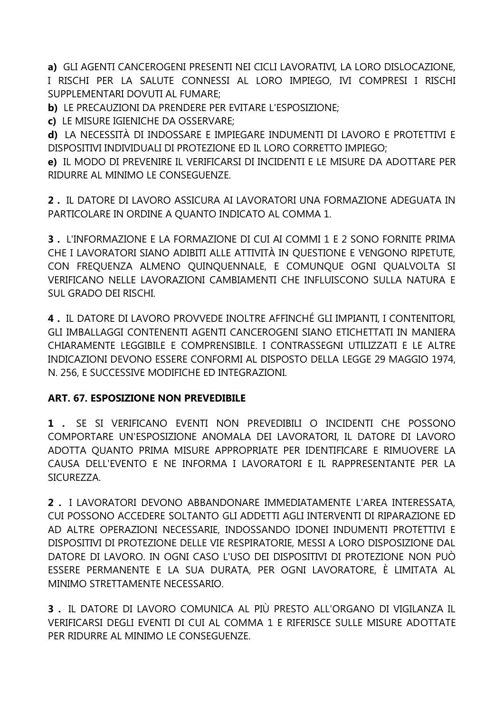**a)** GLI AGENTI CANCEROGENI PRESENTI NEI CICLI LAVORATIVI, LA LORO DISLOCAZIONE, I RISCHI PER LA SALUTE CONNESSI AL LORO IMPIEGO, IVI COMPRESI I RISCHI SUPPLEMENTARI DOVUTI AL FUMARE;

**b)** LE PRECAUZIONI DA PRENDERE PER EVITARE L'ESPOSIZIONE;

**c)** LE MISURE IGIENICHE DA OSSERVARE;

**d)** LA NECESSITÀ DI INDOSSARE E IMPIEGARE INDUMENTI DI LAVORO E PROTETTIVI E DISPOSITIVI INDIVIDUALI DI PROTEZIONE ED IL LORO CORRETTO IMPIEGO;

**e)** IL MODO DI PREVENIRE IL VERIFICARSI DI INCIDENTI E LE MISURE DA ADOTTARE PER RIDURRE AL MINIMO LE CONSEGUENZE.

**2 .** IL DATORE DI LAVORO ASSICURA AI LAVORATORI UNA FORMAZIONE ADEGUATA IN PARTICOLARE IN ORDINE A QUANTO INDICATO AL COMMA 1.

**3 .** L'INFORMAZIONE E LA FORMAZIONE DI CUI AI COMMI 1 E 2 SONO FORNITE PRIMA CHE I LAVORATORI SIANO ADIBITI ALLE ATTIVITÀ IN QUESTIONE E VENGONO RIPETUTE, CON FREQUENZA ALMENO QUINQUENNALE, E COMUNQUE OGNI QUALVOLTA SI VERIFICANO NELLE LAVORAZIONI CAMBIAMENTI CHE INFLUISCONO SULLA NATURA E SUL GRADO DEI RISCHI.

**4 .** IL DATORE DI LAVORO PROVVEDE INOLTRE AFFINCHÉ GLI IMPIANTI, I CONTENITORI, GLI IMBALLAGGI CONTENENTI AGENTI CANCEROGENI SIANO ETICHETTATI IN MANIERA CHIARAMENTE LEGGIBILE E COMPRENSIBILE. I CONTRASSEGNI UTILIZZATI E LE ALTRE INDICAZIONI DEVONO ESSERE CONFORMI AL DISPOSTO DELLA LEGGE 29 MAGGIO 1974, N. 256, E SUCCESSIVE MODIFICHE ED INTEGRAZIONI.

#### **ART. 67. ESPOSIZIONE NON PREVEDIBILE**

**1 .** SE SI VERIFICANO EVENTI NON PREVEDIBILI O INCIDENTI CHE POSSONO COMPORTARE UN'ESPOSIZIONE ANOMALA DEI LAVORATORI, IL DATORE DI LAVORO ADOTTA QUANTO PRIMA MISURE APPROPRIATE PER IDENTIFICARE E RIMUOVERE LA CAUSA DELL'EVENTO E NE INFORMA I LAVORATORI E IL RAPPRESENTANTE PER LA SICUREZZA.

**2 .** I LAVORATORI DEVONO ABBANDONARE IMMEDIATAMENTE L'AREA INTERESSATA, CUI POSSONO ACCEDERE SOLTANTO GLI ADDETTI AGLI INTERVENTI DI RIPARAZIONE ED AD ALTRE OPERAZIONI NECESSARIE, INDOSSANDO IDONEI INDUMENTI PROTETTIVI E DISPOSITIVI DI PROTEZIONE DELLE VIE RESPIRATORIE, MESSI A LORO DISPOSIZIONE DAL DATORE DI LAVORO. IN OGNI CASO L'USO DEI DISPOSITIVI DI PROTEZIONE NON PUÒ ESSERE PERMANENTE E LA SUA DURATA, PER OGNI LAVORATORE, È LIMITATA AL MINIMO STRETTAMENTE NECESSARIO.

**3 .** IL DATORE DI LAVORO COMUNICA AL PIÙ PRESTO ALL'ORGANO DI VIGILANZA IL VERIFICARSI DEGLI EVENTI DI CUI AL COMMA 1 E RIFERISCE SULLE MISURE ADOTTATE PER RIDURRE AL MINIMO LE CONSEGUENZE.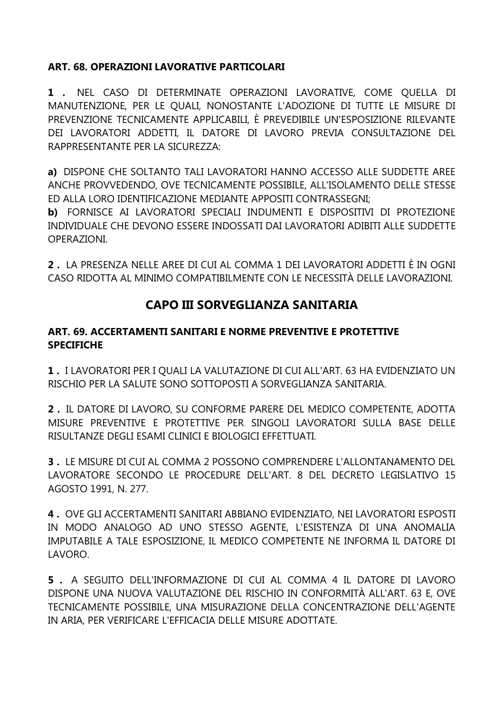#### **ART. 68. OPERAZIONI LAVORATIVE PARTICOLARI**

1 . NEL CASO DI DETERMINATE OPERAZIONI LAVORATIVE, COME OUELLA DI MANUTENZIONE, PER LE QUALI, NONOSTANTE L'ADOZIONE DI TUTTE LE MISURE DI PREVENZIONE TECNICAMENTE APPLICABILI, È PREVEDIBILE UN'ESPOSIZIONE RILEVANTE DEI LAVORATORI ADDETTI, IL DATORE DI LAVORO PREVIA CONSULTAZIONE DEL RAPPRESENTANTE PER LA SICUREZZA:

a) DISPONE CHE SOLTANTO TALI LAVORATORI HANNO ACCESSO ALLE SUDDETTE AREE ANCHE PROVVEDENDO, OVE TECNICAMENTE POSSIBILE, ALL'ISOLAMENTO DELLE STESSE ED ALLA LORO IDENTIFICAZIONE MEDIANTE APPOSITI CONTRASSEGNI:

b) FORNISCE AI LAVORATORI SPECIALI INDUMENTI E DISPOSITIVI DI PROTEZIONE INDIVIDUALE CHE DEVONO ESSERE INDOSSATI DAI LAVORATORI ADIBITI ALLE SUDDETTE OPERAZIONI.

**2**. LA PRESENZA NELLE AREE DI CUI AL COMMA 1 DEI LAVORATORI ADDETTI È IN OGNI CASO RIDOTTA AL MINIMO COMPATIBILMENTE CON LE NECESSITÀ DELLE LAVORAZIONI.

# **CAPO III SORVEGLIANZA SANITARIA**

#### ART. 69. ACCERTAMENTI SANITARI E NORME PREVENTIVE E PROTETTIVE **SPECIFICHE**

1. I LAVORATORI PER I QUALI LA VALUTAZIONE DI CUI ALL'ART. 63 HA EVIDENZIATO UN RISCHIO PER LA SALUTE SONO SOTTOPOSTI A SORVEGLIANZA SANITARIA.

2. IL DATORE DI LAVORO, SU CONFORME PARERE DEL MEDICO COMPETENTE, ADOTTA MISURE PREVENTIVE E PROTETTIVE PER SINGOLI LAVORATORI SULLA BASE DELLE RISULTANZE DEGLI ESAMI CLINICI E BIOLOGICI EFFETTUATI.

3. LE MISURE DI CUI AL COMMA 2 POSSONO COMPRENDERE L'ALLONTANAMENTO DEL LAVORATORE SECONDO LE PROCEDURE DELL'ART. 8 DEL DECRETO LEGISLATIVO 15 AGOSTO 1991, N. 277.

4. OVE GLI ACCERTAMENTI SANITARI ABBIANO EVIDENZIATO, NEI LAVORATORI ESPOSTI IN MODO ANALOGO AD UNO STESSO AGENTE, L'ESISTENZA DI UNA ANOMALIA IMPUTABILE A TALE ESPOSIZIONE, IL MEDICO COMPETENTE NE INFORMA IL DATORE DI LAVORO.

5. A SEGUITO DELL'INFORMAZIONE DI CUI AL COMMA 4 IL DATORE DI LAVORO DISPONE UNA NUOVA VALUTAZIONE DEL RISCHIO IN CONFORMITÀ ALL'ART. 63 E, OVE TECNICAMENTE POSSIBILE. UNA MISURAZIONE DELLA CONCENTRAZIONE DELL'AGENTE IN ARIA, PER VERIFICARE L'EFFICACIA DELLE MISURE ADOTTATE.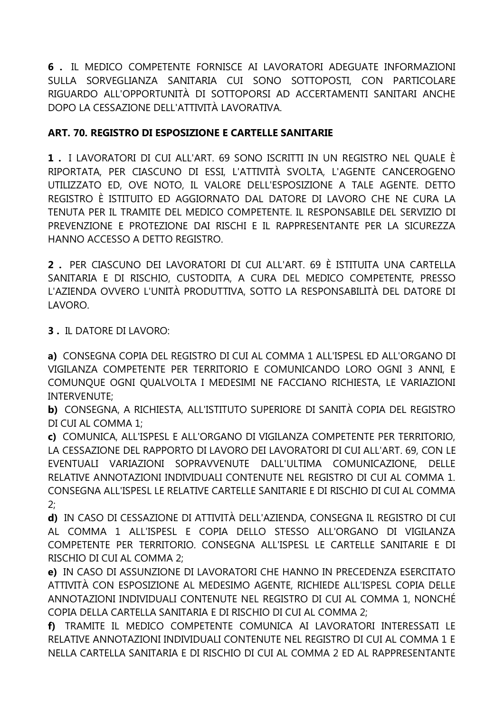6. IL MEDICO COMPETENTE FORNISCE AI LAVORATORI ADEGUATE INFORMAZIONI SULLA SORVEGLIANZA SANITARIA CUI SONO SOTTOPOSTI, CON PARTICOLARE RIGUARDO ALL'OPPORTUNITÀ DI SOTTOPORSI AD ACCERTAMENTI SANITARI ANCHE DOPO LA CESSAZIONE DELL'ATTIVITÀ LAVORATIVA.

## ART. 70. REGISTRO DI ESPOSIZIONE E CARTELLE SANITARIE

1. I LAVORATORI DI CUI ALL'ART. 69 SONO ISCRITTI IN UN REGISTRO NEL QUALE È RIPORTATA, PER CIASCUNO DI ESSI, L'ATTIVITÀ SVOLTA, L'AGENTE CANCEROGENO UTILIZZATO ED, OVE NOTO, IL VALORE DELL'ESPOSIZIONE A TALE AGENTE. DETTO REGISTRO È ISTITUITO ED AGGIORNATO DAL DATORE DI LAVORO CHE NE CURA LA TENUTA PER IL TRAMITE DEL MEDICO COMPETENTE. IL RESPONSABILE DEL SERVIZIO DI PREVENZIONE E PROTEZIONE DAI RISCHI E IL RAPPRESENTANTE PER LA SICUREZZA HANNO ACCESSO A DETTO REGISTRO.

2. PER CIASCUNO DEI LAVORATORI DI CUI ALL'ART. 69 È ISTITUITA UNA CARTELLA SANITARIA E DI RISCHIO, CUSTODITA, A CURA DEL MEDICO COMPETENTE, PRESSO L'AZIENDA OVVERO L'UNITÀ PRODUTTIVA, SOTTO LA RESPONSABILITÀ DEL DATORE DI LAVORO.

**3. IL DATORE DI LAVORO:** 

a) CONSEGNA COPIA DEL REGISTRO DI CUI AL COMMA 1 ALL'ISPESL ED ALL'ORGANO DI VIGILANZA COMPETENTE PER TERRITORIO E COMUNICANDO LORO OGNI 3 ANNI, E COMUNQUE OGNI QUALVOLTA I MEDESIMI NE FACCIANO RICHIESTA, LE VARIAZIONI **INTERVENUTE:** 

b) CONSEGNA, A RICHIESTA, ALL'ISTITUTO SUPERIORE DI SANITÀ COPIA DEL REGISTRO DI CUI AL COMMA 1:

c) COMUNICA, ALL'ISPESL E ALL'ORGANO DI VIGILANZA COMPETENTE PER TERRITORIO, LA CESSAZIONE DEL RAPPORTO DI LAVORO DEI LAVORATORI DI CUI ALL'ART, 69, CON LE EVENTUALI VARIAZIONI SOPRAVVENUTE DALL'ULTIMA COMUNICAZIONE, DELLE RELATIVE ANNOTAZIONI INDIVIDUALI CONTENUTE NEL REGISTRO DI CUI AL COMMA 1. CONSEGNA ALL'ISPESL LE RELATIVE CARTELLE SANITARIE E DI RISCHIO DI CUI AL COMMA  $2:$ 

d) IN CASO DI CESSAZIONE DI ATTIVITÀ DELL'AZIENDA, CONSEGNA IL REGISTRO DI CUI AL COMMA 1 ALL'ISPESL E COPIA DELLO STESSO ALL'ORGANO DI VIGILANZA COMPETENTE PER TERRITORIO. CONSEGNA ALL'ISPESL LE CARTELLE SANITARIE E DI RISCHIO DI CUI AL COMMA 2:

e) IN CASO DI ASSUNZIONE DI LAVORATORI CHE HANNO IN PRECEDENZA ESERCITATO ATTIVITÀ CON ESPOSIZIONE AL MEDESIMO AGENTE, RICHIEDE ALL'ISPESL COPIA DELLE ANNOTAZIONI INDIVIDUALI CONTENUTE NEL REGISTRO DI CUI AL COMMA 1, NONCHÉ COPIA DELLA CARTELLA SANITARIA E DI RISCHIO DI CUI AL COMMA 2;

f) TRAMITE IL MEDICO COMPETENTE COMUNICA AI LAVORATORI INTERESSATI LE RELATIVE ANNOTAZIONI INDIVIDUALI CONTENUTE NEL REGISTRO DI CUI AL COMMA 1 E NELLA CARTELLA SANITARIA E DI RISCHIO DI CUI AL COMMA 2 ED AL RAPPRESENTANTE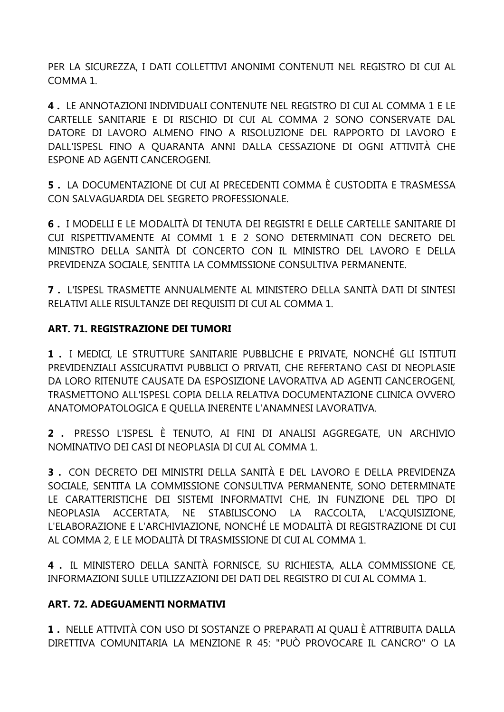PER LA SICUREZZA, I DATI COLLETTIVI ANONIMI CONTENUTI NEL REGISTRO DI CUI AL COMMA 1.

**4 .** LE ANNOTAZIONI INDIVIDUALI CONTENUTE NEL REGISTRO DI CUI AL COMMA 1 E LE CARTELLE SANITARIE E DI RISCHIO DI CUI AL COMMA 2 SONO CONSERVATE DAL DATORE DI LAVORO ALMENO FINO A RISOLUZIONE DEL RAPPORTO DI LAVORO E DALL'ISPESL FINO A QUARANTA ANNI DALLA CESSAZIONE DI OGNI ATTIVITÀ CHE ESPONE AD AGENTI CANCEROGENI.

**5 .** LA DOCUMENTAZIONE DI CUI AI PRECEDENTI COMMA È CUSTODITA E TRASMESSA CON SALVAGUARDIA DEL SEGRETO PROFESSIONALE.

**6 .** I MODELLI E LE MODALITÀ DI TENUTA DEI REGISTRI E DELLE CARTELLE SANITARIE DI CUI RISPETTIVAMENTE AI COMMI 1 E 2 SONO DETERMINATI CON DECRETO DEL MINISTRO DELLA SANITÀ DI CONCERTO CON IL MINISTRO DEL LAVORO E DELLA PREVIDENZA SOCIALE, SENTITA LA COMMISSIONE CONSULTIVA PERMANENTE.

**7 .** L'ISPESL TRASMETTE ANNUALMENTE AL MINISTERO DELLA SANITÀ DATI DI SINTESI RELATIVI ALLE RISULTANZE DEI REQUISITI DI CUI AL COMMA 1.

#### **ART. 71. REGISTRAZIONE DEI TUMORI**

**1 .** I MEDICI, LE STRUTTURE SANITARIE PUBBLICHE E PRIVATE, NONCHÉ GLI ISTITUTI PREVIDENZIALI ASSICURATIVI PUBBLICI O PRIVATI, CHE REFERTANO CASI DI NEOPLASIE DA LORO RITENUTE CAUSATE DA ESPOSIZIONE LAVORATIVA AD AGENTI CANCEROGENI, TRASMETTONO ALL'ISPESL COPIA DELLA RELATIVA DOCUMENTAZIONE CLINICA OVVERO ANATOMOPATOLOGICA E QUELLA INERENTE L'ANAMNESI LAVORATIVA.

**2 .** PRESSO L'ISPESL È TENUTO, AI FINI DI ANALISI AGGREGATE, UN ARCHIVIO NOMINATIVO DEI CASI DI NEOPLASIA DI CUI AL COMMA 1.

**3 .** CON DECRETO DEI MINISTRI DELLA SANITÀ E DEL LAVORO E DELLA PREVIDENZA SOCIALE, SENTITA LA COMMISSIONE CONSULTIVA PERMANENTE, SONO DETERMINATE LE CARATTERISTICHE DEI SISTEMI INFORMATIVI CHE, IN FUNZIONE DEL TIPO DI NEOPLASIA ACCERTATA, NE STABILISCONO LA RACCOLTA, L'ACQUISIZIONE, L'ELABORAZIONE E L'ARCHIVIAZIONE, NONCHÉ LE MODALITÀ DI REGISTRAZIONE DI CUI AL COMMA 2, E LE MODALITÀ DI TRASMISSIONE DI CUI AL COMMA 1.

**4 .** IL MINISTERO DELLA SANITÀ FORNISCE, SU RICHIESTA, ALLA COMMISSIONE CE, INFORMAZIONI SULLE UTILIZZAZIONI DEI DATI DEL REGISTRO DI CUI AL COMMA 1.

#### **ART. 72. ADEGUAMENTI NORMATIVI**

**1 .** NELLE ATTIVITÀ CON USO DI SOSTANZE O PREPARATI AI QUALI È ATTRIBUITA DALLA DIRETTIVA COMUNITARIA LA MENZIONE R 45: "PUÒ PROVOCARE IL CANCRO" O LA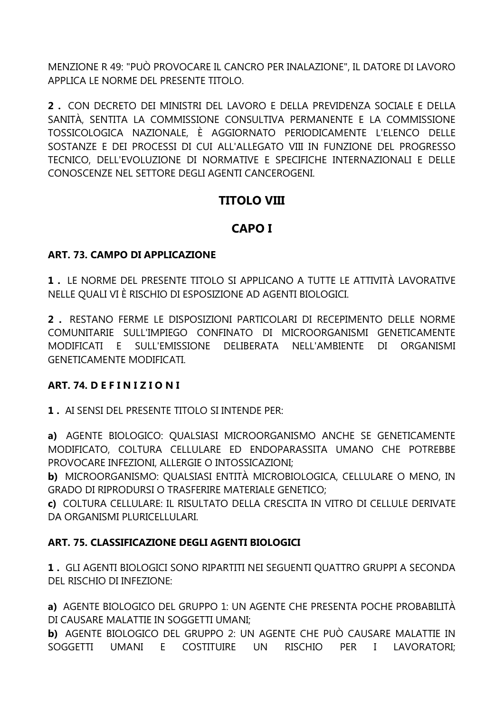MENZIONE R 49: "PUÒ PROVOCARE IL CANCRO PER INALAZIONE", IL DATORE DI LAVORO APPLICA LE NORME DEL PRESENTE TITOLO.

2. CON DECRETO DEI MINISTRI DEL LAVORO E DELLA PREVIDENZA SOCIALE E DELLA SANITÀ, SENTITA LA COMMISSIONE CONSULTIVA PERMANENTE E LA COMMISSIONE TOSSICOLOGICA NAZIONALE, È AGGIORNATO PERIODICAMENTE L'ELENCO DELLE SOSTANZE E DEI PROCESSI DI CUI ALL'ALLEGATO VIII IN FUNZIONE DEL PROGRESSO TECNICO, DELL'EVOLUZIONE DI NORMATIVE E SPECIFICHE INTERNAZIONALI E DELLE CONOSCENZE NEL SETTORE DEGLI AGENTI CANCEROGENI.

# **TITOLO VIII**

# **CAPO I**

#### ART. 73. CAMPO DI APPLICAZIONE

1. LE NORME DEL PRESENTE TITOLO SI APPLICANO A TUTTE LE ATTIVITÀ LAVORATIVE NELLE QUALI VI È RISCHIO DI ESPOSIZIONE AD AGENTI BIOLOGICI.

2. RESTANO FERME LE DISPOSIZIONI PARTICOLARI DI RECEPIMENTO DELLE NORME COMUNITARIE SULL'IMPIEGO CONFINATO DI MICROORGANISMI GENETICAMENTE MODIFICATI E SULL'EMISSIONE DELIBERATA NELL'AMBIENTE DI ORGANISMI **GENETICAMENTE MODIFICATI.** 

#### ART. 74. DEFINIZIONI

1. AI SENSI DEL PRESENTE TITOLO SI INTENDE PER:

a) AGENTE BIOLOGICO: OUALSIASI MICROORGANISMO ANCHE SE GENETICAMENTE MODIFICATO, COLTURA CELLULARE ED ENDOPARASSITA UMANO CHE POTREBBE PROVOCARE INFEZIONI. ALLERGIE O INTOSSICAZIONI:

b) MICROORGANISMO: QUALSIASI ENTITÀ MICROBIOLOGICA, CELLULARE O MENO, IN **GRADO DI RIPRODURSI O TRASFERIRE MATERIALE GENETICO:** 

c) COLTURA CELLULARE: IL RISULTATO DELLA CRESCITA IN VITRO DI CELLULE DERIVATE DA ORGANISMI PLURICELLULARI.

#### ART. 75. CLASSIFICAZIONE DEGLI AGENTI BIOLOGICI

1. GLI AGENTI BIOLOGICI SONO RIPARTITI NEI SEGUENTI QUATTRO GRUPPI A SECONDA DEL RISCHIO DI INFEZIONE:

a) AGENTE BIOLOGICO DEL GRUPPO 1: UN AGENTE CHE PRESENTA POCHE PROBABILITÀ DI CAUSARE MALATTIE IN SOGGETTI UMANI:

b) AGENTE BIOLOGICO DEL GRUPPO 2: UN AGENTE CHE PUÒ CAUSARE MALATTIE IN SOGGETTI UMANI E COSTITUIRE UN RISCHIO PER I LAVORATORI: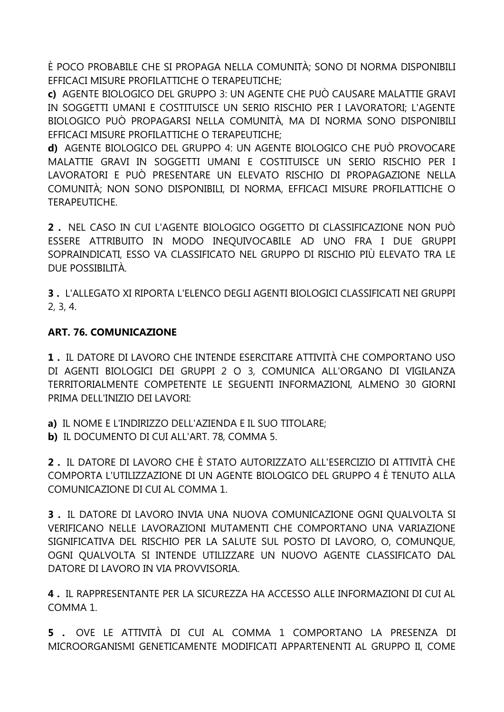È POCO PROBABILE CHE SI PROPAGA NELLA COMUNITÀ: SONO DI NORMA DISPONIBILI EFFICACI MISURE PROFILATTICHE O TERAPEUTICHE:

c) AGENTE BIOLOGICO DEL GRUPPO 3: UN AGENTE CHE PUÒ CAUSARE MALATTIE GRAVI IN SOGGETTI UMANI E COSTITUISCE UN SERIO RISCHIO PER I LAVORATORI: L'AGENTE BIOLOGICO PUÒ PROPAGARSI NELLA COMUNITÀ, MA DI NORMA SONO DISPONIBILI EFFICACI MISURE PROFILATTICHE O TERAPEUTICHE:

d) AGENTE BIOLOGICO DEL GRUPPO 4: UN AGENTE BIOLOGICO CHE PUÒ PROVOCARE MALATTIE GRAVI IN SOGGETTI UMANI E COSTITUISCE UN SERIO RISCHIO PER I LAVORATORI E PUÒ PRESENTARE UN ELEVATO RISCHIO DI PROPAGAZIONE NELLA COMUNITÀ; NON SONO DISPONIBILI, DI NORMA, EFFICACI MISURE PROFILATTICHE O **TERAPFUTICHE** 

2. NEL CASO IN CUI L'AGENTE BIOLOGICO OGGETTO DI CLASSIFICAZIONE NON PUÒ ESSERE ATTRIBUITO IN MODO INEQUIVOCABILE AD UNO FRA I DUE GRUPPI SOPRAINDICATI, ESSO VA CLASSIFICATO NEL GRUPPO DI RISCHIO PIÙ ELEVATO TRA LE DUE POSSIBILITÀ

3. L'ALLEGATO XI RIPORTA L'ELENCO DEGLI AGENTI BIOLOGICI CLASSIFICATI NEI GRUPPI  $2, 3, 4.$ 

#### **ART. 76. COMUNICAZIONE**

1. IL DATORE DI LAVORO CHE INTENDE ESERCITARE ATTIVITÀ CHE COMPORTANO USO DI AGENTI BIOLOGICI DEI GRUPPI 2 O 3, COMUNICA ALL'ORGANO DI VIGILANZA TERRITORIALMENTE COMPETENTE LE SEGUENTI INFORMAZIONI, ALMENO 30 GIORNI PRIMA DELL'INIZIO DEI LAVORI:

a) IL NOME E L'INDIRIZZO DELL'AZIENDA E IL SUO TITOLARE;

b) IL DOCUMENTO DI CUI ALL'ART. 78, COMMA 5.

2. IL DATORE DI LAVORO CHE È STATO AUTORIZZATO ALL'ESERCIZIO DI ATTIVITÀ CHE COMPORTA L'UTILIZZAZIONE DI UN AGENTE BIOLOGICO DEL GRUPPO 4 È TENUTO ALLA COMUNICAZIONE DI CUI AL COMMA 1.

3. IL DATORE DI LAVORO INVIA UNA NUOVA COMUNICAZIONE OGNI OUALVOLTA SI VERIFICANO NELLE LAVORAZIONI MUTAMENTI CHE COMPORTANO UNA VARIAZIONE SIGNIFICATIVA DEL RISCHIO PER LA SALUTE SUL POSTO DI LAVORO, O, COMUNOUE, OGNI OUALVOLTA SI INTENDE UTILIZZARE UN NUOVO AGENTE CLASSIFICATO DAL DATORE DI LAVORO IN VIA PROVVISORIA.

4. IL RAPPRESENTANTE PER LA SICUREZZA HA ACCESSO ALLE INFORMAZIONI DI CUI AL COMMA<sub>1</sub>

5. OVE LE ATTIVITÀ DI CUI AL COMMA 1 COMPORTANO LA PRESENZA DI MICROORGANISMI GENETICAMENTE MODIFICATI APPARTENENTI AL GRUPPO II, COME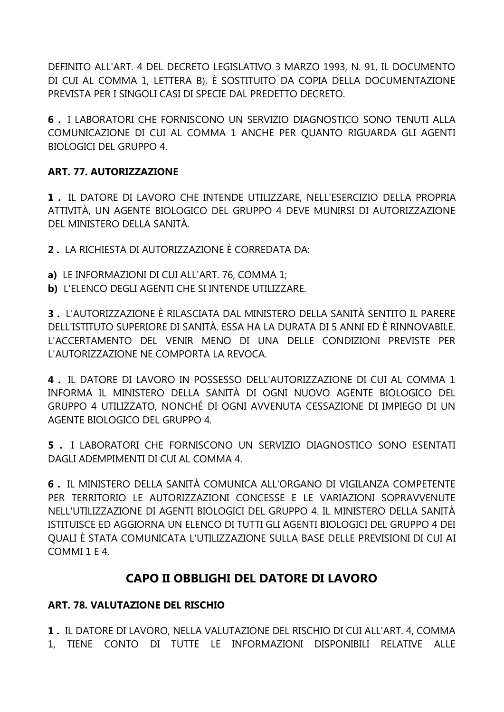DEFINITO ALL'ART. 4 DEL DECRETO LEGISLATIVO 3 MARZO 1993, N. 91, IL DOCUMENTO DI CUI AL COMMA 1, LETTERA B), È SOSTITUITO DA COPIA DELLA DOCUMENTAZIONE PREVISTA PER I SINGOLI CASI DI SPECIE DAL PREDETTO DECRETO.

**6 .** I LABORATORI CHE FORNISCONO UN SERVIZIO DIAGNOSTICO SONO TENUTI ALLA COMUNICAZIONE DI CUI AL COMMA 1 ANCHE PER QUANTO RIGUARDA GLI AGENTI BIOLOGICI DEL GRUPPO 4.

## **ART. 77. AUTORIZZAZIONE**

**1 .** IL DATORE DI LAVORO CHE INTENDE UTILIZZARE, NELL'ESERCIZIO DELLA PROPRIA ATTIVITÀ, UN AGENTE BIOLOGICO DEL GRUPPO 4 DEVE MUNIRSI DI AUTORIZZAZIONE DEL MINISTERO DELLA SANITÀ.

**2 .** LA RICHIESTA DI AUTORIZZAZIONE È CORREDATA DA:

- **a)** LE INFORMAZIONI DI CUI ALL'ART. 76, COMMA 1;
- **b)** L'ELENCO DEGLI AGENTI CHE SI INTENDE UTILIZZARE.

**3 .** L'AUTORIZZAZIONE È RILASCIATA DAL MINISTERO DELLA SANITÀ SENTITO IL PARERE DELL'ISTITUTO SUPERIORE DI SANITÀ. ESSA HA LA DURATA DI 5 ANNI ED È RINNOVABILE. L'ACCERTAMENTO DEL VENIR MENO DI UNA DELLE CONDIZIONI PREVISTE PER L'AUTORIZZAZIONE NE COMPORTA LA REVOCA.

**4 .** IL DATORE DI LAVORO IN POSSESSO DELL'AUTORIZZAZIONE DI CUI AL COMMA 1 INFORMA IL MINISTERO DELLA SANITÀ DI OGNI NUOVO AGENTE BIOLOGICO DEL GRUPPO 4 UTILIZZATO, NONCHÉ DI OGNI AVVENUTA CESSAZIONE DI IMPIEGO DI UN AGENTE BIOLOGICO DEL GRUPPO 4.

**5 .** I LABORATORI CHE FORNISCONO UN SERVIZIO DIAGNOSTICO SONO ESENTATI DAGLI ADEMPIMENTI DI CUI AL COMMA 4.

**6 .** IL MINISTERO DELLA SANITÀ COMUNICA ALL'ORGANO DI VIGILANZA COMPETENTE PER TERRITORIO LE AUTORIZZAZIONI CONCESSE E LE VARIAZIONI SOPRAVVENUTE NELL'UTILIZZAZIONE DI AGENTI BIOLOGICI DEL GRUPPO 4. IL MINISTERO DELLA SANITÀ ISTITUISCE ED AGGIORNA UN ELENCO DI TUTTI GLI AGENTI BIOLOGICI DEL GRUPPO 4 DEI QUALI È STATA COMUNICATA L'UTILIZZAZIONE SULLA BASE DELLE PREVISIONI DI CUI AI COMMI 1 E 4.

# **CAPO II OBBLIGHI DEL DATORE DI LAVORO**

# **ART. 78. VALUTAZIONE DEL RISCHIO**

**1 .** IL DATORE DI LAVORO, NELLA VALUTAZIONE DEL RISCHIO DI CUI ALL'ART. 4, COMMA 1, TIENE CONTO DI TUTTE LE INFORMAZIONI DISPONIBILI RELATIVE ALLE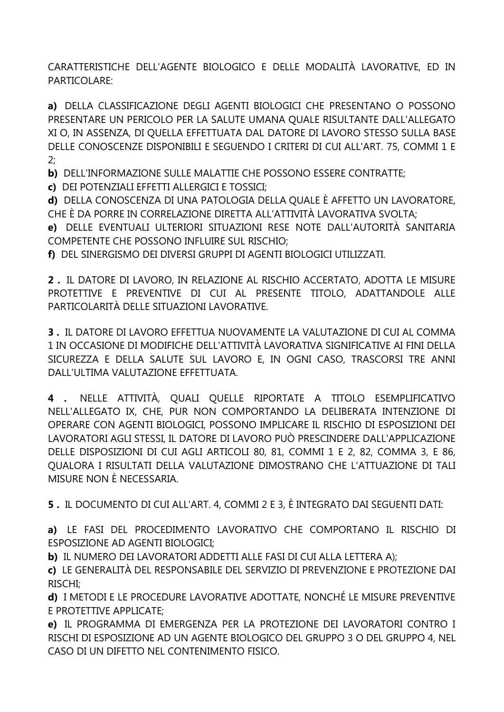CARATTERISTICHE DELL'AGENTE BIOLOGICO E DELLE MODALITÀ LAVORATIVE, ED IN PARTICOLARE:

a) DELLA CLASSIFICAZIONE DEGLI AGENTI BIOLOGICI CHE PRESENTANO O POSSONO PRESENTARE UN PERICOLO PER LA SALUTE UMANA QUALE RISULTANTE DALL'ALLEGATO XI O, IN ASSENZA, DI QUELLA EFFETTUATA DAL DATORE DI LAVORO STESSO SULLA BASE DELLE CONOSCENZE DISPONIBILI E SEGUENDO I CRITERI DI CUI ALL'ART. 75, COMMI 1 E  $2:$ 

b) DELL'INFORMAZIONE SULLE MALATTIE CHE POSSONO ESSERE CONTRATTE;

c) DEI POTENZIALI EFFETTI ALLERGICI E TOSSICI;

d) DELLA CONOSCENZA DI UNA PATOLOGIA DELLA QUALE È AFFETTO UN LAVORATORE, CHE È DA PORRE IN CORRELAZIONE DIRETTA ALL'ATTIVITÀ LAVORATIVA SVOLTA;

e) DELLE EVENTUALI ULTERIORI SITUAZIONI RESE NOTE DALL'AUTORITÀ SANITARIA COMPETENTE CHE POSSONO INFLUIRE SUL RISCHIO;

f) DEL SINERGISMO DEI DIVERSI GRUPPI DI AGENTI BIOLOGICI UTILIZZATI.

2. IL DATORE DI LAVORO, IN RELAZIONE AL RISCHIO ACCERTATO, ADOTTA LE MISURE PROTETTIVE E PREVENTIVE DI CUI AL PRESENTE TITOLO, ADATTANDOLE ALLE PARTICOLARITÀ DELLE SITUAZIONI LAVORATIVE.

3. IL DATORE DI LAVORO EFFETTUA NUOVAMENTE LA VALUTAZIONE DI CUI AL COMMA 1 IN OCCASIONE DI MODIFICHE DELL'ATTIVITÀ LAVORATIVA SIGNIFICATIVE AI FINI DELLA SICUREZZA E DELLA SALUTE SUL LAVORO E, IN OGNI CASO, TRASCORSI TRE ANNI DALL'ULTIMA VALUTAZIONE EFFETTUATA.

NELLE ATTIVITÀ, QUALI QUELLE RIPORTATE A TITOLO ESEMPLIFICATIVO  $4 \cdot$ NELL'ALLEGATO IX, CHE, PUR NON COMPORTANDO LA DELIBERATA INTENZIONE DI OPERARE CON AGENTI BIOLOGICI, POSSONO IMPLICARE IL RISCHIO DI ESPOSIZIONI DEI LAVORATORI AGLI STESSI. IL DATORE DI LAVORO PUÒ PRESCINDERE DALL'APPLICAZIONE DELLE DISPOSIZIONI DI CUI AGLI ARTICOLI 80, 81, COMMI 1 E 2, 82, COMMA 3, E 86, OUALORA I RISULTATI DELLA VALUTAZIONE DIMOSTRANO CHE L'ATTUAZIONE DI TALI MISURE NON È NECESSARIA

5. IL DOCUMENTO DI CUI ALL'ART. 4, COMMI 2 E 3, È INTEGRATO DAI SEGUENTI DATI:

a) LE FASI DEL PROCEDIMENTO LAVORATIVO CHE COMPORTANO IL RISCHIO DI **ESPOSIZIONE AD AGENTI BIOLOGICI;** 

b) IL NUMERO DEI LAVORATORI ADDETTI ALLE FASI DI CUI ALLA LETTERA A);

c) LE GENERALITÀ DEL RESPONSABILE DEL SERVIZIO DI PREVENZIONE E PROTEZIONE DAI **RISCHI:** 

d) I METODI E LE PROCEDURE LAVORATIVE ADOTTATE. NONCHÉ LE MISURE PREVENTIVE E PROTETTIVE APPLICATE;

e) IL PROGRAMMA DI EMERGENZA PER LA PROTEZIONE DEI LAVORATORI CONTRO I RISCHI DI ESPOSIZIONE AD UN AGENTE BIOLOGICO DEL GRUPPO 3 O DEL GRUPPO 4, NEL CASO DI UN DIFETTO NEL CONTENIMENTO FISICO.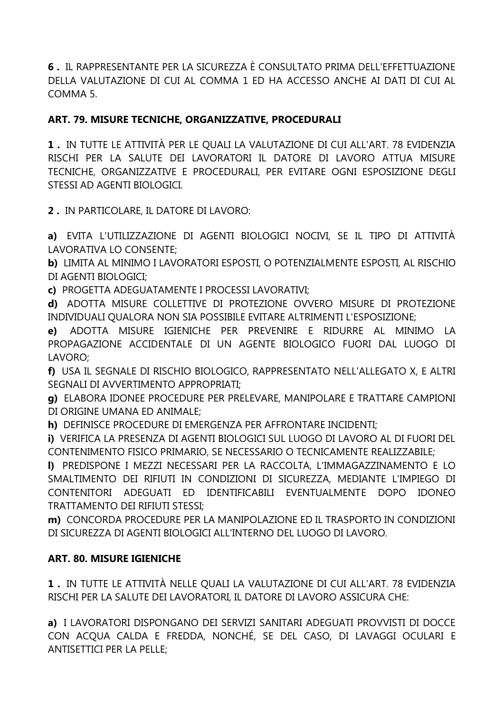**6 .** IL RAPPRESENTANTE PER LA SICUREZZA È CONSULTATO PRIMA DELL'EFFETTUAZIONE DELLA VALUTAZIONE DI CUI AL COMMA 1 ED HA ACCESSO ANCHE AI DATI DI CUI AL COMMA 5.

# **ART. 79. MISURE TECNICHE, ORGANIZZATIVE, PROCEDURALI**

**1 .** IN TUTTE LE ATTIVITÀ PER LE QUALI LA VALUTAZIONE DI CUI ALL'ART. 78 EVIDENZIA RISCHI PER LA SALUTE DEI LAVORATORI IL DATORE DI LAVORO ATTUA MISURE TECNICHE, ORGANIZZATIVE E PROCEDURALI, PER EVITARE OGNI ESPOSIZIONE DEGLI STESSI AD AGENTI BIOLOGICI.

**2 .** IN PARTICOLARE, IL DATORE DI LAVORO:

**a)** EVITA L'UTILIZZAZIONE DI AGENTI BIOLOGICI NOCIVI, SE IL TIPO DI ATTIVITÀ LAVORATIVA LO CONSENTE;

**b)** LIMITA AL MINIMO I LAVORATORI ESPOSTI, O POTENZIALMENTE ESPOSTI, AL RISCHIO DI AGENTI BIOLOGICI;

**c)** PROGETTA ADEGUATAMENTE I PROCESSI LAVORATIVI;

**d)** ADOTTA MISURE COLLETTIVE DI PROTEZIONE OVVERO MISURE DI PROTEZIONE INDIVIDUALI QUALORA NON SIA POSSIBILE EVITARE ALTRIMENTI L'ESPOSIZIONE;

**e)** ADOTTA MISURE IGIENICHE PER PREVENIRE E RIDURRE AL MINIMO LA PROPAGAZIONE ACCIDENTALE DI UN AGENTE BIOLOGICO FUORI DAL LUOGO DI LAVORO;

**f)** USA IL SEGNALE DI RISCHIO BIOLOGICO, RAPPRESENTATO NELL'ALLEGATO X, E ALTRI SEGNALI DI AVVERTIMENTO APPROPRIATI;

**g)** ELABORA IDONEE PROCEDURE PER PRELEVARE, MANIPOLARE E TRATTARE CAMPIONI DI ORIGINE UMANA ED ANIMALE;

**h)** DEFINISCE PROCEDURE DI EMERGENZA PER AFFRONTARE INCIDENTI;

**i)** VERIFICA LA PRESENZA DI AGENTI BIOLOGICI SUL LUOGO DI LAVORO AL DI FUORI DEL CONTENIMENTO FISICO PRIMARIO, SE NECESSARIO O TECNICAMENTE REALIZZABILE;

**l)** PREDISPONE I MEZZI NECESSARI PER LA RACCOLTA, L'IMMAGAZZINAMENTO E LO SMALTIMENTO DEI RIFIUTI IN CONDIZIONI DI SICUREZZA, MEDIANTE L'IMPIEGO DI CONTENITORI ADEGUATI ED IDENTIFICABILI EVENTUALMENTE DOPO IDONEO TRATTAMENTO DEI RIFIUTI STESSI;

**m)** CONCORDA PROCEDURE PER LA MANIPOLAZIONE ED IL TRASPORTO IN CONDIZIONI DI SICUREZZA DI AGENTI BIOLOGICI ALL'INTERNO DEL LUOGO DI LAVORO.

#### **ART. 80. MISURE IGIENICHE**

**1 .** IN TUTTE LE ATTIVITÀ NELLE QUALI LA VALUTAZIONE DI CUI ALL'ART. 78 EVIDENZIA RISCHI PER LA SALUTE DEI LAVORATORI, IL DATORE DI LAVORO ASSICURA CHE:

**a)** I LAVORATORI DISPONGANO DEI SERVIZI SANITARI ADEGUATI PROVVISTI DI DOCCE CON ACQUA CALDA E FREDDA, NONCHÉ, SE DEL CASO, DI LAVAGGI OCULARI E ANTISETTICI PER LA PELLE;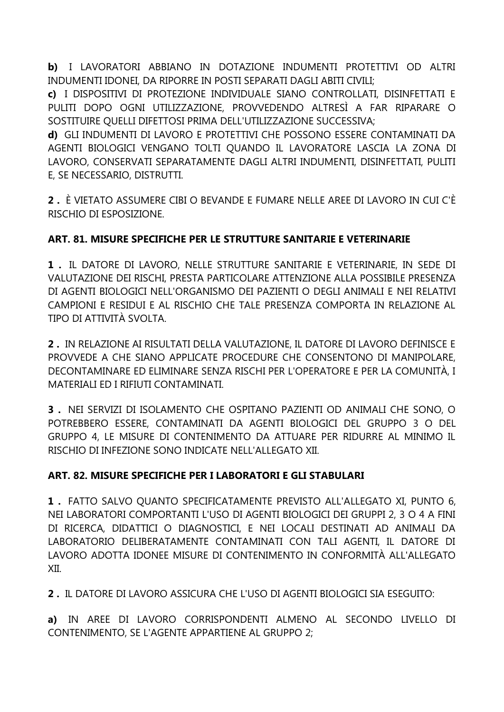b) I LAVORATORI ABBIANO IN DOTAZIONE INDUMENTI PROTETTIVI OD ALTRI INDUMENTI IDONEI, DA RIPORRE IN POSTI SEPARATI DAGLI ABITI CIVILI:

c) I DISPOSITIVI DI PROTEZIONE INDIVIDUALE SIANO CONTROLLATI, DISINFETTATI E PULITI DOPO OGNI UTILIZZAZIONE, PROVVEDENDO ALTRESÌ A FAR RIPARARE O SOSTITUIRE QUELLI DIFETTOSI PRIMA DELL'UTILIZZAZIONE SUCCESSIVA;

d) GLI INDUMENTI DI LAVORO E PROTETTIVI CHE POSSONO ESSERE CONTAMINATI DA AGENTI BIOLOGICI VENGANO TOLTI OUANDO IL LAVORATORE LASCIA LA ZONA DI LAVORO, CONSERVATI SEPARATAMENTE DAGLI ALTRI INDUMENTI, DISINFETTATI, PULITI E. SE NECESSARIO. DISTRUTTI.

2. È VIETATO ASSUMERE CIBI O BEVANDE E FUMARE NELLE AREE DI LAVORO IN CUI C'È RISCHIO DI ESPOSIZIONE

# ART. 81. MISURE SPECIFICHE PER LE STRUTTURE SANITARIE E VETERINARIE

1. IL DATORE DI LAVORO, NELLE STRUTTURE SANITARIE E VETERINARIE, IN SEDE DI VALUTAZIONE DEI RISCHI, PRESTA PARTICOLARE ATTENZIONE ALLA POSSIBILE PRESENZA DI AGENTI BIOLOGICI NELL'ORGANISMO DEI PAZIENTI O DEGLI ANIMALI E NEI RELATIVI CAMPIONI E RESIDUI E AL RISCHIO CHE TALE PRESENZA COMPORTA IN RELAZIONE AL TIPO DI ATTIVITÀ SVOLTA.

2. IN RELAZIONE AI RISULTATI DELLA VALUTAZIONE, IL DATORE DI LAVORO DEFINISCE E PROVVEDE A CHE SIANO APPLICATE PROCEDURE CHE CONSENTONO DI MANIPOLARE, DECONTAMINARE ED ELIMINARE SENZA RISCHI PER L'OPERATORE E PER LA COMUNITÀ, I MATERIALI ED I RIFIUTI CONTAMINATI.

3. NEI SERVIZI DI ISOLAMENTO CHE OSPITANO PAZIENTI OD ANIMALI CHE SONO, O POTREBBERO ESSERE, CONTAMINATI DA AGENTI BIOLOGICI DEL GRUPPO 3 O DEL GRUPPO 4, LE MISURE DI CONTENIMENTO DA ATTUARE PER RIDURRE AL MINIMO IL RISCHIO DI INFEZIONE SONO INDICATE NELL'ALLEGATO XII.

#### ART. 82. MISURE SPECIFICHE PER I LABORATORI E GLI STABULARI

1. FATTO SALVO QUANTO SPECIFICATAMENTE PREVISTO ALL'ALLEGATO XI, PUNTO 6, NEI LABORATORI COMPORTANTI L'USO DI AGENTI BIOLOGICI DEI GRUPPI 2, 3 O 4 A FINI DI RICERCA, DIDATTICI O DIAGNOSTICI, E NEI LOCALI DESTINATI AD ANIMALI DA LABORATORIO DELIBERATAMENTE CONTAMINATI CON TALI AGENTI. IL DATORE DI LAVORO ADOTTA IDONEE MISURE DI CONTENIMENTO IN CONFORMITÀ ALL'ALLEGATO XII.

2. IL DATORE DI LAVORO ASSICURA CHE L'USO DI AGENTI BIOLOGICI SIA ESEGUITO:

a) IN AREE DI LAVORO CORRISPONDENTI ALMENO AL SECONDO LIVELLO DI CONTENIMENTO, SE L'AGENTE APPARTIENE AL GRUPPO 2;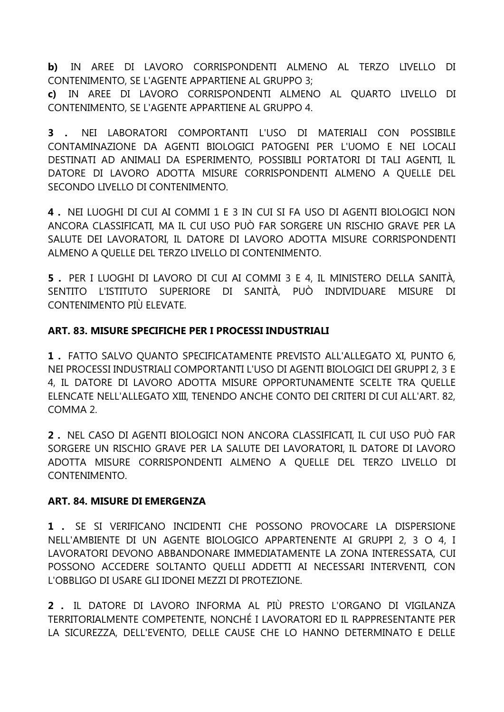**b)** IN AREE DI LAVORO CORRISPONDENTI ALMENO AL TERZO LIVELLO DI CONTENIMENTO, SE L'AGENTE APPARTIENE AL GRUPPO 3;

**c)** IN AREE DI LAVORO CORRISPONDENTI ALMENO AL QUARTO LIVELLO DI CONTENIMENTO, SE L'AGENTE APPARTIENE AL GRUPPO 4.

**3 .** NEI LABORATORI COMPORTANTI L'USO DI MATERIALI CON POSSIBILE CONTAMINAZIONE DA AGENTI BIOLOGICI PATOGENI PER L'UOMO E NEI LOCALI DESTINATI AD ANIMALI DA ESPERIMENTO, POSSIBILI PORTATORI DI TALI AGENTI, IL DATORE DI LAVORO ADOTTA MISURE CORRISPONDENTI ALMENO A QUELLE DEL SECONDO LIVELLO DI CONTENIMENTO.

**4 .** NEI LUOGHI DI CUI AI COMMI 1 E 3 IN CUI SI FA USO DI AGENTI BIOLOGICI NON ANCORA CLASSIFICATI, MA IL CUI USO PUÒ FAR SORGERE UN RISCHIO GRAVE PER LA SALUTE DEI LAVORATORI, IL DATORE DI LAVORO ADOTTA MISURE CORRISPONDENTI ALMENO A QUELLE DEL TERZO LIVELLO DI CONTENIMENTO.

**5 .** PER I LUOGHI DI LAVORO DI CUI AI COMMI 3 E 4, IL MINISTERO DELLA SANITÀ, SENTITO L'ISTITUTO SUPERIORE DI SANITÀ, PUÒ INDIVIDUARE MISURE DI CONTENIMENTO PIÙ ELEVATE.

#### **ART. 83. MISURE SPECIFICHE PER I PROCESSI INDUSTRIALI**

**1 .** FATTO SALVO QUANTO SPECIFICATAMENTE PREVISTO ALL'ALLEGATO XI, PUNTO 6, NEI PROCESSI INDUSTRIALI COMPORTANTI L'USO DI AGENTI BIOLOGICI DEI GRUPPI 2, 3 E 4, IL DATORE DI LAVORO ADOTTA MISURE OPPORTUNAMENTE SCELTE TRA QUELLE ELENCATE NELL'ALLEGATO XIII, TENENDO ANCHE CONTO DEI CRITERI DI CUI ALL'ART. 82, COMMA 2.

**2 .** NEL CASO DI AGENTI BIOLOGICI NON ANCORA CLASSIFICATI, IL CUI USO PUÒ FAR SORGERE UN RISCHIO GRAVE PER LA SALUTE DEI LAVORATORI, IL DATORE DI LAVORO ADOTTA MISURE CORRISPONDENTI ALMENO A QUELLE DEL TERZO LIVELLO DI CONTENIMENTO.

#### **ART. 84. MISURE DI EMERGENZA**

**1 .** SE SI VERIFICANO INCIDENTI CHE POSSONO PROVOCARE LA DISPERSIONE NELL'AMBIENTE DI UN AGENTE BIOLOGICO APPARTENENTE AI GRUPPI 2, 3 O 4, I LAVORATORI DEVONO ABBANDONARE IMMEDIATAMENTE LA ZONA INTERESSATA, CUI POSSONO ACCEDERE SOLTANTO QUELLI ADDETTI AI NECESSARI INTERVENTI, CON L'OBBLIGO DI USARE GLI IDONEI MEZZI DI PROTEZIONE.

**2 .** IL DATORE DI LAVORO INFORMA AL PIÙ PRESTO L'ORGANO DI VIGILANZA TERRITORIALMENTE COMPETENTE, NONCHÉ I LAVORATORI ED IL RAPPRESENTANTE PER LA SICUREZZA, DELL'EVENTO, DELLE CAUSE CHE LO HANNO DETERMINATO E DELLE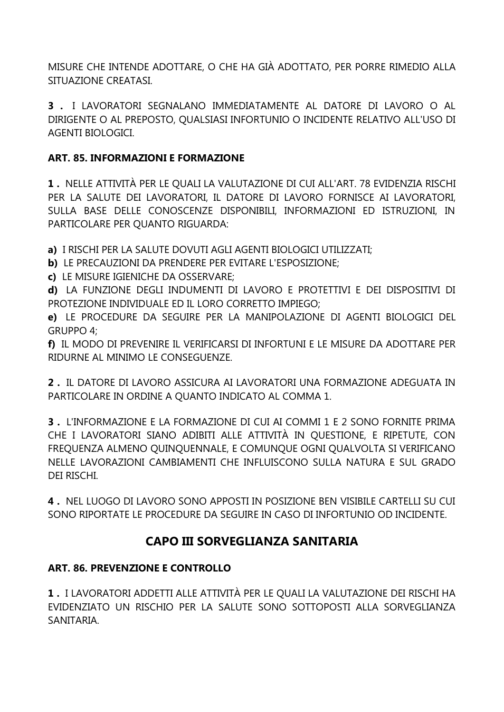MISURE CHE INTENDE ADOTTARE, O CHE HA GIÀ ADOTTATO, PER PORRE RIMEDIO ALLA SITUAZIONE CREATASI.

**3 .** I LAVORATORI SEGNALANO IMMEDIATAMENTE AL DATORE DI LAVORO O AL DIRIGENTE O AL PREPOSTO, QUALSIASI INFORTUNIO O INCIDENTE RELATIVO ALL'USO DI AGENTI BIOLOGICI.

### **ART. 85. INFORMAZIONI E FORMAZIONE**

**1 .** NELLE ATTIVITÀ PER LE QUALI LA VALUTAZIONE DI CUI ALL'ART. 78 EVIDENZIA RISCHI PER LA SALUTE DEI LAVORATORI, IL DATORE DI LAVORO FORNISCE AI LAVORATORI, SULLA BASE DELLE CONOSCENZE DISPONIBILI, INFORMAZIONI ED ISTRUZIONI, IN PARTICOLARE PER QUANTO RIGUARDA:

**a)** I RISCHI PER LA SALUTE DOVUTI AGLI AGENTI BIOLOGICI UTILIZZATI;

- **b)** LE PRECAUZIONI DA PRENDERE PER EVITARE L'ESPOSIZIONE;
- **c)** LE MISURE IGIENICHE DA OSSERVARE;

**d)** LA FUNZIONE DEGLI INDUMENTI DI LAVORO E PROTETTIVI E DEI DISPOSITIVI DI PROTEZIONE INDIVIDUALE ED IL LORO CORRETTO IMPIEGO;

**e)** LE PROCEDURE DA SEGUIRE PER LA MANIPOLAZIONE DI AGENTI BIOLOGICI DEL GRUPPO 4;

**f)** IL MODO DI PREVENIRE IL VERIFICARSI DI INFORTUNI E LE MISURE DA ADOTTARE PER RIDURNE AL MINIMO LE CONSEGUENZE.

**2 .** IL DATORE DI LAVORO ASSICURA AI LAVORATORI UNA FORMAZIONE ADEGUATA IN PARTICOLARE IN ORDINE A QUANTO INDICATO AL COMMA 1.

**3 .** L'INFORMAZIONE E LA FORMAZIONE DI CUI AI COMMI 1 E 2 SONO FORNITE PRIMA CHE I LAVORATORI SIANO ADIBITI ALLE ATTIVITÀ IN QUESTIONE, E RIPETUTE, CON FREQUENZA ALMENO QUINQUENNALE, E COMUNQUE OGNI QUALVOLTA SI VERIFICANO NELLE LAVORAZIONI CAMBIAMENTI CHE INFLUISCONO SULLA NATURA E SUL GRADO DEI RISCHI.

**4 .** NEL LUOGO DI LAVORO SONO APPOSTI IN POSIZIONE BEN VISIBILE CARTELLI SU CUI SONO RIPORTATE LE PROCEDURE DA SEGUIRE IN CASO DI INFORTUNIO OD INCIDENTE.

# **CAPO III SORVEGLIANZA SANITARIA**

# **ART. 86. PREVENZIONE E CONTROLLO**

**1 .** I LAVORATORI ADDETTI ALLE ATTIVITÀ PER LE QUALI LA VALUTAZIONE DEI RISCHI HA EVIDENZIATO UN RISCHIO PER LA SALUTE SONO SOTTOPOSTI ALLA SORVEGLIANZA SANITARIA.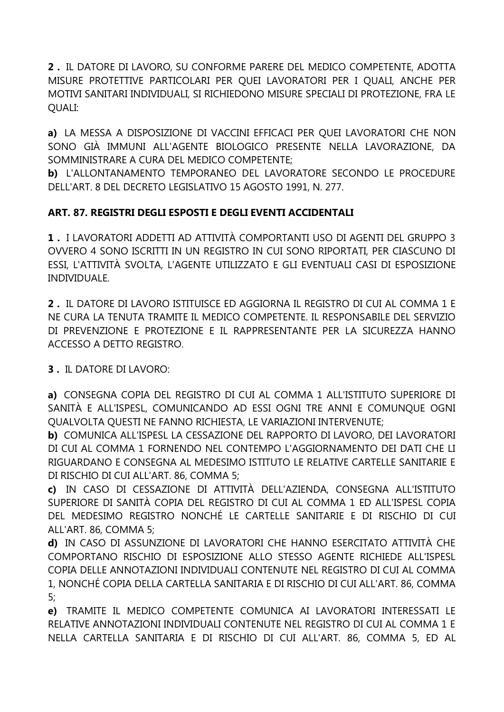**2 .** IL DATORE DI LAVORO, SU CONFORME PARERE DEL MEDICO COMPETENTE, ADOTTA MISURE PROTETTIVE PARTICOLARI PER QUEI LAVORATORI PER I QUALI, ANCHE PER MOTIVI SANITARI INDIVIDUALI, SI RICHIEDONO MISURE SPECIALI DI PROTEZIONE, FRA LE QUALI:

**a)** LA MESSA A DISPOSIZIONE DI VACCINI EFFICACI PER QUEI LAVORATORI CHE NON SONO GIÀ IMMUNI ALL'AGENTE BIOLOGICO PRESENTE NELLA LAVORAZIONE, DA SOMMINISTRARE A CURA DEL MEDICO COMPETENTE;

**b)** L'ALLONTANAMENTO TEMPORANEO DEL LAVORATORE SECONDO LE PROCEDURE DELL'ART. 8 DEL DECRETO LEGISLATIVO 15 AGOSTO 1991, N. 277.

# **ART. 87. REGISTRI DEGLI ESPOSTI E DEGLI EVENTI ACCIDENTALI**

**1 .** I LAVORATORI ADDETTI AD ATTIVITÀ COMPORTANTI USO DI AGENTI DEL GRUPPO 3 OVVERO 4 SONO ISCRITTI IN UN REGISTRO IN CUI SONO RIPORTATI, PER CIASCUNO DI ESSI, L'ATTIVITÀ SVOLTA, L'AGENTE UTILIZZATO E GLI EVENTUALI CASI DI ESPOSIZIONE INDIVIDUALE.

**2 .** IL DATORE DI LAVORO ISTITUISCE ED AGGIORNA IL REGISTRO DI CUI AL COMMA 1 E NE CURA LA TENUTA TRAMITE IL MEDICO COMPETENTE. IL RESPONSABILE DEL SERVIZIO DI PREVENZIONE E PROTEZIONE E IL RAPPRESENTANTE PER LA SICUREZZA HANNO ACCESSO A DETTO REGISTRO.

**3 .** IL DATORE DI LAVORO:

**a)** CONSEGNA COPIA DEL REGISTRO DI CUI AL COMMA 1 ALL'ISTITUTO SUPERIORE DI SANITÀ E ALL'ISPESL, COMUNICANDO AD ESSI OGNI TRE ANNI E COMUNQUE OGNI QUALVOLTA QUESTI NE FANNO RICHIESTA, LE VARIAZIONI INTERVENUTE;

**b)** COMUNICA ALL'ISPESL LA CESSAZIONE DEL RAPPORTO DI LAVORO, DEI LAVORATORI DI CUI AL COMMA 1 FORNENDO NEL CONTEMPO L'AGGIORNAMENTO DEI DATI CHE LI RIGUARDANO E CONSEGNA AL MEDESIMO ISTITUTO LE RELATIVE CARTELLE SANITARIE E DI RISCHIO DI CUI ALL'ART. 86, COMMA 5;

**c)** IN CASO DI CESSAZIONE DI ATTIVITÀ DELL'AZIENDA, CONSEGNA ALL'ISTITUTO SUPERIORE DI SANITÀ COPIA DEL REGISTRO DI CUI AL COMMA 1 ED ALL'ISPESL COPIA DEL MEDESIMO REGISTRO NONCHÉ LE CARTELLE SANITARIE E DI RISCHIO DI CUI ALL'ART. 86, COMMA 5;

**d)** IN CASO DI ASSUNZIONE DI LAVORATORI CHE HANNO ESERCITATO ATTIVITÀ CHE COMPORTANO RISCHIO DI ESPOSIZIONE ALLO STESSO AGENTE RICHIEDE ALL'ISPESL COPIA DELLE ANNOTAZIONI INDIVIDUALI CONTENUTE NEL REGISTRO DI CUI AL COMMA 1, NONCHÉ COPIA DELLA CARTELLA SANITARIA E DI RISCHIO DI CUI ALL'ART. 86, COMMA 5;

**e)** TRAMITE IL MEDICO COMPETENTE COMUNICA AI LAVORATORI INTERESSATI LE RELATIVE ANNOTAZIONI INDIVIDUALI CONTENUTE NEL REGISTRO DI CUI AL COMMA 1 E NELLA CARTELLA SANITARIA E DI RISCHIO DI CUI ALL'ART. 86, COMMA 5, ED AL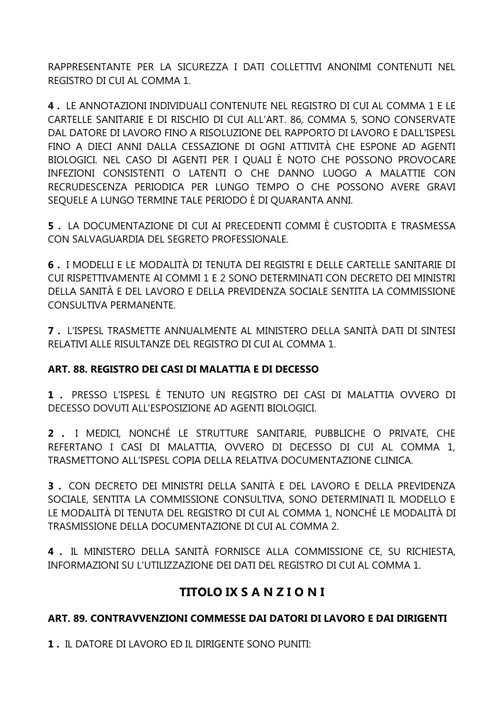RAPPRESENTANTE PER LA SICUREZZA I DATI COLLETTIVI ANONIMI CONTENUTI NEL REGISTRO DI CUI AL COMMA 1.

**4 .** LE ANNOTAZIONI INDIVIDUALI CONTENUTE NEL REGISTRO DI CUI AL COMMA 1 E LE CARTELLE SANITARIE E DI RISCHIO DI CUI ALL'ART. 86, COMMA 5, SONO CONSERVATE DAL DATORE DI LAVORO FINO A RISOLUZIONE DEL RAPPORTO DI LAVORO E DALL'ISPESL FINO A DIECI ANNI DALLA CESSAZIONE DI OGNI ATTIVITÀ CHE ESPONE AD AGENTI BIOLOGICI. NEL CASO DI AGENTI PER I QUALI È NOTO CHE POSSONO PROVOCARE INFEZIONI CONSISTENTI O LATENTI O CHE DANNO LUOGO A MALATTIE CON RECRUDESCENZA PERIODICA PER LUNGO TEMPO O CHE POSSONO AVERE GRAVI SEQUELE A LUNGO TERMINE TALE PERIODO È DI QUARANTA ANNI.

**5 .** LA DOCUMENTAZIONE DI CUI AI PRECEDENTI COMMI È CUSTODITA E TRASMESSA CON SALVAGUARDIA DEL SEGRETO PROFESSIONALE.

**6 .** I MODELLI E LE MODALITÀ DI TENUTA DEI REGISTRI E DELLE CARTELLE SANITARIE DI CUI RISPETTIVAMENTE AI COMMI 1 E 2 SONO DETERMINATI CON DECRETO DEI MINISTRI DELLA SANITÀ E DEL LAVORO E DELLA PREVIDENZA SOCIALE SENTITA LA COMMISSIONE CONSULTIVA PERMANENTE.

**7 .** L'ISPESL TRASMETTE ANNUALMENTE AL MINISTERO DELLA SANITÀ DATI DI SINTESI RELATIVI ALLE RISULTANZE DEL REGISTRO DI CUI AL COMMA 1.

#### **ART. 88. REGISTRO DEI CASI DI MALATTIA E DI DECESSO**

**1 .** PRESSO L'ISPESL È TENUTO UN REGISTRO DEI CASI DI MALATTIA OVVERO DI DECESSO DOVUTI ALL'ESPOSIZIONE AD AGENTI BIOLOGICI.

**2 .** I MEDICI, NONCHÉ LE STRUTTURE SANITARIE, PUBBLICHE O PRIVATE, CHE REFERTANO I CASI DI MALATTIA, OVVERO DI DECESSO DI CUI AL COMMA 1, TRASMETTONO ALL'ISPESL COPIA DELLA RELATIVA DOCUMENTAZIONE CLINICA.

**3 .** CON DECRETO DEI MINISTRI DELLA SANITÀ E DEL LAVORO E DELLA PREVIDENZA SOCIALE, SENTITA LA COMMISSIONE CONSULTIVA, SONO DETERMINATI IL MODELLO E LE MODALITÀ DI TENUTA DEL REGISTRO DI CUI AL COMMA 1, NONCHÉ LE MODALITÀ DI TRASMISSIONE DELLA DOCUMENTAZIONE DI CUI AL COMMA 2.

**4 .** IL MINISTERO DELLA SANITÀ FORNISCE ALLA COMMISSIONE CE, SU RICHIESTA, INFORMAZIONI SU L'UTILIZZAZIONE DEI DATI DEL REGISTRO DI CUI AL COMMA 1.

# **TITOLO IX S A N Z I O N I**

# **ART. 89. CONTRAVVENZIONI COMMESSE DAI DATORI DI LAVORO E DAI DIRIGENTI**

**1 .** IL DATORE DI LAVORO ED IL DIRIGENTE SONO PUNITI: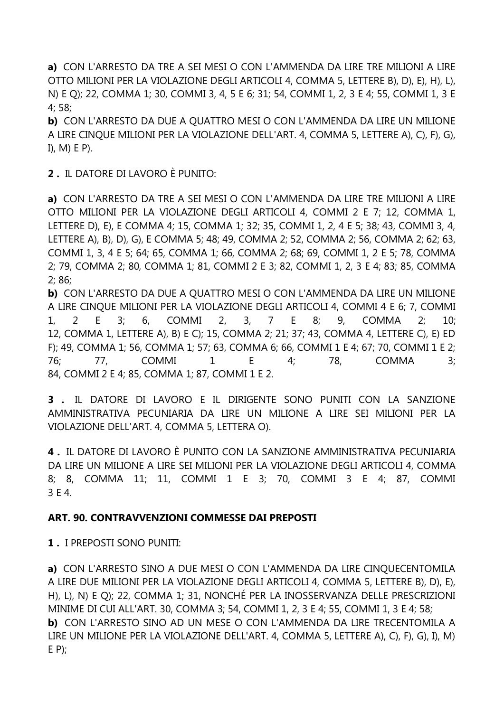a) CON L'ARRESTO DA TRE A SEI MESI O CON L'AMMENDA DA LIRE TRE MILIONI A LIRE OTTO MILIONI PER LA VIOLAZIONE DEGLI ARTICOLI 4, COMMA 5, LETTERE B), D), E), H), L), N) E Q); 22, COMMA 1; 30, COMMI 3, 4, 5 E 6; 31; 54, COMMI 1, 2, 3 E 4; 55, COMMI 1, 3 E  $4:58:$ 

b) CON L'ARRESTO DA DUE A QUATTRO MESI O CON L'AMMENDA DA LIRE UN MILIONE A LIRE CINQUE MILIONI PER LA VIOLAZIONE DELL'ART. 4, COMMA 5, LETTERE A), C), F), G), I),  $M$ ) E P).

2. IL DATORE DI LAVORO È PUNITO:

a) CON L'ARRESTO DA TRE A SEI MESI O CON L'AMMENDA DA LIRE TRE MILIONI A LIRE OTTO MILIONI PER LA VIOLAZIONE DEGLI ARTICOLI 4, COMMI 2 E 7: 12, COMMA 1, LETTERE D), E), E COMMA 4; 15, COMMA 1; 32; 35, COMMI 1, 2, 4 E 5; 38; 43, COMMI 3, 4, LETTERE A), B), D), G), E COMMA 5; 48; 49, COMMA 2; 52, COMMA 2; 56, COMMA 2; 62; 63, COMMI 1, 3, 4 E 5; 64; 65, COMMA 1; 66, COMMA 2; 68; 69, COMMI 1, 2 E 5; 78, COMMA 2; 79, COMMA 2; 80, COMMA 1; 81, COMMI 2 E 3; 82, COMMI 1, 2, 3 E 4; 83; 85, COMMA  $2; 86;$ 

b) CON L'ARRESTO DA DUE A QUATTRO MESI O CON L'AMMENDA DA LIRE UN MILIONE A LIRE CINQUE MILIONI PER LA VIOLAZIONE DEGLI ARTICOLI 4, COMMI 4 E 6; 7, COMMI  $1<sub>1</sub>$  $\mathcal{P}$ F.  $3:$ 6. **COMMI**  $2.$  $3<sub>r</sub>$  $7^{\circ}$  $E$  $8:$ 9. **COMMA**  $10<sup>1</sup>$  $2^{\cdot}$ 12, COMMA 1, LETTERE A), B) E C); 15, COMMA 2; 21; 37; 43, COMMA 4, LETTERE C), E) ED F): 49, COMMA 1: 56, COMMA 1: 57; 63, COMMA 6: 66, COMMI 1 E 4: 67; 70, COMMI 1 E 2:  $76;$ 77, **COMMI**  $\mathbf{1}$ E  $4:$ 78, **COMMA**  $3:$ 84, COMMI 2 E 4; 85, COMMA 1; 87, COMMI 1 E 2.

3 . IL DATORE DI LAVORO E IL DIRIGENTE SONO PUNITI CON LA SANZIONE AMMINISTRATIVA PECUNIARIA DA LIRE UN MILIONE A LIRE SEI MILIONI PER LA VIOLAZIONE DELL'ART. 4, COMMA 5, LETTERA O).

4. IL DATORE DI LAVORO È PUNITO CON LA SANZIONE AMMINISTRATIVA PECUNIARIA DA LIRE UN MILIONE A LIRE SEI MILIONI PER LA VIOLAZIONE DEGLI ARTICOLI 4, COMMA 8; 8, COMMA 11; 11, COMMI 1 E 3; 70, COMMI 3 E 4; 87, COMMI 3 E 4.

#### ART. 90. CONTRAVVENZIONI COMMESSE DAI PREPOSTI

1. I PREPOSTI SONO PUNITI:

a) CON L'ARRESTO SINO A DUE MESI O CON L'AMMENDA DA LIRE CINQUECENTOMILA A LIRE DUE MILIONI PER LA VIOLAZIONE DEGLI ARTICOLI 4, COMMA 5, LETTERE B), D), E), H), L), N) E O); 22, COMMA 1; 31, NONCHÉ PER LA INOSSERVANZA DELLE PRESCRIZIONI MINIME DI CUI ALL'ART. 30, COMMA 3: 54, COMMI 1, 2, 3 E 4: 55, COMMI 1, 3 E 4: 58: b) CON L'ARRESTO SINO AD UN MESE O CON L'AMMENDA DA LIRE TRECENTOMILA A LIRE UN MILIONE PER LA VIOLAZIONE DELL'ART. 4, COMMA 5, LETTERE A), C), F), G), I), M)  $E(P)$ ;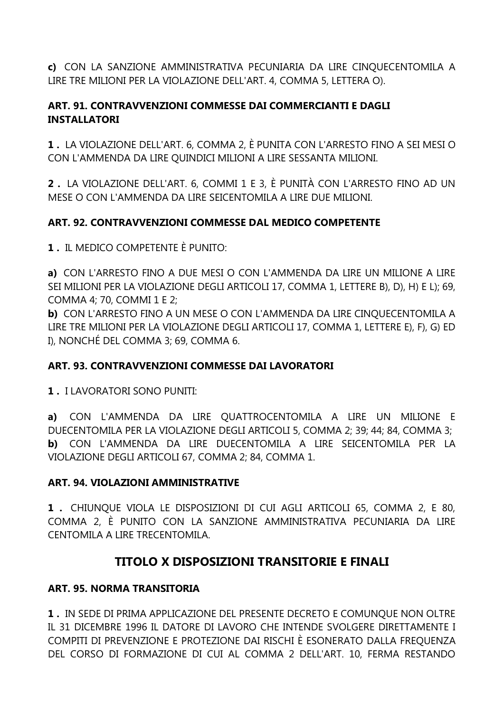c) CON LA SANZIONE AMMINISTRATIVA PECUNIARIA DA LIRE CINQUECENTOMILA A LIRE TRE MILIONI PER LA VIOLAZIONE DELL'ART. 4, COMMA 5, LETTERA O).

#### ART. 91. CONTRAVVENZIONI COMMESSE DAI COMMERCIANTI E DAGLI **INSTALLATORI**

1. LA VIOLAZIONE DELL'ART, 6, COMMA 2, È PUNITA CON L'ARRESTO FINO A SEI MESI O CON L'AMMENDA DA LIRE QUINDICI MILIONI A LIRE SESSANTA MILIONI.

2. LA VIOLAZIONE DELL'ART. 6, COMMI 1 E 3, È PUNITÀ CON L'ARRESTO FINO AD UN MESE O CON L'AMMENDA DA LIRE SEICENTOMILA A LIRE DUE MILIONI.

## ART. 92. CONTRAVVENZIONI COMMESSE DAL MEDICO COMPETENTE

1. IL MEDICO COMPETENTE È PUNITO:

a) CON L'ARRESTO FINO A DUE MESI O CON L'AMMENDA DA LIRE UN MILIONE A LIRE SEI MILIONI PER LA VIOLAZIONE DEGLI ARTICOLI 17, COMMA 1, LETTERE B), D), H) E L); 69, COMMA 4; 70, COMMI 1 E 2;

b) CON L'ARRESTO FINO A UN MESE O CON L'AMMENDA DA LIRE CINQUECENTOMILA A LIRE TRE MILIONI PER LA VIOLAZIONE DEGLI ARTICOLI 17, COMMA 1, LETTERE E), F), G) ED I), NONCHÉ DEL COMMA 3; 69, COMMA 6.

#### ART. 93. CONTRAVVENZIONI COMMESSE DAI LAVORATORI

1. I LAVORATORI SONO PUNITI:

a) CON L'AMMENDA DA LIRE QUATTROCENTOMILA A LIRE UN MILIONE E DUECENTOMILA PER LA VIOLAZIONE DEGLI ARTICOLI 5, COMMA 2: 39: 44: 84, COMMA 3: b) CON L'AMMENDA DA LIRE DUECENTOMILA A LIRE SEICENTOMILA PER LA VIOLAZIONE DEGLI ARTICOLI 67, COMMA 2; 84, COMMA 1.

#### **ART. 94. VIOLAZIONI AMMINISTRATIVE**

1. CHIUNQUE VIOLA LE DISPOSIZIONI DI CUI AGLI ARTICOLI 65, COMMA 2, E 80, COMMA 2, È PUNITO CON LA SANZIONE AMMINISTRATIVA PECUNIARIA DA LIRE CENTOMILA A LIRE TRECENTOMILA

# **TITOLO X DISPOSIZIONI TRANSITORIE E FINALI**

#### **ART. 95. NORMA TRANSITORIA**

1. IN SEDE DI PRIMA APPLICAZIONE DEL PRESENTE DECRETO E COMUNOUE NON OLTRE IL 31 DICEMBRE 1996 IL DATORE DI LAVORO CHE INTENDE SVOLGERE DIRETTAMENTE I COMPITI DI PREVENZIONE E PROTEZIONE DAI RISCHI È ESONERATO DALLA FREOUENZA DEL CORSO DI FORMAZIONE DI CUI AL COMMA 2 DELL'ART. 10, FERMA RESTANDO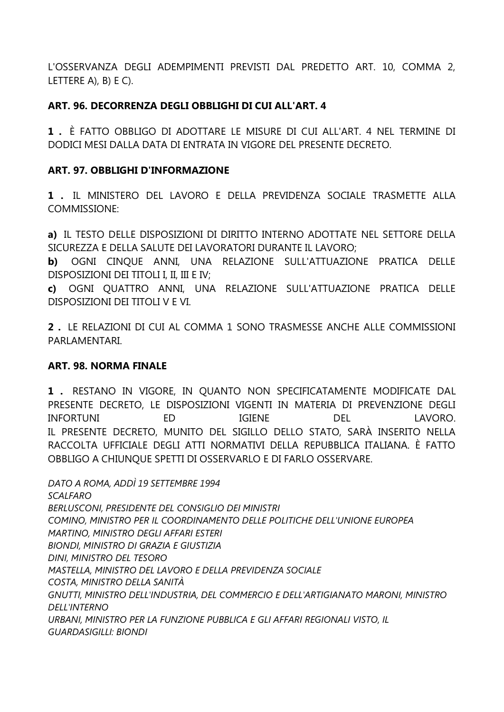L'OSSERVANZA DEGLI ADEMPIMENTI PREVISTI DAL PREDETTO ART. 10, COMMA 2, LETTERE A), B) E C).

#### **ART. 96. DECORRENZA DEGLI OBBLIGHI DI CUI ALL'ART. 4**

**1 .** È FATTO OBBLIGO DI ADOTTARE LE MISURE DI CUI ALL'ART. 4 NEL TERMINE DI DODICI MESI DALLA DATA DI ENTRATA IN VIGORE DEL PRESENTE DECRETO.

#### **ART. 97. OBBLIGHI D'INFORMAZIONE**

**1 .** IL MINISTERO DEL LAVORO E DELLA PREVIDENZA SOCIALE TRASMETTE ALLA COMMISSIONE:

**a)** IL TESTO DELLE DISPOSIZIONI DI DIRITTO INTERNO ADOTTATE NEL SETTORE DELLA SICUREZZA E DELLA SALUTE DEI LAVORATORI DURANTE IL LAVORO;

**b)** OGNI CINQUE ANNI, UNA RELAZIONE SULL'ATTUAZIONE PRATICA DELLE DISPOSIZIONI DEI TITOLI I, II, III E IV;

**c)** OGNI QUATTRO ANNI, UNA RELAZIONE SULL'ATTUAZIONE PRATICA DELLE DISPOSIZIONI DEI TITOLI V E VI.

**2 .** LE RELAZIONI DI CUI AL COMMA 1 SONO TRASMESSE ANCHE ALLE COMMISSIONI PARLAMENTARI.

#### **ART. 98. NORMA FINALE**

**1 .** RESTANO IN VIGORE, IN QUANTO NON SPECIFICATAMENTE MODIFICATE DAL PRESENTE DECRETO, LE DISPOSIZIONI VIGENTI IN MATERIA DI PREVENZIONE DEGLI INFORTUNI ED IGIENE DEL LAVORO. IL PRESENTE DECRETO, MUNITO DEL SIGILLO DELLO STATO, SARÀ INSERITO NELLA RACCOLTA UFFICIALE DEGLI ATTI NORMATIVI DELLA REPUBBLICA ITALIANA. È FATTO OBBLIGO A CHIUNQUE SPETTI DI OSSERVARLO E DI FARLO OSSERVARE.

*DATO A ROMA, ADDÌ 19 SETTEMBRE 1994 SCALFARO BERLUSCONI, PRESIDENTE DEL CONSIGLIO DEI MINISTRI COMINO, MINISTRO PER IL COORDINAMENTO DELLE POLITICHE DELL'UNIONE EUROPEA MARTINO, MINISTRO DEGLI AFFARI ESTERI BIONDI, MINISTRO DI GRAZIA E GIUSTIZIA DINI, MINISTRO DEL TESORO MASTELLA, MINISTRO DEL LAVORO E DELLA PREVIDENZA SOCIALE COSTA, MINISTRO DELLA SANITÀ GNUTTI, MINISTRO DELL'INDUSTRIA, DEL COMMERCIO E DELL'ARTIGIANATO MARONI, MINISTRO DELL'INTERNO URBANI, MINISTRO PER LA FUNZIONE PUBBLICA E GLI AFFARI REGIONALI VISTO, IL GUARDASIGILLI: BIONDI*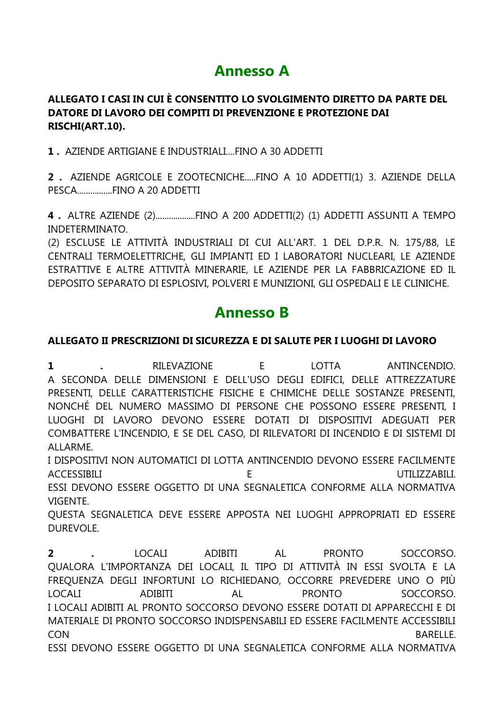# **Annesso A**

#### **ALLEGATO I CASI IN CUI È CONSENTITO LO SVOLGIMENTO DIRETTO DA PARTE DEL DATORE DI LAVORO DEI COMPITI DI PREVENZIONE E PROTEZIONE DAI RISCHI(ART.10).**

**1 .** AZIENDE ARTIGIANE E INDUSTRIALI....FINO A 30 ADDETTI

**2 .** AZIENDE AGRICOLE E ZOOTECNICHE.....FINO A 10 ADDETTI(1) 3. AZIENDE DELLA PESCA................FINO A 20 ADDETTI

**4 .** ALTRE AZIENDE (2)..................FINO A 200 ADDETTI(2) (1) ADDETTI ASSUNTI A TEMPO INDETERMINATO.

(2) ESCLUSE LE ATTIVITÀ INDUSTRIALI DI CUI ALL'ART. 1 DEL D.P.R. N. 175/88, LE CENTRALI TERMOELETTRICHE, GLI IMPIANTI ED I LABORATORI NUCLEARI, LE AZIENDE ESTRATTIVE E ALTRE ATTIVITÀ MINERARIE, LE AZIENDE PER LA FABBRICAZIONE ED IL DEPOSITO SEPARATO DI ESPLOSIVI, POLVERI E MUNIZIONI, GLI OSPEDALI E LE CLINICHE.

# **Annesso B**

#### **ALLEGATO II PRESCRIZIONI DI SICUREZZA E DI SALUTE PER I LUOGHI DI LAVORO**

**1 .** RILEVAZIONE E LOTTA ANTINCENDIO. A SECONDA DELLE DIMENSIONI E DELL'USO DEGLI EDIFICI, DELLE ATTREZZATURE PRESENTI, DELLE CARATTERISTICHE FISICHE E CHIMICHE DELLE SOSTANZE PRESENTI, NONCHÉ DEL NUMERO MASSIMO DI PERSONE CHE POSSONO ESSERE PRESENTI, I LUOGHI DI LAVORO DEVONO ESSERE DOTATI DI DISPOSITIVI ADEGUATI PER COMBATTERE L'INCENDIO, E SE DEL CASO, DI RILEVATORI DI INCENDIO E DI SISTEMI DI ALLARME.

I DISPOSITIVI NON AUTOMATICI DI LOTTA ANTINCENDIO DEVONO ESSERE FACILMENTE ACCESSIBILI E UTILIZZABILI.

ESSI DEVONO ESSERE OGGETTO DI UNA SEGNALETICA CONFORME ALLA NORMATIVA VIGENTE.

QUESTA SEGNALETICA DEVE ESSERE APPOSTA NEI LUOGHI APPROPRIATI ED ESSERE DUREVOLE.

**2 .** LOCALI ADIBITI AL PRONTO SOCCORSO. QUALORA L'IMPORTANZA DEI LOCALI, IL TIPO DI ATTIVITÀ IN ESSI SVOLTA E LA FREQUENZA DEGLI INFORTUNI LO RICHIEDANO, OCCORRE PREVEDERE UNO O PIÙ LOCALI ADIBITI AL PRONTO SOCCORSO. I LOCALI ADIBITI AL PRONTO SOCCORSO DEVONO ESSERE DOTATI DI APPARECCHI E DI MATERIALE DI PRONTO SOCCORSO INDISPENSABILI ED ESSERE FACILMENTE ACCESSIBILI CON BARELLE. ESSI DEVONO ESSERE OGGETTO DI UNA SEGNALETICA CONFORME ALLA NORMATIVA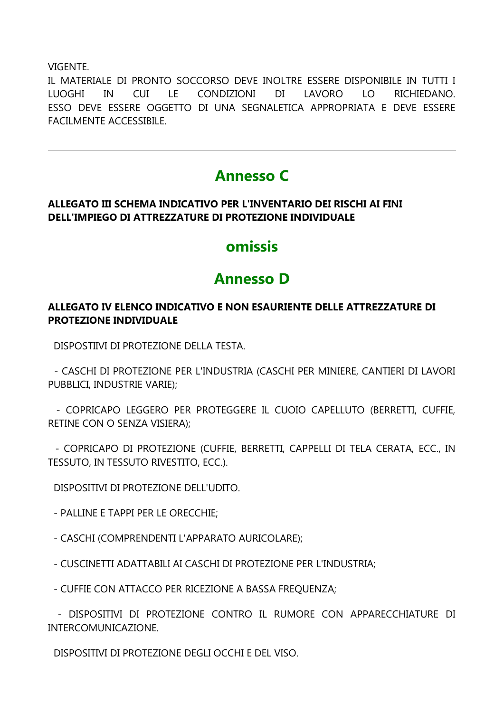VIGENTE.

IL MATERIALE DI PRONTO SOCCORSO DEVE INOLTRE ESSERE DISPONIBILE IN TUTTI I  $LE$ CONDIZIONI  $DI$ LUOGHI **IN** CUI LAVORO LO . RICHIEDANO. ESSO DEVE ESSERE OGGETTO DI UNA SEGNALETICA APPROPRIATA E DEVE ESSERE **FACILMENTE ACCESSIBILE.** 

# **Annesso C**

#### ALLEGATO III SCHEMA INDICATIVO PER L'INVENTARIO DEI RISCHI AI FINI DELL'IMPIEGO DI ATTREZZATURE DI PROTEZIONE INDIVIDUALE

# omissis

# **Annesso D**

#### ALLEGATO IV ELENCO INDICATIVO E NON ESAURIENTE DELLE ATTREZZATURE DI **PROTEZIONE INDIVIDUALE**

DISPOSTIIVI DI PROTEZIONE DELLA TESTA.

- CASCHI DI PROTEZIONE PER L'INDUSTRIA (CASCHI PER MINIERE, CANTIERI DI LAVORI PUBBLICI, INDUSTRIE VARIE):

- COPRICAPO LEGGERO PER PROTEGGERE IL CUOIO CAPELLUTO (BERRETTI, CUFFIE, RETINE CON O SENZA VISIERA);

- COPRICAPO DI PROTEZIONE (CUFFIE, BERRETTI, CAPPELLI DI TELA CERATA, ECC., IN TESSUTO, IN TESSUTO RIVESTITO, ECC.).

DISPOSITIVI DI PROTEZIONE DELL'UDITO.

- PALLINE E TAPPI PER LE ORECCHIE;

- CASCHI (COMPRENDENTI L'APPARATO AURICOLARE);
- CUSCINETTI ADATTABILI AI CASCHI DI PROTEZIONE PER L'INDUSTRIA;
- CUFFIE CON ATTACCO PER RICEZIONE A BASSA FREQUENZA;

- DISPOSITIVI DI PROTEZIONE CONTRO IL RUMORE CON APPARECCHIATURE DI INTERCOMUNICAZIONE.

DISPOSITIVI DI PROTEZIONE DEGLI OCCHI E DEL VISO.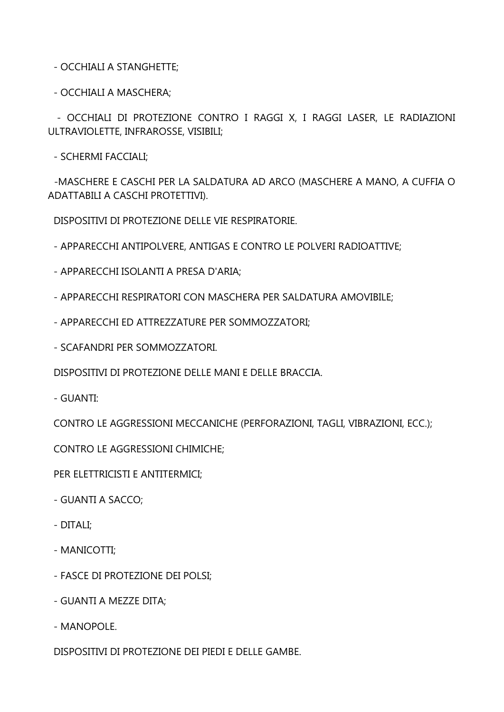- OCCHIALI A STANGHETTE;

- OCCHIALI A MASCHERA;

- OCCHIALI DI PROTEZIONE CONTRO I RAGGI X, I RAGGI LASER, LE RADIAZIONI ULTRAVIOLETTE, INFRAROSSE, VISIBILI;

- SCHERMI FACCIALI;

-MASCHERE E CASCHI PER LA SALDATURA AD ARCO (MASCHERE A MANO, A CUFFIA O ADATTABILI A CASCHI PROTETTIVI).

DISPOSITIVI DI PROTEZIONE DELLE VIE RESPIRATORIE.

- APPARECCHI ANTIPOLVERE, ANTIGAS E CONTRO LE POLVERI RADIOATTIVE;

- APPARECCHI ISOLANTI A PRESA D'ARIA;
- APPARECCHI RESPIRATORI CON MASCHERA PER SALDATURA AMOVIBILE;
- APPARECCHI ED ATTREZZATURE PER SOMMOZZATORI;
- SCAFANDRI PER SOMMOZZATORI.

DISPOSITIVI DI PROTEZIONE DELLE MANI E DELLE BRACCIA.

- GUANTI:

CONTRO LE AGGRESSIONI MECCANICHE (PERFORAZIONI, TAGLI, VIBRAZIONI, ECC.);

CONTRO LE AGGRESSIONI CHIMICHE;

PER ELETTRICISTI E ANTITERMICI;

- GUANTI A SACCO;
- DITALI;
- MANICOTTI;
- FASCE DI PROTEZIONE DEI POLSI;
- GUANTI A MEZZE DITA;
- MANOPOLE.

DISPOSITIVI DI PROTEZIONE DEI PIEDI E DELLE GAMBE.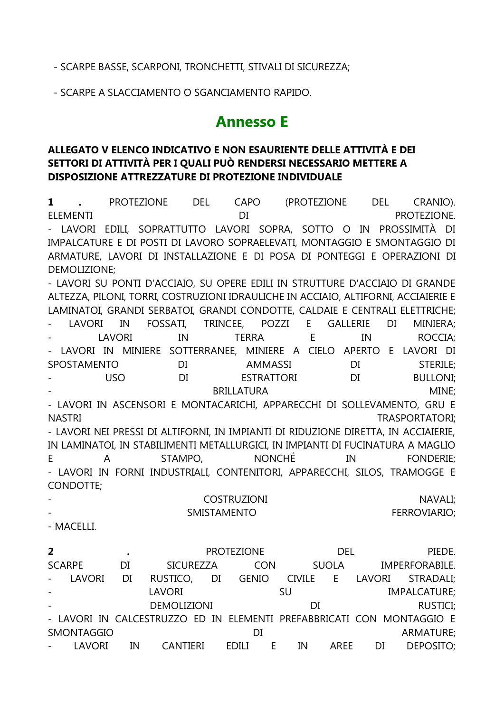#### - SCARPE BASSE, SCARPONI, TRONCHETTI, STIVALI DI SICUREZZA;

- SCARPE A SLACCIAMENTO O SGANCIAMENTO RAPIDO.

# **Annesso E**

#### **ALLEGATO V ELENCO INDICATIVO E NON ESAURIENTE DELLE ATTIVITÀ E DEI SETTORI DI ATTIVITÀ PER I QUALI PUÒ RENDERSI NECESSARIO METTERE A DISPOSIZIONE ATTREZZATURE DI PROTEZIONE INDIVIDUALE**

**1 .** PROTEZIONE DEL CAPO (PROTEZIONE DEL CRANIO). ELEMENTI DI PROTEZIONE. - LAVORI EDILI, SOPRATTUTTO LAVORI SOPRA, SOTTO O IN PROSSIMITÀ DI IMPALCATURE E DI POSTI DI LAVORO SOPRAELEVATI, MONTAGGIO E SMONTAGGIO DI ARMATURE, LAVORI DI INSTALLAZIONE E DI POSA DI PONTEGGI E OPERAZIONI DI DEMOLIZIONE; - LAVORI SU PONTI D'ACCIAIO, SU OPERE EDILI IN STRUTTURE D'ACCIAIO DI GRANDE ALTEZZA, PILONI, TORRI, COSTRUZIONI IDRAULICHE IN ACCIAIO, ALTIFORNI, ACCIAIERIE E LAMINATOI, GRANDI SERBATOI, GRANDI CONDOTTE, CALDAIE E CENTRALI ELETTRICHE; - LAVORI IN FOSSATI, TRINCEE, POZZI E GALLERIE DI MINIERA; - LAVORI IN TERRA E IN ROCCIA; LAVORI IN MINIERE SOTTERRANEE, MINIERE A CIELO APERTO E LAVORI DI SPOSTAMENTO DI AMMASSI DI STERILE; - USO DI ESTRATTORI DI BULLONI; BRILLATURA MINE: - LAVORI IN ASCENSORI E MONTACARICHI, APPARECCHI DI SOLLEVAMENTO, GRU E NASTRI NASTRI UN STRASPORTATORI; IN STRASPORTATORI; IN STRASPORTATORI; IN STRASPORTATORI; IN STRASPORTATORI; I - LAVORI NEI PRESSI DI ALTIFORNI, IN IMPIANTI DI RIDUZIONE DIRETTA, IN ACCIAIERIE, IN LAMINATOI, IN STABILIMENTI METALLURGICI, IN IMPIANTI DI FUCINATURA A MAGLIO E A STAMPO, NONCHÉ IN FONDERIE; - LAVORI IN FORNI INDUSTRIALI, CONTENITORI, APPARECCHI, SILOS, TRAMOGGE E CONDOTTE; - COSTRUZIONI NAVALI; SMISTAMENTO FERROVIARIO; - MACELLI. **2 .** PROTEZIONE DEL PIEDE. SCARPE DI SICUREZZA CON SUOLA IMPERFORABILE. - LAVORI DI RUSTICO, DI GENIO CIVILE E LAVORI STRADALI; - LAVORI SU IMPALCATURE; DEMOLIZIONI DI DI RUSTICI: - LAVORI IN CALCESTRUZZO ED IN ELEMENTI PREFABBRICATI CON MONTAGGIO E SMONTAGGIO DI DI ARMATURE; - LAVORI IN CANTIERI EDILI E IN AREE DI DEPOSITO;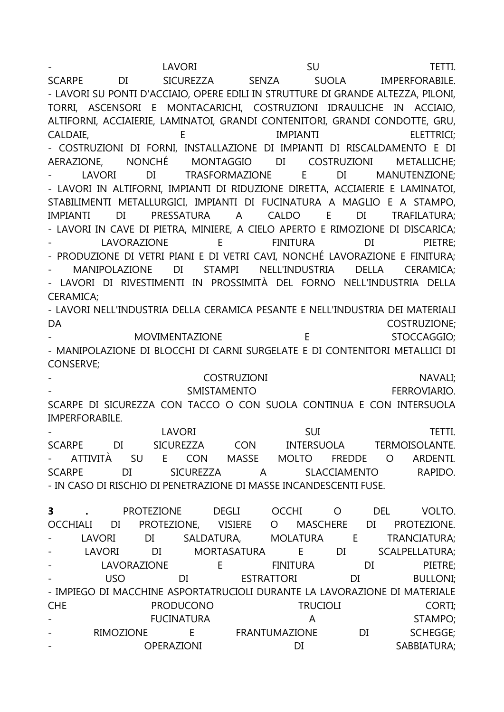- LAVORI SU TETTI. SCARPE DI SICUREZZA SENZA SUOLA IMPERFORABILE. - LAVORI SU PONTI D'ACCIAIO, OPERE EDILI IN STRUTTURE DI GRANDE ALTEZZA, PILONI, TORRI, ASCENSORI E MONTACARICHI, COSTRUZIONI IDRAULICHE IN ACCIAIO, ALTIFORNI, ACCIAIERIE, LAMINATOI, GRANDI CONTENITORI, GRANDI CONDOTTE, GRU, CALDAIE, E IMPIANTI ELETTRICI; - COSTRUZIONI DI FORNI, INSTALLAZIONE DI IMPIANTI DI RISCALDAMENTO E DI AERAZIONE, NONCHÉ MONTAGGIO DI COSTRUZIONI METALLICHE; LAVORI DI TRASFORMAZIONE E DI MANUTENZIONE: - LAVORI IN ALTIFORNI, IMPIANTI DI RIDUZIONE DIRETTA, ACCIAIERIE E LAMINATOI, STABILIMENTI METALLURGICI, IMPIANTI DI FUCINATURA A MAGLIO E A STAMPO, IMPIANTI DI PRESSATURA A CALDO E DI TRAFILATURA; - LAVORI IN CAVE DI PIETRA, MINIERE, A CIELO APERTO E RIMOZIONE DI DISCARICA; - LAVORAZIONE E FINITURA DI PIETRE; - PRODUZIONE DI VETRI PIANI E DI VETRI CAVI, NONCHÉ LAVORAZIONE E FINITURA; - MANIPOLAZIONE DI STAMPI NELL'INDUSTRIA DELLA CERAMICA; - LAVORI DI RIVESTIMENTI IN PROSSIMITÀ DEL FORNO NELL'INDUSTRIA DELLA CERAMICA; - LAVORI NELL'INDUSTRIA DELLA CERAMICA PESANTE E NELL'INDUSTRIA DEI MATERIALI DA COSTRUZIONE; - MOVIMENTAZIONE E STOCCAGGIO; - MANIPOLAZIONE DI BLOCCHI DI CARNI SURGELATE E DI CONTENITORI METALLICI DI CONSERVE; - COSTRUZIONI NAVALI; SMISTAMENTO FERROVIARIO. SCARPE DI SICUREZZA CON TACCO O CON SUOLA CONTINUA E CON INTERSUOLA IMPERFORABILE. - LAVORI SUI TETTI. SCARPE DI SICUREZZA CON INTERSUOLA TERMOISOLANTE. - ATTIVITÀ SU E CON MASSE MOLTO FREDDE O ARDENTI. SCARPE DI SICUREZZA A SLACCIAMENTO RAPIDO. - IN CASO DI RISCHIO DI PENETRAZIONE DI MASSE INCANDESCENTI FUSE.

**3 .** PROTEZIONE DEGLI OCCHI O DEL VOLTO. OCCHIALI DI PROTEZIONE, VISIERE O MASCHERE DI PROTEZIONE. LAVORI DI SALDATURA, MOLATURA E TRANCIATURA; - LAVORI DI MORTASATURA E DI SCALPELLATURA; LAVORAZIONE E FINITURA DI PIETRE: - USO DI ESTRATTORI DI BULLONI; - IMPIEGO DI MACCHINE ASPORTATRUCIOLI DURANTE LA LAVORAZIONE DI MATERIALE CHE PRODUCONO TRUCIOLI CORTI; FUCINATURA A A STAMPO: - RIMOZIONE E FRANTUMAZIONE DI SCHEGGE; - OPERAZIONI DI SABBIATURA;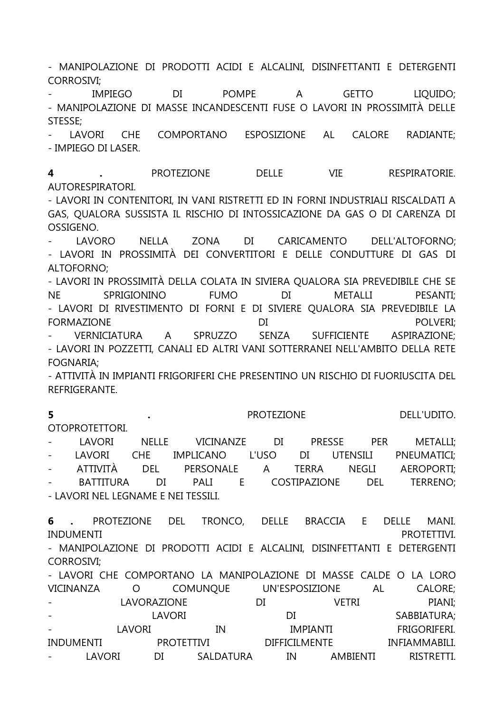- MANIPOLAZIONE DI PRODOTTI ACIDI E ALCALINI, DISINFETTANTI E DETERGENTI CORROSIVI;

- IMPIEGO DI POMPE A GETTO LIQUIDO; - MANIPOLAZIONE DI MASSE INCANDESCENTI FUSE O LAVORI IN PROSSIMITÀ DELLE STESSE;

LAVORI CHE COMPORTANO ESPOSIZIONE AL CALORE RADIANTE: - IMPIEGO DI LASER.

**4 .** PROTEZIONE DELLE VIE RESPIRATORIE. AUTORESPIRATORI.

- LAVORI IN CONTENITORI, IN VANI RISTRETTI ED IN FORNI INDUSTRIALI RISCALDATI A GAS, QUALORA SUSSISTA IL RISCHIO DI INTOSSICAZIONE DA GAS O DI CARENZA DI OSSIGENO.

LAVORO NELLA ZONA DI CARICAMENTO DELL'ALTOFORNO; - LAVORI IN PROSSIMITÀ DEI CONVERTITORI E DELLE CONDUTTURE DI GAS DI ALTOFORNO;

- LAVORI IN PROSSIMITÀ DELLA COLATA IN SIVIERA QUALORA SIA PREVEDIBILE CHE SE NE SPRIGIONINO FUMO DI METALLI PESANTI; - LAVORI DI RIVESTIMENTO DI FORNI E DI SIVIERE QUALORA SIA PREVEDIBILE LA FORMAZIONE DI POLVERI; - VERNICIATURA A SPRUZZO SENZA SUFFICIENTE ASPIRAZIONE; - LAVORI IN POZZETTI, CANALI ED ALTRI VANI SOTTERRANEI NELL'AMBITO DELLA RETE FOGNARIA;

- ATTIVITÀ IN IMPIANTI FRIGORIFERI CHE PRESENTINO UN RISCHIO DI FUORIUSCITA DEL REFRIGERANTE.

**5 .** PROTEZIONE DELL'UDITO. OTOPROTETTORI.

- LAVORI NELLE VICINANZE DI PRESSE PER METALLI; - LAVORI CHE IMPLICANO L'USO DI UTENSILI PNEUMATICI; - ATTIVITÀ DEL PERSONALE A TERRA NEGLI AEROPORTI; BATTITURA DI PALI E COSTIPAZIONE DEL TERRENO; - LAVORI NEL LEGNAME E NEI TESSILI.

**6 .** PROTEZIONE DEL TRONCO, DELLE BRACCIA E DELLE MANI. INDUMENTI PROTETTIVI. - MANIPOLAZIONE DI PRODOTTI ACIDI E ALCALINI, DISINFETTANTI E DETERGENTI CORROSIVI; - LAVORI CHE COMPORTANO LA MANIPOLAZIONE DI MASSE CALDE O LA LORO VICINANZA O COMUNQUE UN'ESPOSIZIONE AL CALORE;

- LAVORAZIONE DI VETRI PIANI; LAVORI DI SABBIATURA; - LAVORI IN IMPIANTI FRIGORIFERI. INDUMENTI PROTETTIVI DIFFICILMENTE INFIAMMABILI. - LAVORI DI SALDATURA IN AMBIENTI RISTRETTI.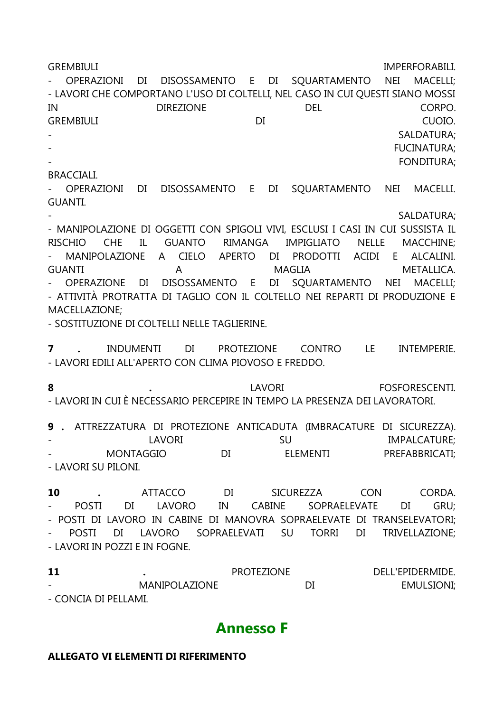GREMBIULI IMPERFORABILI. - OPERAZIONI DI DISOSSAMENTO E DI SQUARTAMENTO NEI MACELLI; - LAVORI CHE COMPORTANO L'USO DI COLTELLI, NEL CASO IN CUI QUESTI SIANO MOSSI IN DIREZIONE DEL CORPO. GREMBIULI DI CUOIO. SALDATURA; FUCINATURA; FONDITURA;

#### BRACCIALI.

- OPERAZIONI DI DISOSSAMENTO E DI SQUARTAMENTO NEI MACELLI. GUANTI.

SALDATURA:

- MANIPOLAZIONE DI OGGETTI CON SPIGOLI VIVI, ESCLUSI I CASI IN CUI SUSSISTA IL RISCHIO CHE IL GUANTO RIMANGA IMPIGLIATO NELLE MACCHINE; - MANIPOLAZIONE A CIELO APERTO DI PRODOTTI ACIDI E ALCALINI. GUANTI A MAGLIA METALLICA. - OPERAZIONE DI DISOSSAMENTO E DI SQUARTAMENTO NEI MACELLI; - ATTIVITÀ PROTRATTA DI TAGLIO CON IL COLTELLO NEI REPARTI DI PRODUZIONE E MACELLAZIONE;

- SOSTITUZIONE DI COLTELLI NELLE TAGLIERINE.

**7 .** INDUMENTI DI PROTEZIONE CONTRO LE INTEMPERIE. - LAVORI EDILI ALL'APERTO CON CLIMA PIOVOSO E FREDDO.

**8 .** LAVORI FOSFORESCENTI. - LAVORI IN CUI È NECESSARIO PERCEPIRE IN TEMPO LA PRESENZA DEI LAVORATORI.

**9 .** ATTREZZATURA DI PROTEZIONE ANTICADUTA (IMBRACATURE DI SICUREZZA). - LAVORI SU SU IMPALCATURE: - MONTAGGIO DI ELEMENTI PREFABBRICATI; - LAVORI SU PILONI.

**10 .** ATTACCO DI SICUREZZA CON CORDA. - POSTI DI LAVORO IN CABINE SOPRAELEVATE DI GRU; - POSTI DI LAVORO IN CABINE DI MANOVRA SOPRAELEVATE DI TRANSELEVATORI; - POSTI DI LAVORO SOPRAELEVATI SU TORRI DI TRIVELLAZIONE; - LAVORI IN POZZI E IN FOGNE.

**11 .** PROTEZIONE DELL'EPIDERMIDE. MANIPOLAZIONE DI EMULSIONI; - CONCIA DI PELLAMI.

### **Annesso F**

#### **ALLEGATO VI ELEMENTI DI RIFERIMENTO**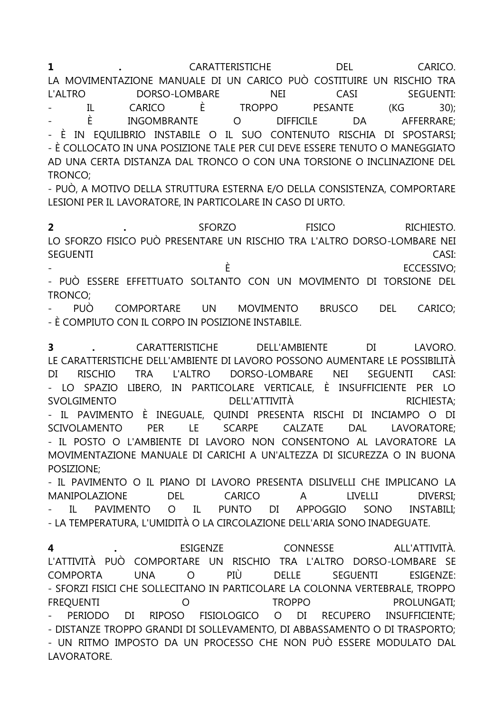**1 .** CARATTERISTICHE DEL CARICO. LA MOVIMENTAZIONE MANUALE DI UN CARICO PUÒ COSTITUIRE UN RISCHIO TRA L'ALTRO DORSO-LOMBARE NEI CASI SEGUENTI: - IL CARICO È TROPPO PESANTE (KG 30); - È INGOMBRANTE O DIFFICILE DA AFFERRARE; - È IN EQUILIBRIO INSTABILE O IL SUO CONTENUTO RISCHIA DI SPOSTARSI; - È COLLOCATO IN UNA POSIZIONE TALE PER CUI DEVE ESSERE TENUTO O MANEGGIATO AD UNA CERTA DISTANZA DAL TRONCO O CON UNA TORSIONE O INCLINAZIONE DEL TRONCO;

- PUÒ, A MOTIVO DELLA STRUTTURA ESTERNA E/O DELLA CONSISTENZA, COMPORTARE LESIONI PER IL LAVORATORE, IN PARTICOLARE IN CASO DI URTO.

**2 .** SFORZO FISICO RICHIESTO. LO SFORZO FISICO PUÒ PRESENTARE UN RISCHIO TRA L'ALTRO DORSO-LOMBARE NEI SEGUENTI CASI:  $\dot{E}$  ECCESSIVO:

- PUÒ ESSERE EFFETTUATO SOLTANTO CON UN MOVIMENTO DI TORSIONE DEL TRONCO;

- PUÒ COMPORTARE UN MOVIMENTO BRUSCO DEL CARICO; - È COMPIUTO CON IL CORPO IN POSIZIONE INSTABILE.

**3 .** CARATTERISTICHE DELL'AMBIENTE DI LAVORO. LE CARATTERISTICHE DELL'AMBIENTE DI LAVORO POSSONO AUMENTARE LE POSSIBILITÀ DI RISCHIO TRA L'ALTRO DORSO-LOMBARE NEI SEGUENTI CASI: - LO SPAZIO LIBERO, IN PARTICOLARE VERTICALE, È INSUFFICIENTE PER LO SVOLGIMENTO DELL'ATTIVITÀ RICHIESTA; - IL PAVIMENTO È INEGUALE, QUINDI PRESENTA RISCHI DI INCIAMPO O DI SCIVOLAMENTO PER LE SCARPE CALZATE DAL LAVORATORE; - IL POSTO O L'AMBIENTE DI LAVORO NON CONSENTONO AL LAVORATORE LA MOVIMENTAZIONE MANUALE DI CARICHI A UN'ALTEZZA DI SICUREZZA O IN BUONA POSIZIONE;

- IL PAVIMENTO O IL PIANO DI LAVORO PRESENTA DISLIVELLI CHE IMPLICANO LA MANIPOLAZIONE DEL CARICO A LIVELLI DIVERSI; IL PAVIMENTO O IL PUNTO DI APPOGGIO SONO INSTABILI: - LA TEMPERATURA, L'UMIDITÀ O LA CIRCOLAZIONE DELL'ARIA SONO INADEGUATE.

**4 .** ESIGENZE CONNESSE ALL'ATTIVITÀ. L'ATTIVITÀ PUÒ COMPORTARE UN RISCHIO TRA L'ALTRO DORSO-LOMBARE SE COMPORTA UNA O PIÙ DELLE SEGUENTI ESIGENZE: - SFORZI FISICI CHE SOLLECITANO IN PARTICOLARE LA COLONNA VERTEBRALE, TROPPO FREQUENTI O TROPPO PROLUNGATI; - PERIODO DI RIPOSO FISIOLOGICO O DI RECUPERO INSUFFICIENTE; - DISTANZE TROPPO GRANDI DI SOLLEVAMENTO, DI ABBASSAMENTO O DI TRASPORTO; - UN RITMO IMPOSTO DA UN PROCESSO CHE NON PUÒ ESSERE MODULATO DAL LAVORATORE.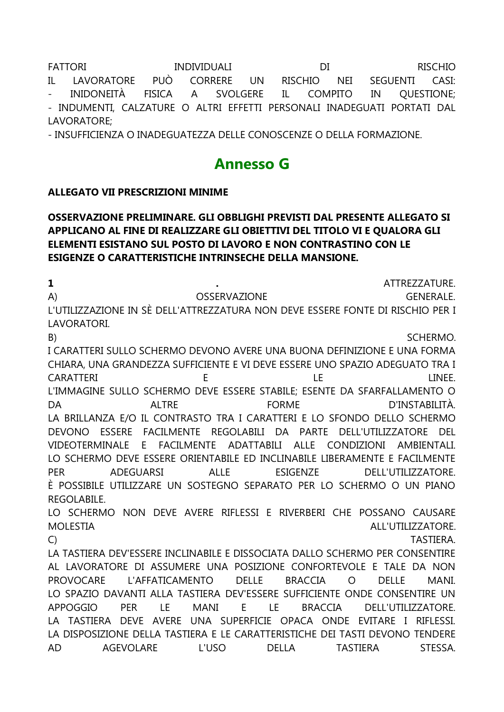**FATTORI** INDIVIDUALI  $DI$ **RISCHIO**  $IL$ LAVORATORE **PUÒ** CORRERE **UN RISCHIO NET** CASI: **SEGUENTI** INIDONEITÀ **FISICA**  $\overline{A}$ **SVOLGERE** COMPITO  $IL$ QUESTIONE; IN - INDUMENTI, CALZATURE O ALTRI EFFETTI PERSONALI INADEGUATI PORTATI DAL LAVORATORE;

- INSUFFICIENZA O INADEGUATEZZA DELLE CONOSCENZE O DELLA FORMAZIONE.

## **Annesso G**

#### **ALLEGATO VII PRESCRIZIONI MINIME**

#### OSSERVAZIONE PRELIMINARE. GLI OBBLIGHI PREVISTI DAL PRESENTE ALLEGATO SI APPLICANO AL FINE DI REALIZZARE GLI OBIETTIVI DEL TITOLO VI E QUALORA GLI ELEMENTI ESISTANO SUL POSTO DI LAVORO E NON CONTRASTINO CON LE **ESIGENZE O CARATTERISTICHE INTRINSECHE DELLA MANSIONE.**

 $\mathbf{1}$ ATTREZZATURE.  $(A)$ OSSERVAZIONE **GENERALE** L'UTILIZZAZIONE IN SÈ DELL'ATTREZZATURA NON DEVE ESSERE FONTE DI RISCHIO PER I LAVORATORI. SCHERMO.  $B)$ I CARATTERI SULLO SCHERMO DEVONO AVERE UNA BUONA DEFINIZIONE E UNA FORMA CHIARA, UNA GRANDEZZA SUFFICIENTE E VI DEVE ESSERE UNO SPAZIO ADEGUATO TRA I CARATTERI F LF. **I INFF** L'IMMAGINE SULLO SCHERMO DEVE ESSERE STABILE; ESENTE DA SFARFALLAMENTO O **DA ALTRE FORME** D'INSTABILITÀ. LA BRILLANZA E/O IL CONTRASTO TRA I CARATTERI E LO SFONDO DELLO SCHERMO DEVONO ESSERE FACILMENTE REGOLABILI DA PARTE DELL'UTILIZZATORE DEL VIDEOTERMINALE E FACILMENTE ADATTABILI ALLE CONDIZIONI AMBIENTALI. LO SCHERMO DEVE ESSERE ORIENTABILE ED INCLINABILE LIBERAMENTE E FACILMENTE **PFR** ADEGUARSI **ALLE ESIGENZE** DELL'UTILIZZATORE. È POSSIBILE UTILIZZARE UN SOSTEGNO SEPARATO PER LO SCHERMO O UN PIANO **REGOLABILE** LO SCHERMO NON DEVE AVERE RIFLESSI E RIVERBERI CHE POSSANO CAUSARE **MOLESTIA** ALL'UTILIZZATORE.  $\mathsf{C}$ **TASTIERA.** LA TASTIERA DEV'ESSERE INCLINABILE E DISSOCIATA DALLO SCHERMO PER CONSENTIRE AL LAVORATORE DI ASSUMERE UNA POSIZIONE CONFORTEVOLE E TALE DA NON **PROVOCARE** L'AFFATICAMENTO **DELLE BRACCIA**  $\Omega$ **DELLE MANI** LO SPAZIO DAVANTI ALLA TASTIERA DEV'ESSERE SUFFICIENTE ONDE CONSENTIRE UN LE.  $E$ **APPOGGIO PER** MANI LE. **BRACCIA** DELL'UTILIZZATORE. LA TASTIERA DEVE AVERE UNA SUPERFICIE OPACA ONDE EVITARE I RIFLESSI. LA DISPOSIZIONE DELLA TASTIERA E LE CARATTERISTICHE DEI TASTI DEVONO TENDERE **AD** AGEVOLARE L'USO **DELLA TASTIERA** STESSA.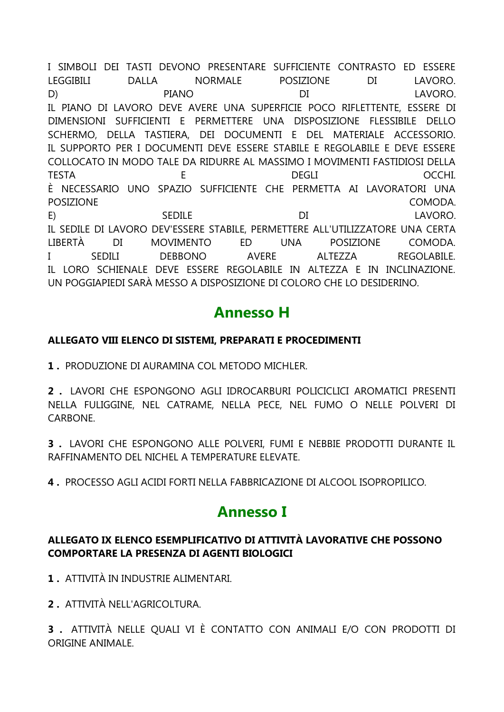I SIMBOLI DEI TASTI DEVONO PRESENTARE SUFFICIENTE CONTRASTO ED ESSERE LEGGIBILI DALLA NORMALE POSIZIONE DI LAVORO. D) PIANO DI LAVORO. IL PIANO DI LAVORO DEVE AVERE UNA SUPERFICIE POCO RIFLETTENTE, ESSERE DI DIMENSIONI SUFFICIENTI E PERMETTERE UNA DISPOSIZIONE FLESSIBILE DELLO SCHERMO, DELLA TASTIERA, DEI DOCUMENTI E DEL MATERIALE ACCESSORIO. IL SUPPORTO PER I DOCUMENTI DEVE ESSERE STABILE E REGOLABILE E DEVE ESSERE COLLOCATO IN MODO TALE DA RIDURRE AL MASSIMO I MOVIMENTI FASTIDIOSI DELLA TESTA E DEGLI OCCHI. È NECESSARIO UNO SPAZIO SUFFICIENTE CHE PERMETTA AI LAVORATORI UNA POSIZIONE COMODA. E) SEDILE DI LAVORO. IL SEDILE DI LAVORO DEV'ESSERE STABILE, PERMETTERE ALL'UTILIZZATORE UNA CERTA LIBERTÀ DI MOVIMENTO ED UNA POSIZIONE COMODA. I SEDILI DEBBONO AVERE ALTEZZA REGOLABILE. IL LORO SCHIENALE DEVE ESSERE REGOLABILE IN ALTEZZA E IN INCLINAZIONE. UN POGGIAPIEDI SARÀ MESSO A DISPOSIZIONE DI COLORO CHE LO DESIDERINO.

# **Annesso H**

### **ALLEGATO VIII ELENCO DI SISTEMI, PREPARATI E PROCEDIMENTI**

**1 .** PRODUZIONE DI AURAMINA COL METODO MICHLER.

**2 .** LAVORI CHE ESPONGONO AGLI IDROCARBURI POLICICLICI AROMATICI PRESENTI NELLA FULIGGINE, NEL CATRAME, NELLA PECE, NEL FUMO O NELLE POLVERI DI **CARBONE** 

**3 .** LAVORI CHE ESPONGONO ALLE POLVERI, FUMI E NEBBIE PRODOTTI DURANTE IL RAFFINAMENTO DEL NICHEL A TEMPERATURE ELEVATE.

**4 .** PROCESSO AGLI ACIDI FORTI NELLA FABBRICAZIONE DI ALCOOL ISOPROPILICO.

### **Annesso I**

### **ALLEGATO IX ELENCO ESEMPLIFICATIVO DI ATTIVITÀ LAVORATIVE CHE POSSONO COMPORTARE LA PRESENZA DI AGENTI BIOLOGICI**

**1 .** ATTIVITÀ IN INDUSTRIE ALIMENTARI.

**2 .** ATTIVITÀ NELL'AGRICOLTURA.

**3 .** ATTIVITÀ NELLE QUALI VI È CONTATTO CON ANIMALI E/O CON PRODOTTI DI ORIGINE ANIMALE.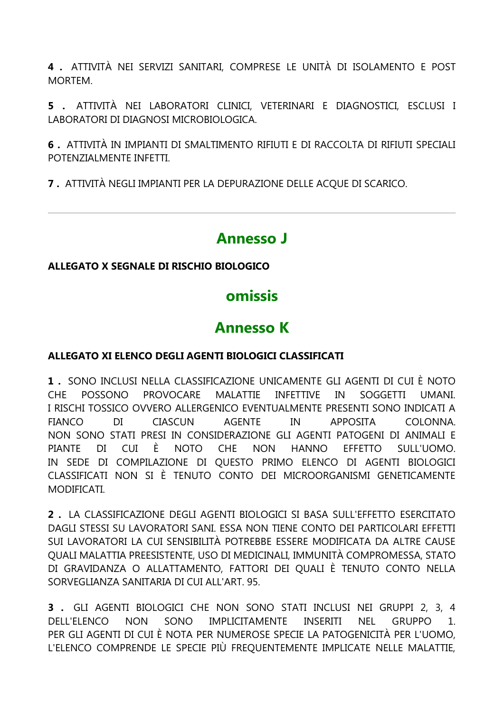4. ATTIVITÀ NEI SERVIZI SANITARI, COMPRESE LE UNITÀ DI ISOLAMENTO E POST MORTEM.

5 . ATTIVITÀ NEI LABORATORI CLINICI, VETERINARI E DIAGNOSTICI, ESCLUSI I LABORATORI DI DIAGNOSI MICROBIOLOGICA.

6. ATTIVITÀ IN IMPIANTI DI SMALTIMENTO RIFIUTI E DI RACCOLTA DI RIFIUTI SPECIALI POTENZIALMENTE INFETTI.

7. ATTIVITÀ NEGLI IMPIANTI PER LA DEPURAZIONE DELLE ACOUE DI SCARICO.

## **Annesso J**

### ALLEGATO X SEGNALE DI RISCHIO BIOLOGICO

## omissis

# **Annesso K**

### ALLEGATO XI ELENCO DEGLI AGENTI BIOLOGICI CLASSIFICATI

1. SONO INCLUSI NELLA CLASSIFICAZIONE UNICAMENTE GLI AGENTI DI CUI È NOTO  $CHF$ POSSONO PROVOCARE MALATTIE INFETTIVE IN SOGGETTI **UMANI** I RISCHI TOSSICO OVVERO ALLERGENICO EVENTUALMENTE PRESENTI SONO INDICATI A CIASCUN AGENTE **FIANCO**  $DI$ **IN APPOSITA** COLONNA. NON SONO STATI PRESI IN CONSIDERAZIONE GLI AGENTI PATOGENI DI ANIMALI E PIANTE DI CUI È NOTO CHE NON HANNO EFFETTO SULL'UOMO. IN SEDE DI COMPILAZIONE DI QUESTO PRIMO ELENCO DI AGENTI BIOLOGICI CLASSIFICATI NON SI È TENUTO CONTO DEI MICROORGANISMI GENETICAMENTE **MODIFICATI** 

2. LA CLASSIFICAZIONE DEGLI AGENTI BIOLOGICI SI BASA SULL'EFFETTO ESERCITATO DAGLI STESSI SU LAVORATORI SANI. ESSA NON TIENE CONTO DEI PARTICOLARI EFFETTI SUI LAVORATORI LA CUI SENSIBILITÀ POTREBBE ESSERE MODIFICATA DA ALTRE CAUSE OUALI MALATTIA PREESISTENTE, USO DI MEDICINALI, IMMUNITÀ COMPROMESSA, STATO DI GRAVIDANZA O ALLATTAMENTO, FATTORI DEI QUALI È TENUTO CONTO NELLA SORVEGLIANZA SANITARIA DI CUI ALL'ART. 95.

3 . GLI AGENTI BIOLOGICI CHE NON SONO STATI INCLUSI NEI GRUPPI 2, 3, 4 SONO IMPLICITAMENTE **INSERITI NEL** DELL'ELENCO **NON** GRUPPO  $\mathbf{1}$ PER GLI AGENTI DI CUI È NOTA PER NUMEROSE SPECIE LA PATOGENICITÀ PER L'UOMO. L'ELENCO COMPRENDE LE SPECIE PIÙ FREQUENTEMENTE IMPLICATE NELLE MALATTIE,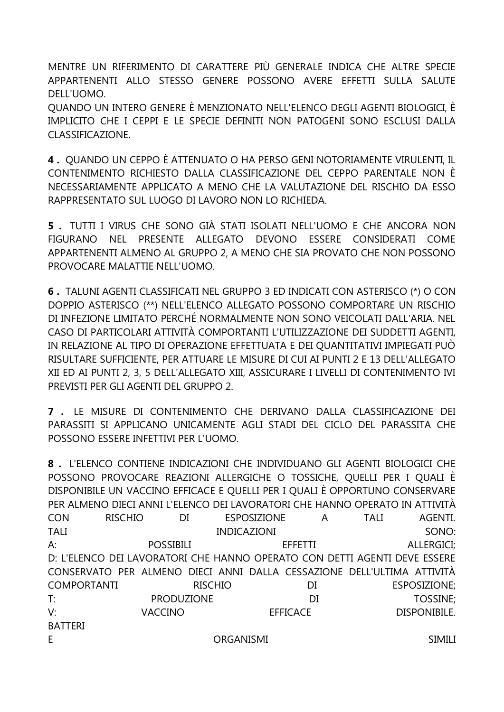MENTRE UN RIFERIMENTO DI CARATTERE PIÙ GENERALE INDICA CHE ALTRE SPECIE APPARTENENTI ALLO STESSO GENERE POSSONO AVERE EFFETTI SULLA SALUTE DELL'UOMO.

OUANDO UN INTERO GENERE È MENZIONATO NELL'ELENCO DEGLI AGENTI BIOLOGICI. È IMPLICITO CHE I CEPPI E LE SPECIE DEFINITI NON PATOGENI SONO ESCLUSI DALLA CLASSIFICAZIONE.

4. QUANDO UN CEPPO È ATTENUATO O HA PERSO GENI NOTORIAMENTE VIRULENTI, IL CONTENIMENTO RICHIESTO DALLA CLASSIFICAZIONE DEL CEPPO PARENTALE NON È NECESSARIAMENTE APPLICATO A MENO CHE LA VALUTAZIONE DEL RISCHIO DA ESSO RAPPRESENTATO SUL LUOGO DI LAVORO NON LO RICHIEDA.

5. TUTTI I VIRUS CHE SONO GIÀ STATI ISOLATI NELL'UOMO E CHE ANCORA NON FIGURANO NEL PRESENTE ALLEGATO DEVONO ESSERE CONSIDERATI COME APPARTENENTI ALMENO AL GRUPPO 2, A MENO CHE SIA PROVATO CHE NON POSSONO PROVOCARE MALATTIE NELL'UOMO.

6. TALUNI AGENTI CLASSIFICATI NEL GRUPPO 3 ED INDICATI CON ASTERISCO (\*) O CON DOPPIO ASTERISCO (\*\*) NELL'ELENCO ALLEGATO POSSONO COMPORTARE UN RISCHIO DI INFEZIONE LIMITATO PERCHÉ NORMALMENTE NON SONO VEICOLATI DALL'ARIA. NEL CASO DI PARTICOLARI ATTIVITÀ COMPORTANTI L'UTILIZZAZIONE DEI SUDDETTI AGENTI, IN RELAZIONE AL TIPO DI OPERAZIONE EFFETTUATA E DEI QUANTITATIVI IMPIEGATI PUÒ RISULTARE SUFFICIENTE, PER ATTUARE LE MISURE DI CUI AI PUNTI 2 E 13 DELL'ALLEGATO XII ED AI PUNTI 2, 3, 5 DELL'ALLEGATO XIII, ASSICURARE I LIVELLI DI CONTENIMENTO IVI PREVISTI PER GLI AGENTI DEL GRUPPO 2

7. LE MISURE DI CONTENIMENTO CHE DERIVANO DALLA CLASSIFICAZIONE DEI PARASSITI SI APPLICANO UNICAMENTE AGLI STADI DEL CICLO DEL PARASSITA CHE POSSONO ESSERE INFETTIVI PER L'UOMO.

8. L'ELENCO CONTIENE INDICAZIONI CHE INDIVIDUANO GLI AGENTI BIOLOGICI CHE POSSONO PROVOCARE REAZIONI ALLERGICHE O TOSSICHE, QUELLI PER I QUALI È DISPONIBILE UN VACCINO EFFICACE E QUELLI PER I QUALI È OPPORTUNO CONSERVARE PER ALMENO DIECI ANNI L'ELENCO DEI LAVORATORI CHE HANNO OPERATO IN ATTIVITÀ CON **RISCHIO FSPOSIZIONE TAII**  $DI$  $\mathsf{A}$ **AGFNTI TALI INDICAZIONI** SONO:  $\mathsf{A}^{\mathsf{.}}$ **POSSIBILI FFFFTTI ALLERGICI:** D: L'ELENCO DEI LAVORATORI CHE HANNO OPERATO CON DETTI AGENTI DEVE ESSERE CONSERVATO PER ALMENO DIECI ANNI DALLA CESSAZIONE DELL'ULTIMA ATTIVITÀ **COMPORTANTI RISCHIO**  $DI$ ESPOSIZIONE;  $T^*$ **PRODUZIONE**  $DI$ **TOSSINE:**  $V^{\cdot}$ DISPONIBILE. **VACCINO EFFICACE BATTERI** ORGANISMI F. **SIMILI**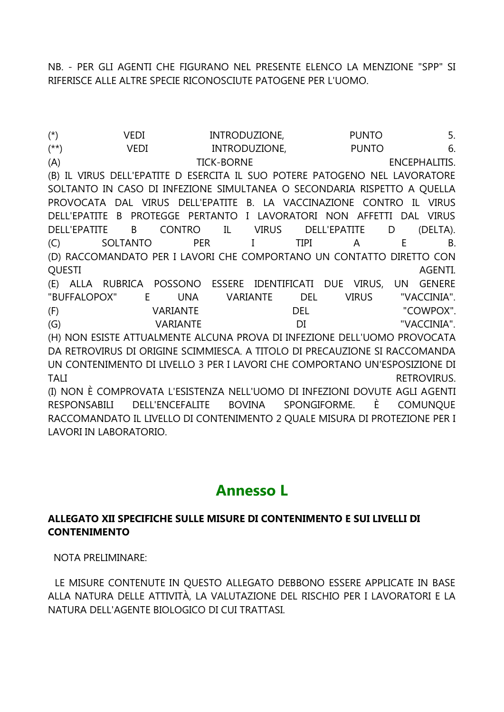NB. - PER GLI AGENTI CHE FIGURANO NEL PRESENTE ELENCO LA MENZIONE "SPP" SI RIFERISCE ALLE ALTRE SPECIE RICONOSCIUTE PATOGENE PER L'UOMO.

(\*) VEDI INTRODUZIONE, PUNTO 5. (\*\*) VEDI INTRODUZIONE, PUNTO 6. (A) TICK-BORNE ENCEPHALITIS. (B) IL VIRUS DELL'EPATITE D ESERCITA IL SUO POTERE PATOGENO NEL LAVORATORE SOLTANTO IN CASO DI INFEZIONE SIMULTANEA O SECONDARIA RISPETTO A QUELLA PROVOCATA DAL VIRUS DELL'EPATITE B. LA VACCINAZIONE CONTRO IL VIRUS DELL'EPATITE B PROTEGGE PERTANTO I LAVORATORI NON AFFETTI DAL VIRUS DELL'EPATITE B CONTRO IL VIRUS DELL'EPATITE D (DELTA). (C) SOLTANTO PER I TIPI A E B. (D) RACCOMANDATO PER I LAVORI CHE COMPORTANO UN CONTATTO DIRETTO CON QUESTI AGENTI. (E) ALLA RUBRICA POSSONO ESSERE IDENTIFICATI DUE VIRUS, UN GENERE "BUFFALOPOX" E UNA VARIANTE DEL VIRUS "VACCINIA". (F) VARIANTE DEL "COWPOX". (G) VARIANTE DI "VACCINIA". (H) NON ESISTE ATTUALMENTE ALCUNA PROVA DI INFEZIONE DELL'UOMO PROVOCATA DA RETROVIRUS DI ORIGINE SCIMMIESCA. A TITOLO DI PRECAUZIONE SI RACCOMANDA UN CONTENIMENTO DI LIVELLO 3 PER I LAVORI CHE COMPORTANO UN'ESPOSIZIONE DI TALI RETROVIRUS. (I) NON È COMPROVATA L'ESISTENZA NELL'UOMO DI INFEZIONI DOVUTE AGLI AGENTI RESPONSABILI DELL'ENCEFALITE BOVINA SPONGIFORME. È COMUNQUE RACCOMANDATO IL LIVELLO DI CONTENIMENTO 2 QUALE MISURA DI PROTEZIONE PER I LAVORI IN LABORATORIO.

## **Annesso L**

#### **ALLEGATO XII SPECIFICHE SULLE MISURE DI CONTENIMENTO E SUI LIVELLI DI CONTENIMENTO**

NOTA PRELIMINARE:

LE MISURE CONTENUTE IN QUESTO ALLEGATO DEBBONO ESSERE APPLICATE IN BASE ALLA NATURA DELLE ATTIVITÀ, LA VALUTAZIONE DEL RISCHIO PER I LAVORATORI E LA NATURA DELL'AGENTE BIOLOGICO DI CUI TRATTASI.